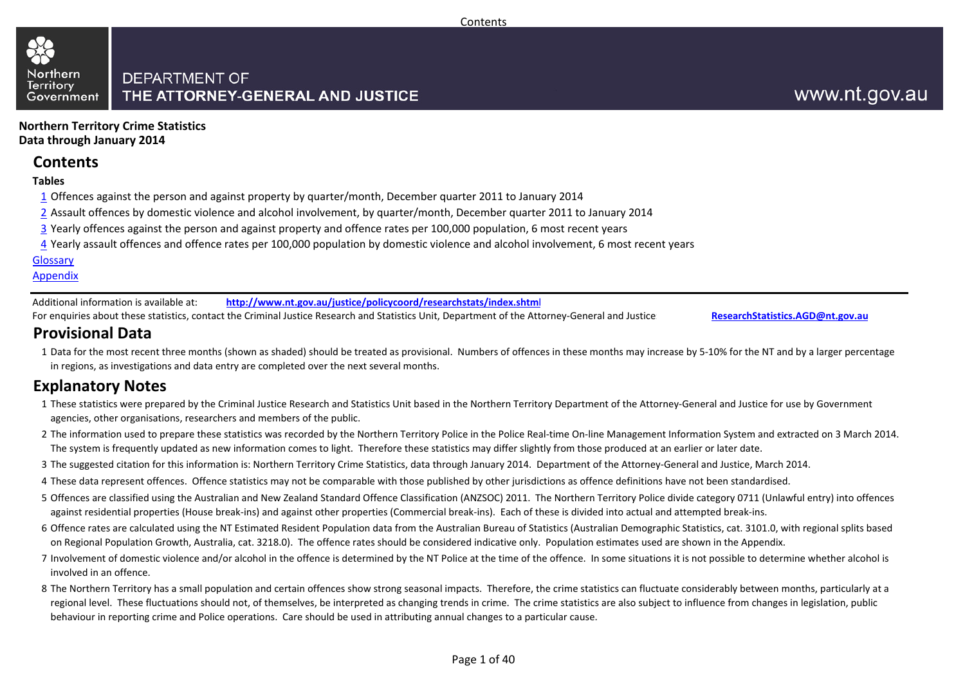

**Northern Territory Crime StatisticsData through January 2014**

## **Contents**

**Tables**

- 1 Offences against the person and against property by quarter/month, December quarter 2011 to January 2014
- 2 Assault offences by domestic violence and alcohol involvement, by quarter/month, December quarter 2011 to January 2014
- 3 Yearly offences against the person and against property and offence rates per 100,000 population, 6 most recent years
- <u>4</u> Yearly assault offences and offence rates per 100,000 population by domestic violence and alcohol involvement, 6 most recent years

**Glossary** 

Appendix

Additional information is available at:**http://www.nt.gov.au/justice/policycoord/researchstats/index.shtml**

For enquiries about these statistics, contact the Criminal Justice Research and Statistics Unit, Department of the Attorney-General and Justice:

**ResearchStatistics.AGD@nt.gov.au**

## **Provisional Data**

 1Data for the most recent three months (shown as shaded) should be treated as provisional. Numbers of offences in these months may increase by 5-10% for the NT and by a larger percentage in regions, as investigations and data entry are completed over the next several months.

## **Explanatory Notes**

- 1These statistics were prepared by the Criminal Justice Research and Statistics Unit based in the Northern Territory Department of the Attorney-General and Justice for use by Government agencies, other organisations, researchers and members of the public.
- 2The information used to prepare these statistics was recorded by the Northern Territory Police in the Police Real-time On-line Management Information System and extracted on 3 March 2014. The system is frequently updated as new information comes to light. Therefore these statistics may differ slightly from those produced at an earlier or later date.
- 3The suggested citation for this information is: Northern Territory Crime Statistics, data through January 2014. Department of the Attorney-General and Justice, March 2014.
- 4These data represent offences. Offence statistics may not be comparable with those published by other jurisdictions as offence definitions have not been standardised.
- 5 Offences are classified using the Australian and New Zealand Standard Offence Classification (ANZSOC) 2011. The Northern Territory Police divide category 0711 (Unlawful entry) into offences against residential properties (House break-ins) and against other properties (Commercial break-ins). Each of these is divided into actual and attempted break-ins.
- 6 Offence rates are calculated using the NT Estimated Resident Population data from the Australian Bureau of Statistics (Australian Demographic Statistics, cat. 3101.0, with regional splits based on Regional Population Growth, Australia, cat. 3218.0). The offence rates should be considered indicative only. Population estimates used are shown in the Appendix.
- 7 Involvement of domestic violence and/or alcohol in the offence is determined by the NT Police at the time of the offence. In some situations it is not possible to determine whether alcohol is involved in an offence.
- 8The Northern Territory has a small population and certain offences show strong seasonal impacts. Therefore, the crime statistics can fluctuate considerably between months, particularly at a regional level. These fluctuations should not, of themselves, be interpreted as changing trends in crime. The crime statistics are also subject to influence from changes in legislation, public behaviour in reporting crime and Police operations. Care should be used in attributing annual changes to a particular cause.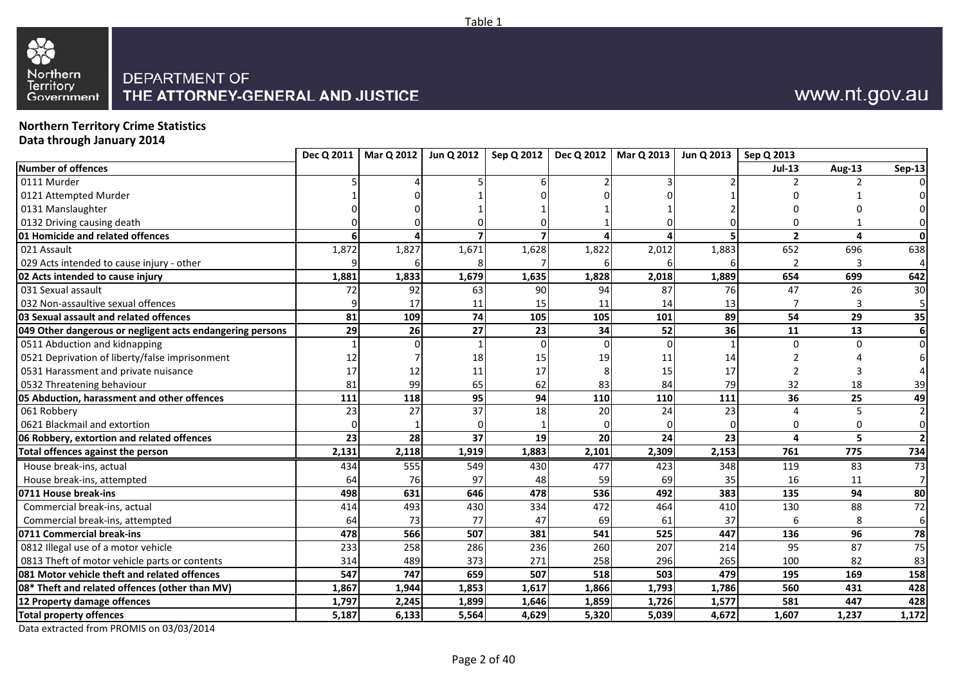



**Northern Territory Crime StatisticsData through January 2014**

| $Jul-13$<br>Aug-13<br>Sep-13<br>$\overline{2}$<br>Δ<br>1,827<br>1,671<br>1,883<br>652<br>1,872<br>1,628<br>1,822<br>2,012<br>696<br>638<br>654<br>1,881<br>1,833<br>1,679<br>2,018<br>1,889<br>699<br>642<br>1,635<br>1,828<br>47<br>72<br>92<br>90<br>87<br>76<br>26<br>30<br>63<br>94<br>17<br>13<br>15<br>11<br>11<br>14<br>109<br>89<br>74<br>54<br>81<br>105<br>105<br>101<br>29<br>35<br>29<br>52<br>36<br>11<br>26<br>27<br>23<br>13<br>34<br>0<br>U<br>19<br>14<br>18<br>11<br>17<br>15<br>17<br>12<br>11<br>17<br>99<br>81<br>65<br>83<br>84<br>79<br>32<br>18<br>62<br>39<br>118<br>36<br>95<br>110<br>110<br>111<br>25<br>49<br>111<br>94<br>23<br>27<br>37<br>24<br>23<br>18<br>20<br>28<br>24<br>23<br>37<br>23<br>20<br>5<br>19<br>4<br>2,131<br>2,118<br>1,919<br>2,101<br>2,153<br>761<br>734<br>1,883<br>2,309<br>775<br>555<br>477<br>73<br>434<br>549<br>423<br>348<br>119<br>83<br>430<br>16<br>64<br>76<br>97<br>69<br>35<br>48<br>59<br>11<br>631<br>492<br>383<br>135<br>94<br>498<br>646<br>478<br>536<br>80<br>88<br>414<br>493<br>430<br>334<br>472<br>464<br>130<br>72<br>410<br>73<br>37<br>64<br>77<br>69<br>47<br>61<br>566<br>507<br>478<br>541<br>525<br>447<br>136<br>96<br>78<br>381<br>258<br>286<br>260<br>207<br>87<br>75<br>233<br>236<br>214<br>95<br>489<br>373<br>314<br>271<br>258<br>296<br>265<br>100<br>82<br>83<br>747<br>158<br>547<br>659<br>507<br>518<br>503<br>479<br>195<br>169<br>428<br>1,867<br>1,944<br>1,853<br>1,866<br>1,793<br>1,786<br>560<br>1,617<br>431<br>1,577<br>581<br>447<br>428<br>1,797<br>2,245<br>1,899<br>1,859<br>1,726<br>1,646<br>5,564<br>5,320<br>1,607<br>5,187<br>6,133<br>4,629<br>5,039<br>4,672<br>1,237<br>1,172 |                                                           |  |  | Dec Q 2011   Mar Q 2012   Jun Q 2012   Sep Q 2012   Dec Q 2012   Mar Q 2013   Jun Q 2013   Sep Q 2013 |  |  |
|-------------------------------------------------------------------------------------------------------------------------------------------------------------------------------------------------------------------------------------------------------------------------------------------------------------------------------------------------------------------------------------------------------------------------------------------------------------------------------------------------------------------------------------------------------------------------------------------------------------------------------------------------------------------------------------------------------------------------------------------------------------------------------------------------------------------------------------------------------------------------------------------------------------------------------------------------------------------------------------------------------------------------------------------------------------------------------------------------------------------------------------------------------------------------------------------------------------------------------------------------------------------------------------------------------------------------------------------------------------------------------------------------------------------------------------------------------------------------------------------------------------------------------------------------------------------------------------------------------------------------------------------------------------------------------------------------------|-----------------------------------------------------------|--|--|-------------------------------------------------------------------------------------------------------|--|--|
|                                                                                                                                                                                                                                                                                                                                                                                                                                                                                                                                                                                                                                                                                                                                                                                                                                                                                                                                                                                                                                                                                                                                                                                                                                                                                                                                                                                                                                                                                                                                                                                                                                                                                                       | <b>Number of offences</b>                                 |  |  |                                                                                                       |  |  |
|                                                                                                                                                                                                                                                                                                                                                                                                                                                                                                                                                                                                                                                                                                                                                                                                                                                                                                                                                                                                                                                                                                                                                                                                                                                                                                                                                                                                                                                                                                                                                                                                                                                                                                       | 0111 Murder                                               |  |  |                                                                                                       |  |  |
|                                                                                                                                                                                                                                                                                                                                                                                                                                                                                                                                                                                                                                                                                                                                                                                                                                                                                                                                                                                                                                                                                                                                                                                                                                                                                                                                                                                                                                                                                                                                                                                                                                                                                                       | 0121 Attempted Murder                                     |  |  |                                                                                                       |  |  |
|                                                                                                                                                                                                                                                                                                                                                                                                                                                                                                                                                                                                                                                                                                                                                                                                                                                                                                                                                                                                                                                                                                                                                                                                                                                                                                                                                                                                                                                                                                                                                                                                                                                                                                       | 0131 Manslaughter                                         |  |  |                                                                                                       |  |  |
|                                                                                                                                                                                                                                                                                                                                                                                                                                                                                                                                                                                                                                                                                                                                                                                                                                                                                                                                                                                                                                                                                                                                                                                                                                                                                                                                                                                                                                                                                                                                                                                                                                                                                                       | 0132 Driving causing death                                |  |  |                                                                                                       |  |  |
|                                                                                                                                                                                                                                                                                                                                                                                                                                                                                                                                                                                                                                                                                                                                                                                                                                                                                                                                                                                                                                                                                                                                                                                                                                                                                                                                                                                                                                                                                                                                                                                                                                                                                                       | 01 Homicide and related offences                          |  |  |                                                                                                       |  |  |
|                                                                                                                                                                                                                                                                                                                                                                                                                                                                                                                                                                                                                                                                                                                                                                                                                                                                                                                                                                                                                                                                                                                                                                                                                                                                                                                                                                                                                                                                                                                                                                                                                                                                                                       | 021 Assault                                               |  |  |                                                                                                       |  |  |
|                                                                                                                                                                                                                                                                                                                                                                                                                                                                                                                                                                                                                                                                                                                                                                                                                                                                                                                                                                                                                                                                                                                                                                                                                                                                                                                                                                                                                                                                                                                                                                                                                                                                                                       | 029 Acts intended to cause injury - other                 |  |  |                                                                                                       |  |  |
|                                                                                                                                                                                                                                                                                                                                                                                                                                                                                                                                                                                                                                                                                                                                                                                                                                                                                                                                                                                                                                                                                                                                                                                                                                                                                                                                                                                                                                                                                                                                                                                                                                                                                                       | 02 Acts intended to cause injury                          |  |  |                                                                                                       |  |  |
|                                                                                                                                                                                                                                                                                                                                                                                                                                                                                                                                                                                                                                                                                                                                                                                                                                                                                                                                                                                                                                                                                                                                                                                                                                                                                                                                                                                                                                                                                                                                                                                                                                                                                                       | 031 Sexual assault                                        |  |  |                                                                                                       |  |  |
|                                                                                                                                                                                                                                                                                                                                                                                                                                                                                                                                                                                                                                                                                                                                                                                                                                                                                                                                                                                                                                                                                                                                                                                                                                                                                                                                                                                                                                                                                                                                                                                                                                                                                                       | 032 Non-assaultive sexual offences                        |  |  |                                                                                                       |  |  |
|                                                                                                                                                                                                                                                                                                                                                                                                                                                                                                                                                                                                                                                                                                                                                                                                                                                                                                                                                                                                                                                                                                                                                                                                                                                                                                                                                                                                                                                                                                                                                                                                                                                                                                       | 03 Sexual assault and related offences                    |  |  |                                                                                                       |  |  |
|                                                                                                                                                                                                                                                                                                                                                                                                                                                                                                                                                                                                                                                                                                                                                                                                                                                                                                                                                                                                                                                                                                                                                                                                                                                                                                                                                                                                                                                                                                                                                                                                                                                                                                       | 049 Other dangerous or negligent acts endangering persons |  |  |                                                                                                       |  |  |
|                                                                                                                                                                                                                                                                                                                                                                                                                                                                                                                                                                                                                                                                                                                                                                                                                                                                                                                                                                                                                                                                                                                                                                                                                                                                                                                                                                                                                                                                                                                                                                                                                                                                                                       | 0511 Abduction and kidnapping                             |  |  |                                                                                                       |  |  |
|                                                                                                                                                                                                                                                                                                                                                                                                                                                                                                                                                                                                                                                                                                                                                                                                                                                                                                                                                                                                                                                                                                                                                                                                                                                                                                                                                                                                                                                                                                                                                                                                                                                                                                       | 0521 Deprivation of liberty/false imprisonment            |  |  |                                                                                                       |  |  |
|                                                                                                                                                                                                                                                                                                                                                                                                                                                                                                                                                                                                                                                                                                                                                                                                                                                                                                                                                                                                                                                                                                                                                                                                                                                                                                                                                                                                                                                                                                                                                                                                                                                                                                       | 0531 Harassment and private nuisance                      |  |  |                                                                                                       |  |  |
|                                                                                                                                                                                                                                                                                                                                                                                                                                                                                                                                                                                                                                                                                                                                                                                                                                                                                                                                                                                                                                                                                                                                                                                                                                                                                                                                                                                                                                                                                                                                                                                                                                                                                                       | 0532 Threatening behaviour                                |  |  |                                                                                                       |  |  |
|                                                                                                                                                                                                                                                                                                                                                                                                                                                                                                                                                                                                                                                                                                                                                                                                                                                                                                                                                                                                                                                                                                                                                                                                                                                                                                                                                                                                                                                                                                                                                                                                                                                                                                       | 05 Abduction, harassment and other offences               |  |  |                                                                                                       |  |  |
|                                                                                                                                                                                                                                                                                                                                                                                                                                                                                                                                                                                                                                                                                                                                                                                                                                                                                                                                                                                                                                                                                                                                                                                                                                                                                                                                                                                                                                                                                                                                                                                                                                                                                                       | 061 Robbery                                               |  |  |                                                                                                       |  |  |
|                                                                                                                                                                                                                                                                                                                                                                                                                                                                                                                                                                                                                                                                                                                                                                                                                                                                                                                                                                                                                                                                                                                                                                                                                                                                                                                                                                                                                                                                                                                                                                                                                                                                                                       | 0621 Blackmail and extortion                              |  |  |                                                                                                       |  |  |
|                                                                                                                                                                                                                                                                                                                                                                                                                                                                                                                                                                                                                                                                                                                                                                                                                                                                                                                                                                                                                                                                                                                                                                                                                                                                                                                                                                                                                                                                                                                                                                                                                                                                                                       | 06 Robbery, extortion and related offences                |  |  |                                                                                                       |  |  |
|                                                                                                                                                                                                                                                                                                                                                                                                                                                                                                                                                                                                                                                                                                                                                                                                                                                                                                                                                                                                                                                                                                                                                                                                                                                                                                                                                                                                                                                                                                                                                                                                                                                                                                       | <b>Total offences against the person</b>                  |  |  |                                                                                                       |  |  |
|                                                                                                                                                                                                                                                                                                                                                                                                                                                                                                                                                                                                                                                                                                                                                                                                                                                                                                                                                                                                                                                                                                                                                                                                                                                                                                                                                                                                                                                                                                                                                                                                                                                                                                       | House break-ins, actual                                   |  |  |                                                                                                       |  |  |
|                                                                                                                                                                                                                                                                                                                                                                                                                                                                                                                                                                                                                                                                                                                                                                                                                                                                                                                                                                                                                                                                                                                                                                                                                                                                                                                                                                                                                                                                                                                                                                                                                                                                                                       | House break-ins, attempted                                |  |  |                                                                                                       |  |  |
|                                                                                                                                                                                                                                                                                                                                                                                                                                                                                                                                                                                                                                                                                                                                                                                                                                                                                                                                                                                                                                                                                                                                                                                                                                                                                                                                                                                                                                                                                                                                                                                                                                                                                                       | 0711 House break-ins                                      |  |  |                                                                                                       |  |  |
|                                                                                                                                                                                                                                                                                                                                                                                                                                                                                                                                                                                                                                                                                                                                                                                                                                                                                                                                                                                                                                                                                                                                                                                                                                                                                                                                                                                                                                                                                                                                                                                                                                                                                                       | Commercial break-ins, actual                              |  |  |                                                                                                       |  |  |
|                                                                                                                                                                                                                                                                                                                                                                                                                                                                                                                                                                                                                                                                                                                                                                                                                                                                                                                                                                                                                                                                                                                                                                                                                                                                                                                                                                                                                                                                                                                                                                                                                                                                                                       | Commercial break-ins, attempted                           |  |  |                                                                                                       |  |  |
|                                                                                                                                                                                                                                                                                                                                                                                                                                                                                                                                                                                                                                                                                                                                                                                                                                                                                                                                                                                                                                                                                                                                                                                                                                                                                                                                                                                                                                                                                                                                                                                                                                                                                                       | 0711 Commercial break-ins                                 |  |  |                                                                                                       |  |  |
|                                                                                                                                                                                                                                                                                                                                                                                                                                                                                                                                                                                                                                                                                                                                                                                                                                                                                                                                                                                                                                                                                                                                                                                                                                                                                                                                                                                                                                                                                                                                                                                                                                                                                                       | 0812 Illegal use of a motor vehicle                       |  |  |                                                                                                       |  |  |
|                                                                                                                                                                                                                                                                                                                                                                                                                                                                                                                                                                                                                                                                                                                                                                                                                                                                                                                                                                                                                                                                                                                                                                                                                                                                                                                                                                                                                                                                                                                                                                                                                                                                                                       | 0813 Theft of motor vehicle parts or contents             |  |  |                                                                                                       |  |  |
|                                                                                                                                                                                                                                                                                                                                                                                                                                                                                                                                                                                                                                                                                                                                                                                                                                                                                                                                                                                                                                                                                                                                                                                                                                                                                                                                                                                                                                                                                                                                                                                                                                                                                                       | 081 Motor vehicle theft and related offences              |  |  |                                                                                                       |  |  |
|                                                                                                                                                                                                                                                                                                                                                                                                                                                                                                                                                                                                                                                                                                                                                                                                                                                                                                                                                                                                                                                                                                                                                                                                                                                                                                                                                                                                                                                                                                                                                                                                                                                                                                       | 08* Theft and related offences (other than MV)            |  |  |                                                                                                       |  |  |
|                                                                                                                                                                                                                                                                                                                                                                                                                                                                                                                                                                                                                                                                                                                                                                                                                                                                                                                                                                                                                                                                                                                                                                                                                                                                                                                                                                                                                                                                                                                                                                                                                                                                                                       | 12 Property damage offences                               |  |  |                                                                                                       |  |  |
|                                                                                                                                                                                                                                                                                                                                                                                                                                                                                                                                                                                                                                                                                                                                                                                                                                                                                                                                                                                                                                                                                                                                                                                                                                                                                                                                                                                                                                                                                                                                                                                                                                                                                                       | <b>Total property offences</b>                            |  |  |                                                                                                       |  |  |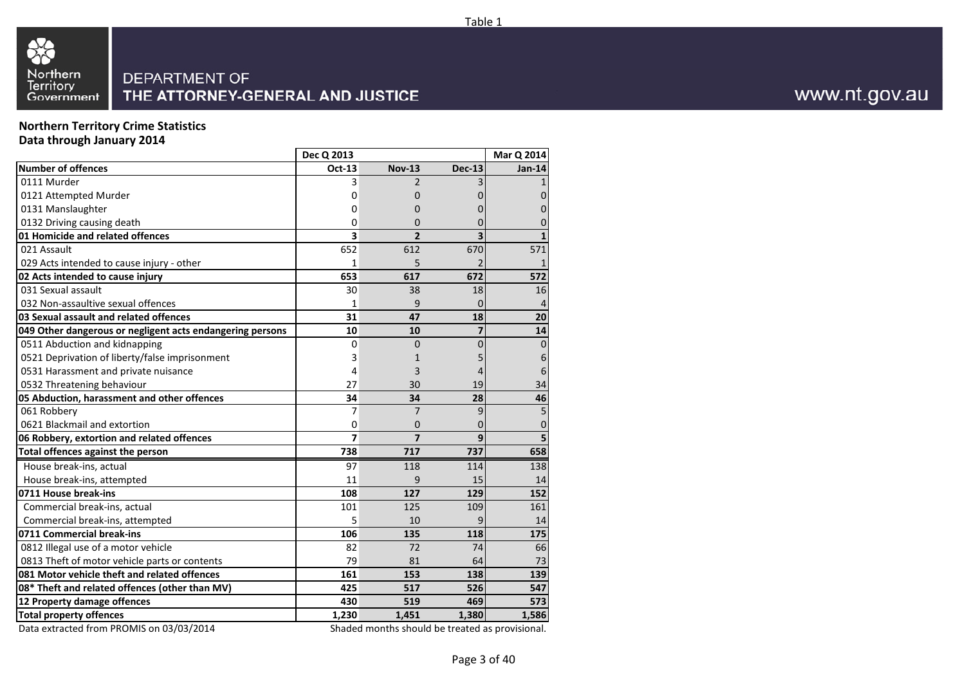

**Northern Territory Crime StatisticsData through January 2014**

|                                                           | Dec Q 2013              |                                                |               | Mar Q 2014     |
|-----------------------------------------------------------|-------------------------|------------------------------------------------|---------------|----------------|
| <b>Number of offences</b>                                 | Oct-13                  | <b>Nov-13</b>                                  | <b>Dec-13</b> | Jan-14         |
| 0111 Murder                                               | 3                       | $\overline{\phantom{a}}$                       |               |                |
| 0121 Attempted Murder                                     | 0                       | 0                                              |               |                |
| 0131 Manslaughter                                         | 0                       | 0                                              |               |                |
| 0132 Driving causing death                                | 0                       | 0                                              |               |                |
| 01 Homicide and related offences                          | 3                       | $\overline{2}$                                 | 3             |                |
| 021 Assault                                               | 652                     | 612                                            | 670           | 571            |
| 029 Acts intended to cause injury - other                 | 1                       | 5                                              |               |                |
| 02 Acts intended to cause injury                          | 653                     | 617                                            | 672           | 572            |
| 031 Sexual assault                                        | 30                      | 38                                             | 18            | 16             |
| 032 Non-assaultive sexual offences                        | 1                       | 9                                              | 0             | 4              |
| 03 Sexual assault and related offences                    | 31                      | 47                                             | 18            | 20             |
| 049 Other dangerous or negligent acts endangering persons | 10                      | 10                                             | 7             | 14             |
| 0511 Abduction and kidnapping                             | 0                       | 0                                              | 0             | $\overline{0}$ |
| 0521 Deprivation of liberty/false imprisonment            | 3                       | 1                                              |               | 6              |
| 0531 Harassment and private nuisance                      | 4                       | 3                                              |               | 6              |
| 0532 Threatening behaviour                                | 27                      | 30                                             | 19            | 34             |
| 05 Abduction, harassment and other offences               | 34                      | 34                                             | 28            | 46             |
| 061 Robbery                                               | 7                       | 7                                              | 9             | 5              |
| 0621 Blackmail and extortion                              | 0                       | 0                                              | 0             | 0              |
| 06 Robbery, extortion and related offences                | $\overline{\mathbf{z}}$ | $\overline{7}$                                 | 9             | 5              |
| <b>Total offences against the person</b>                  | 738                     | 717                                            | 737           | 658            |
| House break-ins, actual                                   | 97                      | 118                                            | 114           | 138            |
| House break-ins, attempted                                | 11                      | 9                                              | 15            | 14             |
| 0711 House break-ins                                      | 108                     | 127                                            | 129           | 152            |
| Commercial break-ins, actual                              | 101                     | 125                                            | 109           | 161            |
| Commercial break-ins, attempted                           | 5                       | 10                                             | 9             | 14             |
| 0711 Commercial break-ins                                 | 106                     | 135                                            | 118           | 175            |
| 0812 Illegal use of a motor vehicle                       | 82                      | 72                                             | 74            | 66             |
| 0813 Theft of motor vehicle parts or contents             | 79                      | 81                                             | 64            | 73             |
| 081 Motor vehicle theft and related offences              | 161                     | 153                                            | 138           | 139            |
| 08* Theft and related offences (other than MV)            | 425                     | 517                                            | 526           | 547            |
| 12 Property damage offences                               | 430                     | 519                                            | 469           | 573            |
| <b>Total property offences</b>                            | 1,230                   | 1,451                                          | 1,380         | 1,586          |
| Data extracted from DROMAIS on 02/02/2014                 |                         | Shaded months should be treated as provisional |               |                |

Data extracted from PROMIS on 03/03/2014

Shaded months should be treated as provisional.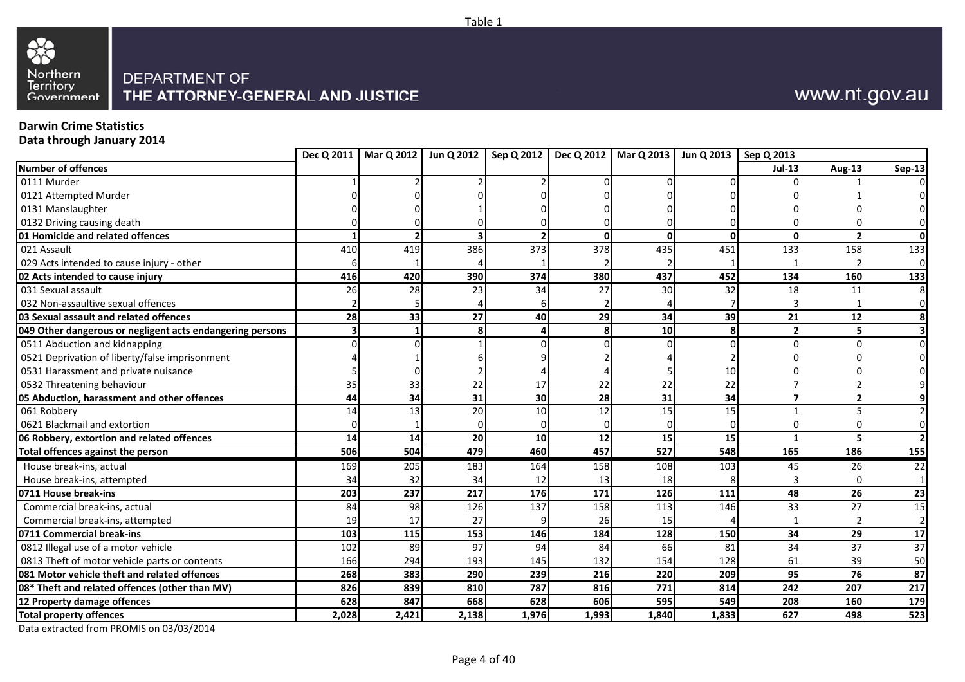

## **Darwin Crime Statistics**

**Data through January 2014**

| Number of offences<br>0111 Murder<br>0121 Attempted Murder |       |       |                 |                 |          |              |       | <b>Jul-13</b>  | Aug-13          | <b>Sep-13</b>           |
|------------------------------------------------------------|-------|-------|-----------------|-----------------|----------|--------------|-------|----------------|-----------------|-------------------------|
|                                                            |       |       |                 |                 |          |              |       |                |                 |                         |
|                                                            |       |       |                 |                 |          |              |       |                |                 |                         |
|                                                            |       |       |                 |                 |          |              |       |                |                 |                         |
| 0131 Manslaughter                                          |       |       |                 |                 |          |              |       |                |                 |                         |
| 0132 Driving causing death                                 |       |       |                 |                 |          |              |       |                |                 | 0                       |
| 01 Homicide and related offences                           |       |       |                 |                 | $\Omega$ | $\mathbf{0}$ |       | $\mathbf{0}$   | $\overline{2}$  | 0                       |
| 021 Assault                                                | 410   | 419   | 386             | 373             | 378      | 435          | 451   | 133            | 158             | 133                     |
| 029 Acts intended to cause injury - other                  |       |       |                 |                 |          |              |       |                | $\mathcal{P}$   | $\overline{0}$          |
| 02 Acts intended to cause injury                           | 416   | 420   | 390             | 374             | 380      | 437          | 452   | 134            | 160             | 133                     |
| 031 Sexual assault                                         | 26    | 28    | 23              | 34              | 27       | 30           | 32    | 18             | 11              | 8                       |
| 032 Non-assaultive sexual offences                         |       |       |                 |                 |          |              |       | 3              |                 | $\overline{0}$          |
| 03 Sexual assault and related offences                     | 28    | 33    | 27              | 40              | 29       | 34           | 39    | 21             | 12              | 8                       |
| 049 Other dangerous or negligent acts endangering persons  |       |       | 8               |                 | 8        | 10           |       | $\overline{2}$ | 5               | $\overline{\mathbf{3}}$ |
| 0511 Abduction and kidnapping                              |       |       |                 |                 |          |              |       | $\Omega$       | $\Omega$        | $\overline{0}$          |
| 0521 Deprivation of liberty/false imprisonment             |       |       |                 |                 |          |              |       |                |                 |                         |
| 0531 Harassment and private nuisance                       |       |       |                 |                 |          |              | 10    |                |                 |                         |
| 0532 Threatening behaviour                                 | 35    | 33    | 22              | 17              | 22       | 22           | 22    |                |                 | $\overline{9}$          |
| 05 Abduction, harassment and other offences                | 44    | 34    | 31              | 30 <sup>1</sup> | 28       | 31           | 34    | $\overline{7}$ | $\overline{2}$  | 9                       |
| 061 Robbery                                                | 14    | 13    | 20              | 10              | 12       | 15           | 15    | $\mathbf{1}$   | 5               | $\overline{2}$          |
| 0621 Blackmail and extortion                               |       |       | $\Omega$        |                 |          |              |       | 0              | $\Omega$        | $\overline{0}$          |
| 06 Robbery, extortion and related offences                 | 14    | 14    | 20              | 10              | 12       | 15           | 15    | $\mathbf{1}$   | 5               | $\overline{2}$          |
| Total offences against the person                          | 506   | 504   | 479             | 460             | 457      | 527          | 548   | 165            | 186             | 155                     |
| House break-ins, actual                                    | 169   | 205   | 183             | 164             | 158      | 108          | 103   | 45             | 26              | 22                      |
| House break-ins, attempted                                 | 34    | 32    | 34              | 12              | 13       | 18           |       | 3              | $\Omega$        | $1\overline{ }$         |
| 0711 House break-ins                                       | 203   | 237   | 217             | 176             | 171      | 126          | 111   | 48             | 26              | 23                      |
| Commercial break-ins, actual                               | 84    | 98    | 126             | 137             | 158      | 113          | 146   | 33             | 27              | 15                      |
| Commercial break-ins, attempted                            | 19    | 17    | 27              |                 | 26       | 15           |       |                | 2               | $\overline{2}$          |
| 0711 Commercial break-ins                                  | 103   | 115   | 153             | 146             | 184      | 128          | 150   | 34             | 29              | 17                      |
| 0812 Illegal use of a motor vehicle                        | 102   | 89    | $\overline{97}$ | 94              | 84       | 66           | 81    | 34             | 37              | 37                      |
| 0813 Theft of motor vehicle parts or contents              | 166   | 294   | 193             | 145             | 132      | 154          | 128   | 61             | 39              | 50                      |
| 081 Motor vehicle theft and related offences               | 268   | 383   | 290             | 239             | 216      | 220          | 209   | 95             | $\overline{76}$ | 87                      |
| 08* Theft and related offences (other than MV)             | 826   | 839   | 810             | 787             | 816      | 771          | 814   | 242            | 207             | 217                     |
| 12 Property damage offences                                | 628   | 847   | 668             | 628             | 606      | 595          | 549   | 208            | 160             | 179                     |
| <b>Total property offences</b>                             | 2,028 | 2,421 | 2,138           | 1,976           | 1,993    | 1,840        | 1,833 | 627            | 498             | 523                     |

Table 1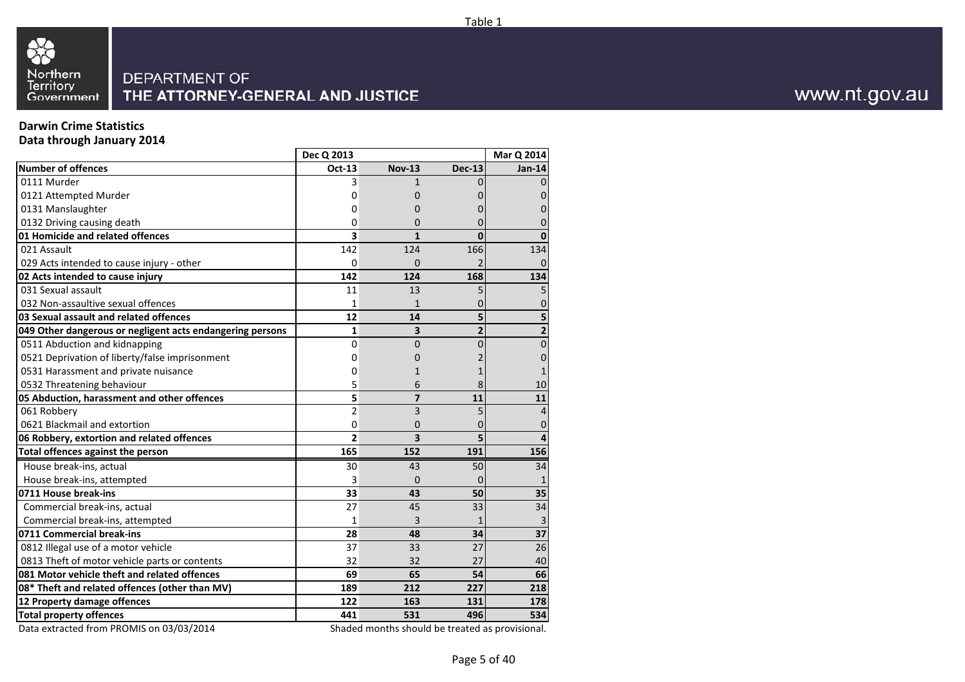



## **Darwin Crime Statistics**

**Data through January 2014**

|                                                           | Dec Q 2013     |                         |                | Mar Q 2014      |
|-----------------------------------------------------------|----------------|-------------------------|----------------|-----------------|
| <b>Number of offences</b>                                 | Oct-13         | <b>Nov-13</b>           | <b>Dec-13</b>  | $Jan-14$        |
| 0111 Murder                                               | 3              | 1                       |                |                 |
| 0121 Attempted Murder                                     | 0              | 0                       |                |                 |
| 0131 Manslaughter                                         | 0              | 0                       |                |                 |
| 0132 Driving causing death                                | 0              | 0                       | O              |                 |
| 01 Homicide and related offences                          | 3              | $\mathbf{1}$            | $\mathbf{0}$   | $\Omega$        |
| 021 Assault                                               | 142            | 124                     | 166            | 134             |
| 029 Acts intended to cause injury - other                 | 0              | $\Omega$                |                |                 |
| 02 Acts intended to cause injury                          | 142            | 124                     | 168            | 134             |
| 031 Sexual assault                                        | 11             | 13                      | 5              |                 |
| 032 Non-assaultive sexual offences                        | $\mathbf{1}$   | 1                       | 0              |                 |
| 03 Sexual assault and related offences                    | 12             | 14                      | 5              |                 |
| 049 Other dangerous or negligent acts endangering persons | $\mathbf{1}$   | 3                       | $\overline{2}$ | $\mathbf{2}$    |
| 0511 Abduction and kidnapping                             | 0              | 0                       | 0              | 0               |
| 0521 Deprivation of liberty/false imprisonment            | 0              | 0                       |                | 0               |
| 0531 Harassment and private nuisance                      | 0              | $\mathbf{1}$            |                |                 |
| 0532 Threatening behaviour                                | 5              | 6                       |                | 10              |
| 05 Abduction, harassment and other offences               | 5              | $\overline{7}$          | 11             | 11              |
| 061 Robbery                                               | $\overline{2}$ | 3                       | 5              | $\overline{4}$  |
| 0621 Blackmail and extortion                              | 0              | 0                       | 0              | 0               |
| 06 Robbery, extortion and related offences                | $\overline{2}$ | $\overline{\mathbf{3}}$ | 5              | 4               |
| <b>Total offences against the person</b>                  | 165            | 152                     | 191            | 156             |
| House break-ins, actual                                   | 30             | 43                      | 50             | 34              |
| House break-ins, attempted                                | 3              | 0                       | $\Omega$       |                 |
| 0711 House break-ins                                      | 33             | 43                      | 50             | 35              |
| Commercial break-ins, actual                              | 27             | 45                      | 33             | 34              |
| Commercial break-ins, attempted                           | 1              | 3                       |                | 3               |
| 0711 Commercial break-ins                                 | 28             | 48                      | 34             | $\overline{37}$ |
| 0812 Illegal use of a motor vehicle                       | 37             | 33                      | 27             | 26              |
| 0813 Theft of motor vehicle parts or contents             | 32             | 32                      | 27             | 40              |
| 081 Motor vehicle theft and related offences              | 69             | 65                      | 54             | 66              |
| 08* Theft and related offences (other than MV)            | 189            | 212                     | 227            | 218             |
| 12 Property damage offences                               | 122            | 163                     | 131            | 178             |
| <b>Total property offences</b>                            | 441            | 531                     | 496            | 534             |

Data extracted from PROMIS on 03/03/2014

Shaded months should be treated as provisional.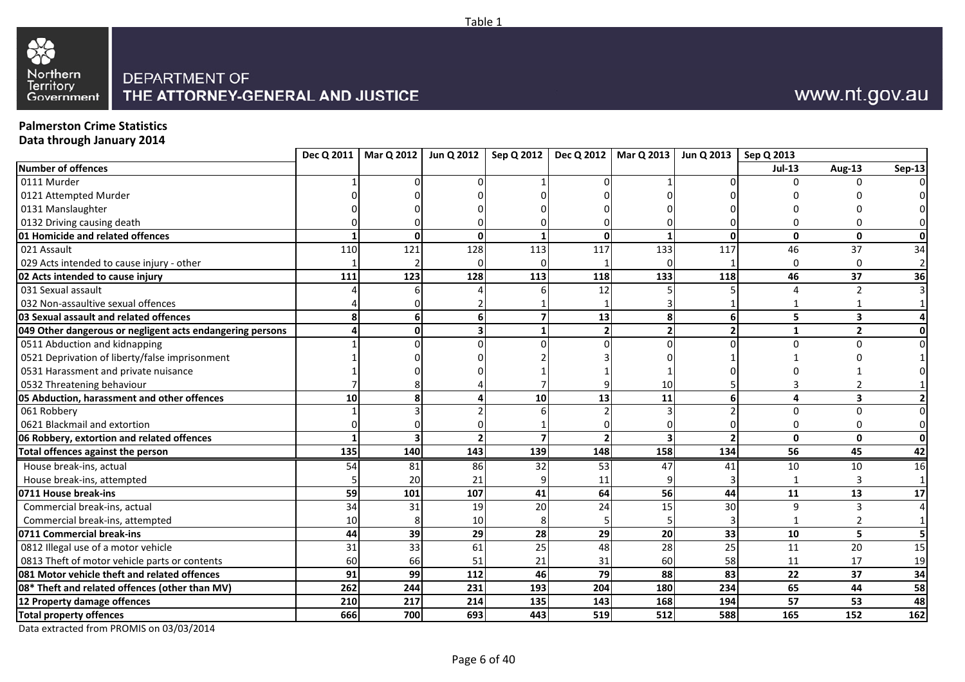



## **Palmerston Crime Statistics**

**Data through January 2014**

| Number of offences<br>$Jul-13$<br><b>Aug-13</b><br>0111 Murder<br>U<br>0121 Attempted Murder<br>0131 Manslaughter<br>0132 Driving causing death<br>n<br>01 Homicide and related offences<br>$\mathbf{0}$<br>0<br>$\Omega$<br>$\mathbf{0}$<br>U<br>128<br>133<br>021 Assault<br>110<br>121<br>113<br>117<br>117<br>46<br>37<br>029 Acts intended to cause injury - other<br>$\Omega$<br>0<br>$\Omega$<br>128<br>133<br>46<br>37<br>02 Acts intended to cause injury<br>111<br>123<br>113<br>118<br>118<br>031 Sexual assault<br>12<br>$\overline{2}$<br>032 Non-assaultive sexual offences<br>13<br>03 Sexual assault and related offences<br>5<br>3<br>6 <sup>1</sup><br>8<br>049 Other dangerous or negligent acts endangering persons<br>$\mathbf{2}$<br>$\overline{2}$<br>$\mathbf{1}$<br>0511 Abduction and kidnapping<br>U<br>n<br>0521 Deprivation of liberty/false imprisonment<br>0531 Harassment and private nuisance<br>0532 Threatening behaviour<br>10<br>10 <sup>1</sup><br>05 Abduction, harassment and other offences<br>13<br>11<br>3<br>10<br>8<br>4<br>061 Robbery<br>$\Omega$<br>0<br>0621 Blackmail and extortion<br>$\Omega$<br>2 <sup>1</sup><br>$\mathbf{0}$<br>$\mathbf 0$<br>06 Robbery, extortion and related offences<br>143<br>139<br>158<br>56<br>135<br>140<br>148<br>134<br>45<br>Total offences against the person<br>House break-ins, actual<br>47<br>54<br>81<br>86<br>32<br>53<br>41<br>10<br>10<br>21<br>House break-ins, attempted<br>20<br>11<br>13<br>107<br>41<br>64<br>56<br>0711 House break-ins<br>59<br>101<br>44<br>11<br>20<br>24<br>34<br>31<br>19<br>15<br>30<br>9<br>Commercial break-ins, actual<br>$\mathbf{a}$<br>Commercial break-ins, attempted<br>10<br>10 <sup>1</sup> |  |  |  | Dec Q 2011   Mar Q 2012   Jun Q 2012   Sep Q 2012   Dec Q 2012   Mar Q 2013   Jun Q 2013   Sep Q 2013 |  |                |
|--------------------------------------------------------------------------------------------------------------------------------------------------------------------------------------------------------------------------------------------------------------------------------------------------------------------------------------------------------------------------------------------------------------------------------------------------------------------------------------------------------------------------------------------------------------------------------------------------------------------------------------------------------------------------------------------------------------------------------------------------------------------------------------------------------------------------------------------------------------------------------------------------------------------------------------------------------------------------------------------------------------------------------------------------------------------------------------------------------------------------------------------------------------------------------------------------------------------------------------------------------------------------------------------------------------------------------------------------------------------------------------------------------------------------------------------------------------------------------------------------------------------------------------------------------------------------------------------------------------------------------------------------------------------------------------------------------------------------------|--|--|--|-------------------------------------------------------------------------------------------------------|--|----------------|
|                                                                                                                                                                                                                                                                                                                                                                                                                                                                                                                                                                                                                                                                                                                                                                                                                                                                                                                                                                                                                                                                                                                                                                                                                                                                                                                                                                                                                                                                                                                                                                                                                                                                                                                                |  |  |  |                                                                                                       |  | <b>Sep-13</b>  |
|                                                                                                                                                                                                                                                                                                                                                                                                                                                                                                                                                                                                                                                                                                                                                                                                                                                                                                                                                                                                                                                                                                                                                                                                                                                                                                                                                                                                                                                                                                                                                                                                                                                                                                                                |  |  |  |                                                                                                       |  | 0              |
|                                                                                                                                                                                                                                                                                                                                                                                                                                                                                                                                                                                                                                                                                                                                                                                                                                                                                                                                                                                                                                                                                                                                                                                                                                                                                                                                                                                                                                                                                                                                                                                                                                                                                                                                |  |  |  |                                                                                                       |  |                |
|                                                                                                                                                                                                                                                                                                                                                                                                                                                                                                                                                                                                                                                                                                                                                                                                                                                                                                                                                                                                                                                                                                                                                                                                                                                                                                                                                                                                                                                                                                                                                                                                                                                                                                                                |  |  |  |                                                                                                       |  |                |
|                                                                                                                                                                                                                                                                                                                                                                                                                                                                                                                                                                                                                                                                                                                                                                                                                                                                                                                                                                                                                                                                                                                                                                                                                                                                                                                                                                                                                                                                                                                                                                                                                                                                                                                                |  |  |  |                                                                                                       |  |                |
|                                                                                                                                                                                                                                                                                                                                                                                                                                                                                                                                                                                                                                                                                                                                                                                                                                                                                                                                                                                                                                                                                                                                                                                                                                                                                                                                                                                                                                                                                                                                                                                                                                                                                                                                |  |  |  |                                                                                                       |  | 0              |
|                                                                                                                                                                                                                                                                                                                                                                                                                                                                                                                                                                                                                                                                                                                                                                                                                                                                                                                                                                                                                                                                                                                                                                                                                                                                                                                                                                                                                                                                                                                                                                                                                                                                                                                                |  |  |  |                                                                                                       |  | 34             |
|                                                                                                                                                                                                                                                                                                                                                                                                                                                                                                                                                                                                                                                                                                                                                                                                                                                                                                                                                                                                                                                                                                                                                                                                                                                                                                                                                                                                                                                                                                                                                                                                                                                                                                                                |  |  |  |                                                                                                       |  | $\overline{2}$ |
|                                                                                                                                                                                                                                                                                                                                                                                                                                                                                                                                                                                                                                                                                                                                                                                                                                                                                                                                                                                                                                                                                                                                                                                                                                                                                                                                                                                                                                                                                                                                                                                                                                                                                                                                |  |  |  |                                                                                                       |  | 36             |
|                                                                                                                                                                                                                                                                                                                                                                                                                                                                                                                                                                                                                                                                                                                                                                                                                                                                                                                                                                                                                                                                                                                                                                                                                                                                                                                                                                                                                                                                                                                                                                                                                                                                                                                                |  |  |  |                                                                                                       |  | $\overline{3}$ |
|                                                                                                                                                                                                                                                                                                                                                                                                                                                                                                                                                                                                                                                                                                                                                                                                                                                                                                                                                                                                                                                                                                                                                                                                                                                                                                                                                                                                                                                                                                                                                                                                                                                                                                                                |  |  |  |                                                                                                       |  |                |
|                                                                                                                                                                                                                                                                                                                                                                                                                                                                                                                                                                                                                                                                                                                                                                                                                                                                                                                                                                                                                                                                                                                                                                                                                                                                                                                                                                                                                                                                                                                                                                                                                                                                                                                                |  |  |  |                                                                                                       |  |                |
|                                                                                                                                                                                                                                                                                                                                                                                                                                                                                                                                                                                                                                                                                                                                                                                                                                                                                                                                                                                                                                                                                                                                                                                                                                                                                                                                                                                                                                                                                                                                                                                                                                                                                                                                |  |  |  |                                                                                                       |  | 0              |
|                                                                                                                                                                                                                                                                                                                                                                                                                                                                                                                                                                                                                                                                                                                                                                                                                                                                                                                                                                                                                                                                                                                                                                                                                                                                                                                                                                                                                                                                                                                                                                                                                                                                                                                                |  |  |  |                                                                                                       |  | $\overline{0}$ |
|                                                                                                                                                                                                                                                                                                                                                                                                                                                                                                                                                                                                                                                                                                                                                                                                                                                                                                                                                                                                                                                                                                                                                                                                                                                                                                                                                                                                                                                                                                                                                                                                                                                                                                                                |  |  |  |                                                                                                       |  |                |
|                                                                                                                                                                                                                                                                                                                                                                                                                                                                                                                                                                                                                                                                                                                                                                                                                                                                                                                                                                                                                                                                                                                                                                                                                                                                                                                                                                                                                                                                                                                                                                                                                                                                                                                                |  |  |  |                                                                                                       |  |                |
|                                                                                                                                                                                                                                                                                                                                                                                                                                                                                                                                                                                                                                                                                                                                                                                                                                                                                                                                                                                                                                                                                                                                                                                                                                                                                                                                                                                                                                                                                                                                                                                                                                                                                                                                |  |  |  |                                                                                                       |  |                |
|                                                                                                                                                                                                                                                                                                                                                                                                                                                                                                                                                                                                                                                                                                                                                                                                                                                                                                                                                                                                                                                                                                                                                                                                                                                                                                                                                                                                                                                                                                                                                                                                                                                                                                                                |  |  |  |                                                                                                       |  | $\overline{2}$ |
|                                                                                                                                                                                                                                                                                                                                                                                                                                                                                                                                                                                                                                                                                                                                                                                                                                                                                                                                                                                                                                                                                                                                                                                                                                                                                                                                                                                                                                                                                                                                                                                                                                                                                                                                |  |  |  |                                                                                                       |  | $\overline{0}$ |
|                                                                                                                                                                                                                                                                                                                                                                                                                                                                                                                                                                                                                                                                                                                                                                                                                                                                                                                                                                                                                                                                                                                                                                                                                                                                                                                                                                                                                                                                                                                                                                                                                                                                                                                                |  |  |  |                                                                                                       |  | $\overline{0}$ |
|                                                                                                                                                                                                                                                                                                                                                                                                                                                                                                                                                                                                                                                                                                                                                                                                                                                                                                                                                                                                                                                                                                                                                                                                                                                                                                                                                                                                                                                                                                                                                                                                                                                                                                                                |  |  |  |                                                                                                       |  | $\mathbf{0}$   |
|                                                                                                                                                                                                                                                                                                                                                                                                                                                                                                                                                                                                                                                                                                                                                                                                                                                                                                                                                                                                                                                                                                                                                                                                                                                                                                                                                                                                                                                                                                                                                                                                                                                                                                                                |  |  |  |                                                                                                       |  | 42             |
|                                                                                                                                                                                                                                                                                                                                                                                                                                                                                                                                                                                                                                                                                                                                                                                                                                                                                                                                                                                                                                                                                                                                                                                                                                                                                                                                                                                                                                                                                                                                                                                                                                                                                                                                |  |  |  |                                                                                                       |  | <b>16</b>      |
|                                                                                                                                                                                                                                                                                                                                                                                                                                                                                                                                                                                                                                                                                                                                                                                                                                                                                                                                                                                                                                                                                                                                                                                                                                                                                                                                                                                                                                                                                                                                                                                                                                                                                                                                |  |  |  |                                                                                                       |  | $\mathbf{1}$   |
|                                                                                                                                                                                                                                                                                                                                                                                                                                                                                                                                                                                                                                                                                                                                                                                                                                                                                                                                                                                                                                                                                                                                                                                                                                                                                                                                                                                                                                                                                                                                                                                                                                                                                                                                |  |  |  |                                                                                                       |  | 17             |
|                                                                                                                                                                                                                                                                                                                                                                                                                                                                                                                                                                                                                                                                                                                                                                                                                                                                                                                                                                                                                                                                                                                                                                                                                                                                                                                                                                                                                                                                                                                                                                                                                                                                                                                                |  |  |  |                                                                                                       |  | $\overline{4}$ |
|                                                                                                                                                                                                                                                                                                                                                                                                                                                                                                                                                                                                                                                                                                                                                                                                                                                                                                                                                                                                                                                                                                                                                                                                                                                                                                                                                                                                                                                                                                                                                                                                                                                                                                                                |  |  |  |                                                                                                       |  | $\mathbf{1}$   |
| 29<br>0711 Commercial break-ins<br>39<br>29<br>28<br>20<br>33<br>44<br>10<br>5                                                                                                                                                                                                                                                                                                                                                                                                                                                                                                                                                                                                                                                                                                                                                                                                                                                                                                                                                                                                                                                                                                                                                                                                                                                                                                                                                                                                                                                                                                                                                                                                                                                 |  |  |  |                                                                                                       |  |                |
| 28<br>0812 Illegal use of a motor vehicle<br>33<br>61<br>25<br>48<br>25<br>20<br>31<br>11                                                                                                                                                                                                                                                                                                                                                                                                                                                                                                                                                                                                                                                                                                                                                                                                                                                                                                                                                                                                                                                                                                                                                                                                                                                                                                                                                                                                                                                                                                                                                                                                                                      |  |  |  |                                                                                                       |  | 15             |
| 21<br>0813 Theft of motor vehicle parts or contents<br>58<br>60<br>51<br>31<br>60<br>11<br>17<br>66                                                                                                                                                                                                                                                                                                                                                                                                                                                                                                                                                                                                                                                                                                                                                                                                                                                                                                                                                                                                                                                                                                                                                                                                                                                                                                                                                                                                                                                                                                                                                                                                                            |  |  |  |                                                                                                       |  | 19             |
| 081 Motor vehicle theft and related offences<br>99<br>112<br>46<br>79<br>88<br>37<br>91<br>83<br>22                                                                                                                                                                                                                                                                                                                                                                                                                                                                                                                                                                                                                                                                                                                                                                                                                                                                                                                                                                                                                                                                                                                                                                                                                                                                                                                                                                                                                                                                                                                                                                                                                            |  |  |  |                                                                                                       |  | 34             |
| 65<br>262<br>193<br>204<br>180<br>44<br>08* Theft and related offences (other than MV)<br>244<br>231<br>234                                                                                                                                                                                                                                                                                                                                                                                                                                                                                                                                                                                                                                                                                                                                                                                                                                                                                                                                                                                                                                                                                                                                                                                                                                                                                                                                                                                                                                                                                                                                                                                                                    |  |  |  |                                                                                                       |  | 58             |
| 12 Property damage offences<br>214<br>135<br>143<br>168<br>194<br>57<br>53<br>210<br>217                                                                                                                                                                                                                                                                                                                                                                                                                                                                                                                                                                                                                                                                                                                                                                                                                                                                                                                                                                                                                                                                                                                                                                                                                                                                                                                                                                                                                                                                                                                                                                                                                                       |  |  |  |                                                                                                       |  | 48             |
| 512<br>666<br>693<br>443<br>519<br>165<br>152<br><b>Total property offences</b><br>700<br>588                                                                                                                                                                                                                                                                                                                                                                                                                                                                                                                                                                                                                                                                                                                                                                                                                                                                                                                                                                                                                                                                                                                                                                                                                                                                                                                                                                                                                                                                                                                                                                                                                                  |  |  |  |                                                                                                       |  | 162            |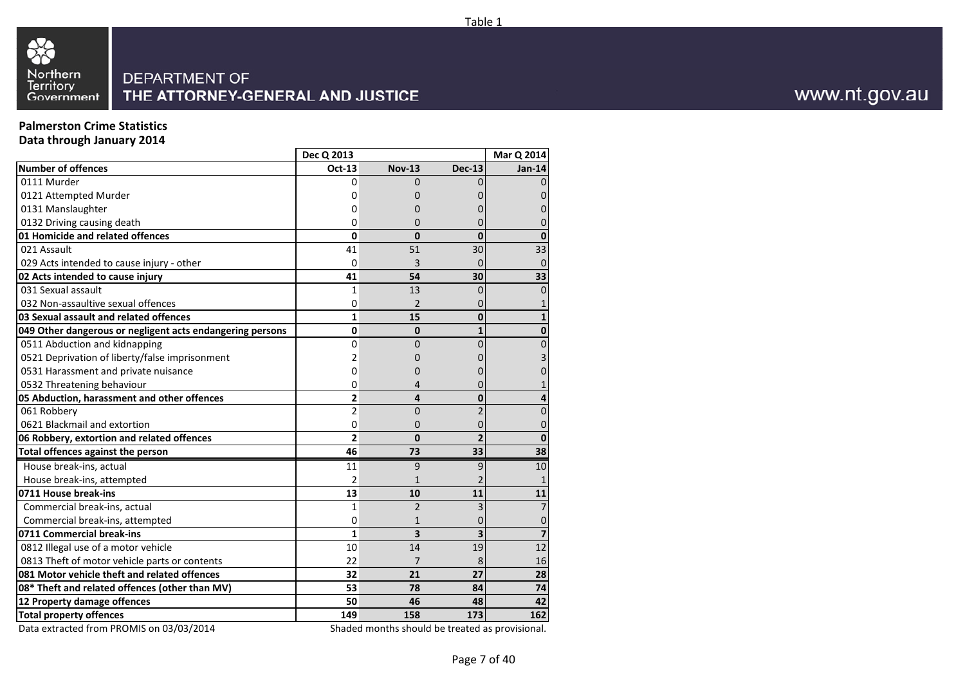



## **Palmerston Crime Statistics**

**Data through January 2014**

| Oct-13<br><b>Nov-13</b><br><b>Dec-13</b><br>0111 Murder<br>0<br>$\Omega$<br>0121 Attempted Murder<br>0<br>O<br>0131 Manslaughter<br>0<br>0132 Driving causing death<br>0<br>0<br>O<br>01 Homicide and related offences<br>0<br>0<br>$\Omega$<br>021 Assault<br>41<br>51<br>30<br>029 Acts intended to cause injury - other<br>3<br>$\mathbf 0$<br>$\Omega$<br>41<br>54<br>30<br>031 Sexual assault<br>$\mathbf{1}$<br>13<br>0<br>032 Non-assaultive sexual offences<br>0<br>$\overline{2}$<br>0<br>$\mathbf{1}$<br>15<br>$\mathbf{0}$<br>049 Other dangerous or negligent acts endangering persons<br>0<br>0<br>$\mathbf{1}$<br>0511 Abduction and kidnapping<br>0<br>0<br>n<br>0521 Deprivation of liberty/false imprisonment<br>2<br>0<br>0531 Harassment and private nuisance<br>0<br>0<br>0532 Threatening behaviour<br>0<br>4<br>$\overline{\mathbf{c}}$<br>4<br>0<br>061 Robbery<br>2<br>0<br>0621 Blackmail and extortion<br>0<br>0<br>O<br>06 Robbery, extortion and related offences<br>$\overline{2}$<br>$\mathbf{0}$<br>$\overline{2}$<br>46<br>73<br>33<br>Total offences against the person<br>House break-ins, actual<br>9<br>11<br>9<br>$\overline{2}$<br>House break-ins, attempted<br>$\mathbf{1}$<br>13<br>10<br>11<br>$\overline{2}$<br>Commercial break-ins, actual<br>$\mathbf{1}$<br>3<br>Commercial break-ins, attempted<br>0<br>$\mathbf{1}$<br>0<br>$\overline{\mathbf{3}}$<br>0711 Commercial break-ins<br>$\mathbf{1}$<br>3<br>0812 Illegal use of a motor vehicle<br>10<br>14<br>19<br>0813 Theft of motor vehicle parts or contents<br>22<br>7<br>8<br>32<br>21<br>27<br>53<br>78<br>84<br>50<br>46<br>48<br>158<br>173<br>149 |                                                | Dec Q 2013 |  | Mar Q 2014              |
|-------------------------------------------------------------------------------------------------------------------------------------------------------------------------------------------------------------------------------------------------------------------------------------------------------------------------------------------------------------------------------------------------------------------------------------------------------------------------------------------------------------------------------------------------------------------------------------------------------------------------------------------------------------------------------------------------------------------------------------------------------------------------------------------------------------------------------------------------------------------------------------------------------------------------------------------------------------------------------------------------------------------------------------------------------------------------------------------------------------------------------------------------------------------------------------------------------------------------------------------------------------------------------------------------------------------------------------------------------------------------------------------------------------------------------------------------------------------------------------------------------------------------------------------------------------------------------------------------------------------------------------------------------------|------------------------------------------------|------------|--|-------------------------|
|                                                                                                                                                                                                                                                                                                                                                                                                                                                                                                                                                                                                                                                                                                                                                                                                                                                                                                                                                                                                                                                                                                                                                                                                                                                                                                                                                                                                                                                                                                                                                                                                                                                             | <b>Number of offences</b>                      |            |  | Jan-14                  |
|                                                                                                                                                                                                                                                                                                                                                                                                                                                                                                                                                                                                                                                                                                                                                                                                                                                                                                                                                                                                                                                                                                                                                                                                                                                                                                                                                                                                                                                                                                                                                                                                                                                             |                                                |            |  |                         |
|                                                                                                                                                                                                                                                                                                                                                                                                                                                                                                                                                                                                                                                                                                                                                                                                                                                                                                                                                                                                                                                                                                                                                                                                                                                                                                                                                                                                                                                                                                                                                                                                                                                             |                                                |            |  |                         |
|                                                                                                                                                                                                                                                                                                                                                                                                                                                                                                                                                                                                                                                                                                                                                                                                                                                                                                                                                                                                                                                                                                                                                                                                                                                                                                                                                                                                                                                                                                                                                                                                                                                             |                                                |            |  |                         |
|                                                                                                                                                                                                                                                                                                                                                                                                                                                                                                                                                                                                                                                                                                                                                                                                                                                                                                                                                                                                                                                                                                                                                                                                                                                                                                                                                                                                                                                                                                                                                                                                                                                             |                                                |            |  |                         |
|                                                                                                                                                                                                                                                                                                                                                                                                                                                                                                                                                                                                                                                                                                                                                                                                                                                                                                                                                                                                                                                                                                                                                                                                                                                                                                                                                                                                                                                                                                                                                                                                                                                             |                                                |            |  |                         |
|                                                                                                                                                                                                                                                                                                                                                                                                                                                                                                                                                                                                                                                                                                                                                                                                                                                                                                                                                                                                                                                                                                                                                                                                                                                                                                                                                                                                                                                                                                                                                                                                                                                             |                                                |            |  | 33                      |
|                                                                                                                                                                                                                                                                                                                                                                                                                                                                                                                                                                                                                                                                                                                                                                                                                                                                                                                                                                                                                                                                                                                                                                                                                                                                                                                                                                                                                                                                                                                                                                                                                                                             |                                                |            |  |                         |
|                                                                                                                                                                                                                                                                                                                                                                                                                                                                                                                                                                                                                                                                                                                                                                                                                                                                                                                                                                                                                                                                                                                                                                                                                                                                                                                                                                                                                                                                                                                                                                                                                                                             | 02 Acts intended to cause injury               |            |  | 33                      |
|                                                                                                                                                                                                                                                                                                                                                                                                                                                                                                                                                                                                                                                                                                                                                                                                                                                                                                                                                                                                                                                                                                                                                                                                                                                                                                                                                                                                                                                                                                                                                                                                                                                             |                                                |            |  |                         |
|                                                                                                                                                                                                                                                                                                                                                                                                                                                                                                                                                                                                                                                                                                                                                                                                                                                                                                                                                                                                                                                                                                                                                                                                                                                                                                                                                                                                                                                                                                                                                                                                                                                             |                                                |            |  |                         |
|                                                                                                                                                                                                                                                                                                                                                                                                                                                                                                                                                                                                                                                                                                                                                                                                                                                                                                                                                                                                                                                                                                                                                                                                                                                                                                                                                                                                                                                                                                                                                                                                                                                             | 03 Sexual assault and related offences         |            |  |                         |
|                                                                                                                                                                                                                                                                                                                                                                                                                                                                                                                                                                                                                                                                                                                                                                                                                                                                                                                                                                                                                                                                                                                                                                                                                                                                                                                                                                                                                                                                                                                                                                                                                                                             |                                                |            |  |                         |
|                                                                                                                                                                                                                                                                                                                                                                                                                                                                                                                                                                                                                                                                                                                                                                                                                                                                                                                                                                                                                                                                                                                                                                                                                                                                                                                                                                                                                                                                                                                                                                                                                                                             |                                                |            |  |                         |
|                                                                                                                                                                                                                                                                                                                                                                                                                                                                                                                                                                                                                                                                                                                                                                                                                                                                                                                                                                                                                                                                                                                                                                                                                                                                                                                                                                                                                                                                                                                                                                                                                                                             |                                                |            |  |                         |
|                                                                                                                                                                                                                                                                                                                                                                                                                                                                                                                                                                                                                                                                                                                                                                                                                                                                                                                                                                                                                                                                                                                                                                                                                                                                                                                                                                                                                                                                                                                                                                                                                                                             |                                                |            |  |                         |
|                                                                                                                                                                                                                                                                                                                                                                                                                                                                                                                                                                                                                                                                                                                                                                                                                                                                                                                                                                                                                                                                                                                                                                                                                                                                                                                                                                                                                                                                                                                                                                                                                                                             |                                                |            |  |                         |
|                                                                                                                                                                                                                                                                                                                                                                                                                                                                                                                                                                                                                                                                                                                                                                                                                                                                                                                                                                                                                                                                                                                                                                                                                                                                                                                                                                                                                                                                                                                                                                                                                                                             | 05 Abduction, harassment and other offences    |            |  |                         |
|                                                                                                                                                                                                                                                                                                                                                                                                                                                                                                                                                                                                                                                                                                                                                                                                                                                                                                                                                                                                                                                                                                                                                                                                                                                                                                                                                                                                                                                                                                                                                                                                                                                             |                                                |            |  | 0                       |
|                                                                                                                                                                                                                                                                                                                                                                                                                                                                                                                                                                                                                                                                                                                                                                                                                                                                                                                                                                                                                                                                                                                                                                                                                                                                                                                                                                                                                                                                                                                                                                                                                                                             |                                                |            |  |                         |
|                                                                                                                                                                                                                                                                                                                                                                                                                                                                                                                                                                                                                                                                                                                                                                                                                                                                                                                                                                                                                                                                                                                                                                                                                                                                                                                                                                                                                                                                                                                                                                                                                                                             |                                                |            |  | $\bf{0}$                |
|                                                                                                                                                                                                                                                                                                                                                                                                                                                                                                                                                                                                                                                                                                                                                                                                                                                                                                                                                                                                                                                                                                                                                                                                                                                                                                                                                                                                                                                                                                                                                                                                                                                             |                                                |            |  | $\overline{38}$         |
|                                                                                                                                                                                                                                                                                                                                                                                                                                                                                                                                                                                                                                                                                                                                                                                                                                                                                                                                                                                                                                                                                                                                                                                                                                                                                                                                                                                                                                                                                                                                                                                                                                                             |                                                |            |  | 10                      |
|                                                                                                                                                                                                                                                                                                                                                                                                                                                                                                                                                                                                                                                                                                                                                                                                                                                                                                                                                                                                                                                                                                                                                                                                                                                                                                                                                                                                                                                                                                                                                                                                                                                             |                                                |            |  |                         |
|                                                                                                                                                                                                                                                                                                                                                                                                                                                                                                                                                                                                                                                                                                                                                                                                                                                                                                                                                                                                                                                                                                                                                                                                                                                                                                                                                                                                                                                                                                                                                                                                                                                             | 0711 House break-ins                           |            |  | 11                      |
|                                                                                                                                                                                                                                                                                                                                                                                                                                                                                                                                                                                                                                                                                                                                                                                                                                                                                                                                                                                                                                                                                                                                                                                                                                                                                                                                                                                                                                                                                                                                                                                                                                                             |                                                |            |  |                         |
|                                                                                                                                                                                                                                                                                                                                                                                                                                                                                                                                                                                                                                                                                                                                                                                                                                                                                                                                                                                                                                                                                                                                                                                                                                                                                                                                                                                                                                                                                                                                                                                                                                                             |                                                |            |  |                         |
|                                                                                                                                                                                                                                                                                                                                                                                                                                                                                                                                                                                                                                                                                                                                                                                                                                                                                                                                                                                                                                                                                                                                                                                                                                                                                                                                                                                                                                                                                                                                                                                                                                                             |                                                |            |  | $\overline{\mathbf{z}}$ |
|                                                                                                                                                                                                                                                                                                                                                                                                                                                                                                                                                                                                                                                                                                                                                                                                                                                                                                                                                                                                                                                                                                                                                                                                                                                                                                                                                                                                                                                                                                                                                                                                                                                             |                                                |            |  | 12                      |
|                                                                                                                                                                                                                                                                                                                                                                                                                                                                                                                                                                                                                                                                                                                                                                                                                                                                                                                                                                                                                                                                                                                                                                                                                                                                                                                                                                                                                                                                                                                                                                                                                                                             |                                                |            |  | 16                      |
|                                                                                                                                                                                                                                                                                                                                                                                                                                                                                                                                                                                                                                                                                                                                                                                                                                                                                                                                                                                                                                                                                                                                                                                                                                                                                                                                                                                                                                                                                                                                                                                                                                                             | 081 Motor vehicle theft and related offences   |            |  | 28                      |
|                                                                                                                                                                                                                                                                                                                                                                                                                                                                                                                                                                                                                                                                                                                                                                                                                                                                                                                                                                                                                                                                                                                                                                                                                                                                                                                                                                                                                                                                                                                                                                                                                                                             | 08* Theft and related offences (other than MV) |            |  | 74                      |
|                                                                                                                                                                                                                                                                                                                                                                                                                                                                                                                                                                                                                                                                                                                                                                                                                                                                                                                                                                                                                                                                                                                                                                                                                                                                                                                                                                                                                                                                                                                                                                                                                                                             | 12 Property damage offences                    |            |  | 42                      |
|                                                                                                                                                                                                                                                                                                                                                                                                                                                                                                                                                                                                                                                                                                                                                                                                                                                                                                                                                                                                                                                                                                                                                                                                                                                                                                                                                                                                                                                                                                                                                                                                                                                             | <b>Total property offences</b>                 |            |  | 162                     |

Data extracted from PROMIS on 03/03/2014

Shaded months should be treated as provisional.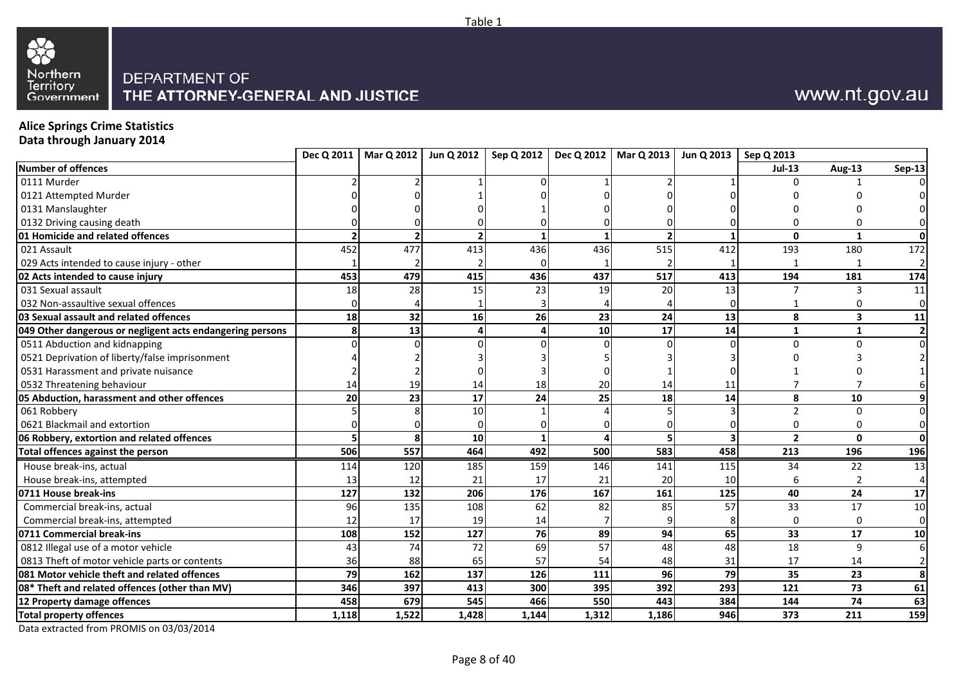



## **Alice Springs Crime Statistics**

**Data through January 2014**

| <b>Jul-13</b><br>Aug-13<br>0111 Murder<br>0121 Attempted Murder<br>0131 Manslaughter<br>0132 Driving causing death<br>$\mathbf{0}$<br>2<br>1<br>515<br>452<br>477<br>413<br>436<br>436<br>412<br>193<br>021 Assault<br>180<br>029 Acts intended to cause injury - other<br>517<br>479<br>415<br>436<br>437<br>194<br>453<br>413<br>181<br>15<br>20<br>031 Sexual assault<br>18<br>28<br>23<br>19<br>13<br>3<br>7<br>032 Non-assaultive sexual offences<br>0<br>16<br>26<br>23<br>24<br>8<br>18 <sup>l</sup><br>32<br>13<br>$\overline{\mathbf{3}}$<br>17<br>13<br>10<br>14<br>4<br>$\mathbf{1}$<br>$\mathbf{1}$<br>0511 Abduction and kidnapping<br>U<br>n<br>0521 Deprivation of liberty/false imprisonment<br>0531 Harassment and private nuisance<br>0532 Threatening behaviour<br>20<br>19<br>14<br>18<br>14<br>11<br>14<br>17<br>23<br>24<br>25<br>18<br>8<br>10<br><b>20</b><br>14<br>10<br>061 Robbery<br>$\Omega$<br>0621 Blackmail and extortion<br>$\Omega$<br>0<br>$\Omega$<br>10 <sup>1</sup><br>$\overline{2}$<br>$\mathbf{0}$<br>506<br>464<br>492<br>583<br>557<br>500<br>458<br>213<br>Total offences against the person<br>196<br>185<br>159<br>House break-ins, actual<br>146<br>141<br>115<br>34<br>22<br>114<br>120<br>21<br>17<br>21<br>20<br>House break-ins, attempted<br>13<br>12<br>10<br>6<br>206<br>176<br>161<br>40<br>24<br>127<br>132<br>167<br>125<br>17<br>96<br>135<br>108<br>62<br>82<br>85<br>57<br>33<br>Commercial break-ins, actual<br>Commercial break-ins, attempted<br>19<br>14<br>12<br>17<br>$\Omega$<br>76<br>108<br>127<br>89<br>94<br>65<br>33<br>17<br>152<br>69<br>48<br>0812 Illegal use of a motor vehicle<br>74<br>72<br>57<br>48<br>18<br>9<br>43<br>57<br>65<br>0813 Theft of motor vehicle parts or contents<br>88<br>54<br>48<br>31<br>17<br>36<br>14<br>137<br>126<br>79<br>111<br>96<br>79<br>35<br>23<br>162<br>392<br>413<br>300<br>395<br>293<br>73<br>346<br>397<br>121<br>545<br>466<br>74<br>550<br>443<br>144<br>458<br>679<br>384<br>1,522<br>1,428<br>1,144<br>1,312<br>1,186<br>946<br>373<br>211<br>1,118 |                                                           |  |  | Dec Q 2011   Mar Q 2012   Jun Q 2012   Sep Q 2012   Dec Q 2012   Mar Q 2013 | Jun Q 2013   Sep Q 2013 |  |                  |
|-------------------------------------------------------------------------------------------------------------------------------------------------------------------------------------------------------------------------------------------------------------------------------------------------------------------------------------------------------------------------------------------------------------------------------------------------------------------------------------------------------------------------------------------------------------------------------------------------------------------------------------------------------------------------------------------------------------------------------------------------------------------------------------------------------------------------------------------------------------------------------------------------------------------------------------------------------------------------------------------------------------------------------------------------------------------------------------------------------------------------------------------------------------------------------------------------------------------------------------------------------------------------------------------------------------------------------------------------------------------------------------------------------------------------------------------------------------------------------------------------------------------------------------------------------------------------------------------------------------------------------------------------------------------------------------------------------------------------------------------------------------------------------------------------------------------------------------------------------------------------------------------------------------------------------------------------------------------------------------------------------------------------------------------------------------------------------|-----------------------------------------------------------|--|--|-----------------------------------------------------------------------------|-------------------------|--|------------------|
|                                                                                                                                                                                                                                                                                                                                                                                                                                                                                                                                                                                                                                                                                                                                                                                                                                                                                                                                                                                                                                                                                                                                                                                                                                                                                                                                                                                                                                                                                                                                                                                                                                                                                                                                                                                                                                                                                                                                                                                                                                                                               | <b>Number of offences</b>                                 |  |  |                                                                             |                         |  | <b>Sep-13</b>    |
|                                                                                                                                                                                                                                                                                                                                                                                                                                                                                                                                                                                                                                                                                                                                                                                                                                                                                                                                                                                                                                                                                                                                                                                                                                                                                                                                                                                                                                                                                                                                                                                                                                                                                                                                                                                                                                                                                                                                                                                                                                                                               |                                                           |  |  |                                                                             |                         |  |                  |
|                                                                                                                                                                                                                                                                                                                                                                                                                                                                                                                                                                                                                                                                                                                                                                                                                                                                                                                                                                                                                                                                                                                                                                                                                                                                                                                                                                                                                                                                                                                                                                                                                                                                                                                                                                                                                                                                                                                                                                                                                                                                               |                                                           |  |  |                                                                             |                         |  |                  |
|                                                                                                                                                                                                                                                                                                                                                                                                                                                                                                                                                                                                                                                                                                                                                                                                                                                                                                                                                                                                                                                                                                                                                                                                                                                                                                                                                                                                                                                                                                                                                                                                                                                                                                                                                                                                                                                                                                                                                                                                                                                                               |                                                           |  |  |                                                                             |                         |  |                  |
|                                                                                                                                                                                                                                                                                                                                                                                                                                                                                                                                                                                                                                                                                                                                                                                                                                                                                                                                                                                                                                                                                                                                                                                                                                                                                                                                                                                                                                                                                                                                                                                                                                                                                                                                                                                                                                                                                                                                                                                                                                                                               |                                                           |  |  |                                                                             |                         |  |                  |
|                                                                                                                                                                                                                                                                                                                                                                                                                                                                                                                                                                                                                                                                                                                                                                                                                                                                                                                                                                                                                                                                                                                                                                                                                                                                                                                                                                                                                                                                                                                                                                                                                                                                                                                                                                                                                                                                                                                                                                                                                                                                               | 01 Homicide and related offences                          |  |  |                                                                             |                         |  | $\mathbf{0}$     |
|                                                                                                                                                                                                                                                                                                                                                                                                                                                                                                                                                                                                                                                                                                                                                                                                                                                                                                                                                                                                                                                                                                                                                                                                                                                                                                                                                                                                                                                                                                                                                                                                                                                                                                                                                                                                                                                                                                                                                                                                                                                                               |                                                           |  |  |                                                                             |                         |  | 172              |
|                                                                                                                                                                                                                                                                                                                                                                                                                                                                                                                                                                                                                                                                                                                                                                                                                                                                                                                                                                                                                                                                                                                                                                                                                                                                                                                                                                                                                                                                                                                                                                                                                                                                                                                                                                                                                                                                                                                                                                                                                                                                               |                                                           |  |  |                                                                             |                         |  | $\overline{2}$   |
|                                                                                                                                                                                                                                                                                                                                                                                                                                                                                                                                                                                                                                                                                                                                                                                                                                                                                                                                                                                                                                                                                                                                                                                                                                                                                                                                                                                                                                                                                                                                                                                                                                                                                                                                                                                                                                                                                                                                                                                                                                                                               | 02 Acts intended to cause injury                          |  |  |                                                                             |                         |  | 174              |
|                                                                                                                                                                                                                                                                                                                                                                                                                                                                                                                                                                                                                                                                                                                                                                                                                                                                                                                                                                                                                                                                                                                                                                                                                                                                                                                                                                                                                                                                                                                                                                                                                                                                                                                                                                                                                                                                                                                                                                                                                                                                               |                                                           |  |  |                                                                             |                         |  | 11               |
|                                                                                                                                                                                                                                                                                                                                                                                                                                                                                                                                                                                                                                                                                                                                                                                                                                                                                                                                                                                                                                                                                                                                                                                                                                                                                                                                                                                                                                                                                                                                                                                                                                                                                                                                                                                                                                                                                                                                                                                                                                                                               |                                                           |  |  |                                                                             |                         |  | $\overline{0}$   |
|                                                                                                                                                                                                                                                                                                                                                                                                                                                                                                                                                                                                                                                                                                                                                                                                                                                                                                                                                                                                                                                                                                                                                                                                                                                                                                                                                                                                                                                                                                                                                                                                                                                                                                                                                                                                                                                                                                                                                                                                                                                                               | 03 Sexual assault and related offences                    |  |  |                                                                             |                         |  | 11               |
|                                                                                                                                                                                                                                                                                                                                                                                                                                                                                                                                                                                                                                                                                                                                                                                                                                                                                                                                                                                                                                                                                                                                                                                                                                                                                                                                                                                                                                                                                                                                                                                                                                                                                                                                                                                                                                                                                                                                                                                                                                                                               | 049 Other dangerous or negligent acts endangering persons |  |  |                                                                             |                         |  | $\overline{2}$   |
|                                                                                                                                                                                                                                                                                                                                                                                                                                                                                                                                                                                                                                                                                                                                                                                                                                                                                                                                                                                                                                                                                                                                                                                                                                                                                                                                                                                                                                                                                                                                                                                                                                                                                                                                                                                                                                                                                                                                                                                                                                                                               |                                                           |  |  |                                                                             |                         |  | $\overline{0}$   |
|                                                                                                                                                                                                                                                                                                                                                                                                                                                                                                                                                                                                                                                                                                                                                                                                                                                                                                                                                                                                                                                                                                                                                                                                                                                                                                                                                                                                                                                                                                                                                                                                                                                                                                                                                                                                                                                                                                                                                                                                                                                                               |                                                           |  |  |                                                                             |                         |  |                  |
|                                                                                                                                                                                                                                                                                                                                                                                                                                                                                                                                                                                                                                                                                                                                                                                                                                                                                                                                                                                                                                                                                                                                                                                                                                                                                                                                                                                                                                                                                                                                                                                                                                                                                                                                                                                                                                                                                                                                                                                                                                                                               |                                                           |  |  |                                                                             |                         |  |                  |
|                                                                                                                                                                                                                                                                                                                                                                                                                                                                                                                                                                                                                                                                                                                                                                                                                                                                                                                                                                                                                                                                                                                                                                                                                                                                                                                                                                                                                                                                                                                                                                                                                                                                                                                                                                                                                                                                                                                                                                                                                                                                               |                                                           |  |  |                                                                             |                         |  |                  |
|                                                                                                                                                                                                                                                                                                                                                                                                                                                                                                                                                                                                                                                                                                                                                                                                                                                                                                                                                                                                                                                                                                                                                                                                                                                                                                                                                                                                                                                                                                                                                                                                                                                                                                                                                                                                                                                                                                                                                                                                                                                                               | 05 Abduction, harassment and other offences               |  |  |                                                                             |                         |  | 9                |
|                                                                                                                                                                                                                                                                                                                                                                                                                                                                                                                                                                                                                                                                                                                                                                                                                                                                                                                                                                                                                                                                                                                                                                                                                                                                                                                                                                                                                                                                                                                                                                                                                                                                                                                                                                                                                                                                                                                                                                                                                                                                               |                                                           |  |  |                                                                             |                         |  | $\Omega$         |
|                                                                                                                                                                                                                                                                                                                                                                                                                                                                                                                                                                                                                                                                                                                                                                                                                                                                                                                                                                                                                                                                                                                                                                                                                                                                                                                                                                                                                                                                                                                                                                                                                                                                                                                                                                                                                                                                                                                                                                                                                                                                               |                                                           |  |  |                                                                             |                         |  | $\overline{0}$   |
|                                                                                                                                                                                                                                                                                                                                                                                                                                                                                                                                                                                                                                                                                                                                                                                                                                                                                                                                                                                                                                                                                                                                                                                                                                                                                                                                                                                                                                                                                                                                                                                                                                                                                                                                                                                                                                                                                                                                                                                                                                                                               | 06 Robbery, extortion and related offences                |  |  |                                                                             |                         |  | 0                |
|                                                                                                                                                                                                                                                                                                                                                                                                                                                                                                                                                                                                                                                                                                                                                                                                                                                                                                                                                                                                                                                                                                                                                                                                                                                                                                                                                                                                                                                                                                                                                                                                                                                                                                                                                                                                                                                                                                                                                                                                                                                                               |                                                           |  |  |                                                                             |                         |  | 196              |
|                                                                                                                                                                                                                                                                                                                                                                                                                                                                                                                                                                                                                                                                                                                                                                                                                                                                                                                                                                                                                                                                                                                                                                                                                                                                                                                                                                                                                                                                                                                                                                                                                                                                                                                                                                                                                                                                                                                                                                                                                                                                               |                                                           |  |  |                                                                             |                         |  | 13               |
|                                                                                                                                                                                                                                                                                                                                                                                                                                                                                                                                                                                                                                                                                                                                                                                                                                                                                                                                                                                                                                                                                                                                                                                                                                                                                                                                                                                                                                                                                                                                                                                                                                                                                                                                                                                                                                                                                                                                                                                                                                                                               |                                                           |  |  |                                                                             |                         |  | $\overline{4}$   |
|                                                                                                                                                                                                                                                                                                                                                                                                                                                                                                                                                                                                                                                                                                                                                                                                                                                                                                                                                                                                                                                                                                                                                                                                                                                                                                                                                                                                                                                                                                                                                                                                                                                                                                                                                                                                                                                                                                                                                                                                                                                                               | 0711 House break-ins                                      |  |  |                                                                             |                         |  | 17               |
|                                                                                                                                                                                                                                                                                                                                                                                                                                                                                                                                                                                                                                                                                                                                                                                                                                                                                                                                                                                                                                                                                                                                                                                                                                                                                                                                                                                                                                                                                                                                                                                                                                                                                                                                                                                                                                                                                                                                                                                                                                                                               |                                                           |  |  |                                                                             |                         |  | 10               |
|                                                                                                                                                                                                                                                                                                                                                                                                                                                                                                                                                                                                                                                                                                                                                                                                                                                                                                                                                                                                                                                                                                                                                                                                                                                                                                                                                                                                                                                                                                                                                                                                                                                                                                                                                                                                                                                                                                                                                                                                                                                                               |                                                           |  |  |                                                                             |                         |  | $\overline{0}$   |
|                                                                                                                                                                                                                                                                                                                                                                                                                                                                                                                                                                                                                                                                                                                                                                                                                                                                                                                                                                                                                                                                                                                                                                                                                                                                                                                                                                                                                                                                                                                                                                                                                                                                                                                                                                                                                                                                                                                                                                                                                                                                               | 0711 Commercial break-ins                                 |  |  |                                                                             |                         |  | 10               |
|                                                                                                                                                                                                                                                                                                                                                                                                                                                                                                                                                                                                                                                                                                                                                                                                                                                                                                                                                                                                                                                                                                                                                                                                                                                                                                                                                                                                                                                                                                                                                                                                                                                                                                                                                                                                                                                                                                                                                                                                                                                                               |                                                           |  |  |                                                                             |                         |  | $6 \overline{6}$ |
|                                                                                                                                                                                                                                                                                                                                                                                                                                                                                                                                                                                                                                                                                                                                                                                                                                                                                                                                                                                                                                                                                                                                                                                                                                                                                                                                                                                                                                                                                                                                                                                                                                                                                                                                                                                                                                                                                                                                                                                                                                                                               |                                                           |  |  |                                                                             |                         |  | $\overline{2}$   |
|                                                                                                                                                                                                                                                                                                                                                                                                                                                                                                                                                                                                                                                                                                                                                                                                                                                                                                                                                                                                                                                                                                                                                                                                                                                                                                                                                                                                                                                                                                                                                                                                                                                                                                                                                                                                                                                                                                                                                                                                                                                                               | 081 Motor vehicle theft and related offences              |  |  |                                                                             |                         |  | 8                |
|                                                                                                                                                                                                                                                                                                                                                                                                                                                                                                                                                                                                                                                                                                                                                                                                                                                                                                                                                                                                                                                                                                                                                                                                                                                                                                                                                                                                                                                                                                                                                                                                                                                                                                                                                                                                                                                                                                                                                                                                                                                                               | 08* Theft and related offences (other than MV)            |  |  |                                                                             |                         |  | 61               |
|                                                                                                                                                                                                                                                                                                                                                                                                                                                                                                                                                                                                                                                                                                                                                                                                                                                                                                                                                                                                                                                                                                                                                                                                                                                                                                                                                                                                                                                                                                                                                                                                                                                                                                                                                                                                                                                                                                                                                                                                                                                                               | 12 Property damage offences                               |  |  |                                                                             |                         |  | 63               |
|                                                                                                                                                                                                                                                                                                                                                                                                                                                                                                                                                                                                                                                                                                                                                                                                                                                                                                                                                                                                                                                                                                                                                                                                                                                                                                                                                                                                                                                                                                                                                                                                                                                                                                                                                                                                                                                                                                                                                                                                                                                                               | <b>Total property offences</b>                            |  |  |                                                                             |                         |  | 159              |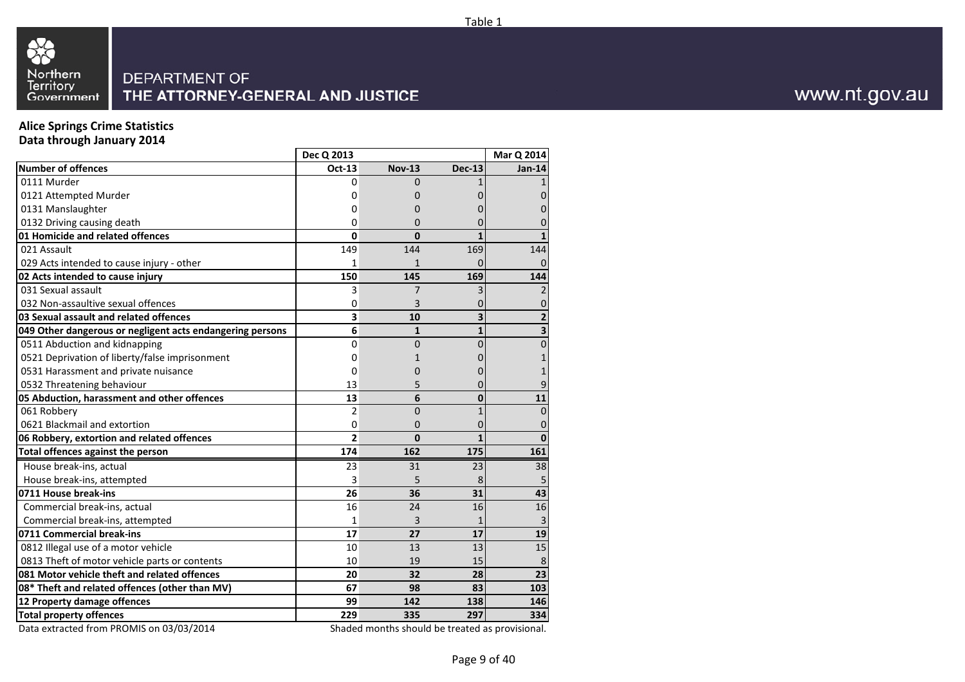



## **Alice Springs Crime Statistics**

**Data through January 2014**

|                                                                              | Dec Q 2013     |                |               | Mar Q 2014      |
|------------------------------------------------------------------------------|----------------|----------------|---------------|-----------------|
| <b>Number of offences</b>                                                    | Oct-13         | <b>Nov-13</b>  | <b>Dec-13</b> | Jan-14          |
| 0111 Murder                                                                  | 0              | $\Omega$       |               |                 |
| 0121 Attempted Murder                                                        | 0              | 0              |               |                 |
| 0131 Manslaughter                                                            | 0              | O              |               |                 |
| 0132 Driving causing death                                                   | 0              | 0              |               |                 |
| 01 Homicide and related offences                                             | 0              | $\bf{0}$       |               |                 |
| 021 Assault                                                                  | 149            | 144            | 169           | 144             |
| 029 Acts intended to cause injury - other                                    | $\mathbf{1}$   | $\mathbf{1}$   | $\Omega$      |                 |
| 02 Acts intended to cause injury                                             | 150            | 145            | 169           | 144             |
| 031 Sexual assault                                                           | 3              | $\overline{7}$ |               |                 |
| 032 Non-assaultive sexual offences                                           | 0              | 3              |               |                 |
| 03 Sexual assault and related offences                                       | 3              | 10             | 3             |                 |
| 049 Other dangerous or negligent acts endangering persons                    | 6              | $\mathbf{1}$   | $\mathbf{1}$  |                 |
| 0511 Abduction and kidnapping                                                | 0              | 0              | 0             | 0               |
| 0521 Deprivation of liberty/false imprisonment                               | 0              | 1              |               |                 |
| 0531 Harassment and private nuisance                                         | 0              | 0              |               |                 |
| 0532 Threatening behaviour                                                   | 13             | 5              |               | 9               |
| 05 Abduction, harassment and other offences                                  | 13             | 6              | $\Omega$      | 11              |
| 061 Robbery                                                                  | 2              | 0              |               | 0               |
| 0621 Blackmail and extortion                                                 | 0              | 0              | 0             |                 |
| 06 Robbery, extortion and related offences                                   | $\overline{2}$ | $\bf{0}$       |               | $\bf{0}$        |
| Total offences against the person                                            | 174            | 162            | 175           | 161             |
| House break-ins, actual                                                      | 23             | 31             | 23            | 38              |
| House break-ins, attempted                                                   | 3              | 5              | 8             |                 |
| 0711 House break-ins                                                         | 26             | 36             | 31            | 43              |
| Commercial break-ins, actual                                                 | 16             | 24             | 16            | 16              |
| Commercial break-ins, attempted                                              | 1              | 3              |               |                 |
| 0711 Commercial break-ins                                                    | 17             | 27             | 17            | 19              |
| 0812 Illegal use of a motor vehicle                                          | 10             | 13             | 13            | $\overline{15}$ |
| 0813 Theft of motor vehicle parts or contents                                | 10             | 19             | 15            | 8               |
| 081 Motor vehicle theft and related offences                                 | 20             | 32             | 28            | 23              |
| 08* Theft and related offences (other than MV)                               | 67             | 98             | 83            | 103             |
| 12 Property damage offences                                                  | 99             | 142            | 138           | 146             |
| <b>Total property offences</b>                                               | 229            | 335            | 297           | 334             |
| $\mathbf{A}$ . $\mathbf{A}$ $\mathbf{C}$ . The probability of<br>0.210212044 | $\sim$ L       |                |               |                 |

Data extracted from PROMIS on 03/03/2014

Shaded months should be treated as provisional.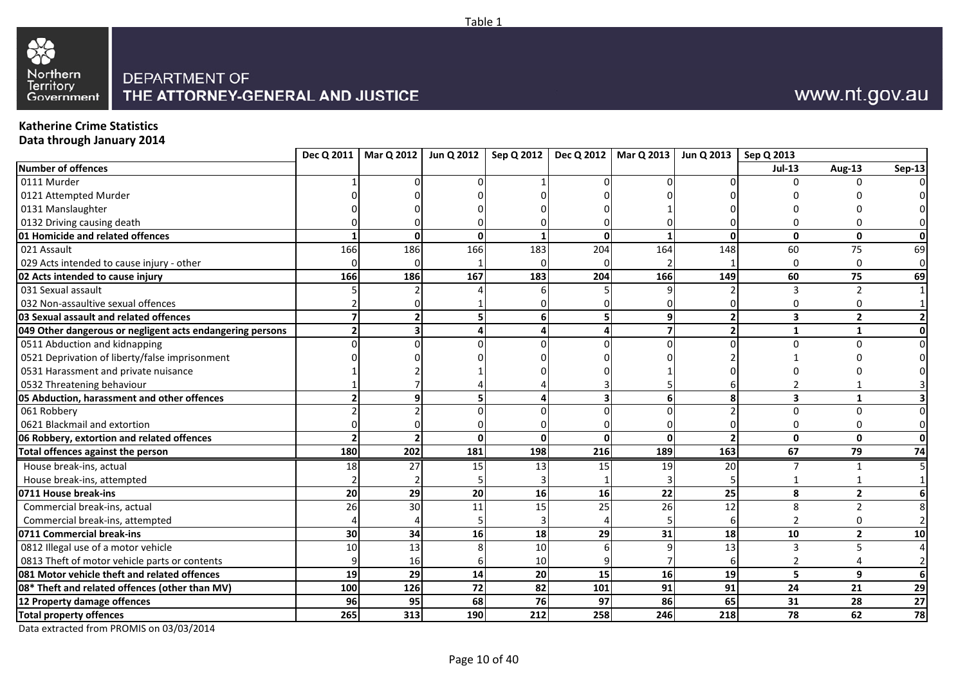



## **Katherine Crime Statistics**

**Data through January 2014**

|                                                           |                 |            |          |     |                         | Dec Q 2011   Mar Q 2012   Jun Q 2012   Sep Q 2012   Dec Q 2012   Mar Q 2013   Jun Q 2013   Sep Q 2013 |     |                         |                 |                |
|-----------------------------------------------------------|-----------------|------------|----------|-----|-------------------------|-------------------------------------------------------------------------------------------------------|-----|-------------------------|-----------------|----------------|
| <b>Number of offences</b>                                 |                 |            |          |     |                         |                                                                                                       |     | $Jul-13$                | <b>Aug-13</b>   | <b>Sep-13</b>  |
| 0111 Murder                                               |                 |            |          |     |                         |                                                                                                       |     |                         | ∩               |                |
| 0121 Attempted Murder                                     |                 |            |          |     |                         |                                                                                                       |     |                         |                 |                |
| 0131 Manslaughter                                         |                 |            |          |     |                         |                                                                                                       |     |                         |                 |                |
| 0132 Driving causing death                                |                 |            |          |     |                         |                                                                                                       |     |                         |                 |                |
| 01 Homicide and related offences                          |                 |            | $\Omega$ |     | $\Omega$                |                                                                                                       |     | $\mathbf{0}$            | $\mathbf{0}$    | Οl             |
| 021 Assault                                               | 166             | 186        | 166      | 183 | 204                     | 164                                                                                                   | 148 | 60                      | 75              | 69             |
| 029 Acts intended to cause injury - other                 |                 |            |          |     |                         |                                                                                                       |     | 0                       | $\Omega$        | $\overline{0}$ |
| 02 Acts intended to cause injury                          | 166             | 186        | 167      | 183 | 204                     | 166                                                                                                   | 149 | 60                      | 75              | 69             |
| 031 Sexual assault                                        |                 |            |          |     |                         |                                                                                                       |     |                         |                 |                |
| 032 Non-assaultive sexual offences                        |                 |            |          |     |                         |                                                                                                       |     |                         |                 |                |
| 03 Sexual assault and related offences                    |                 |            |          |     | 5                       |                                                                                                       |     | 3                       | $\overline{2}$  |                |
| 049 Other dangerous or negligent acts endangering persons |                 |            |          |     |                         |                                                                                                       |     | $\mathbf{1}$            | 1               |                |
| 0511 Abduction and kidnapping                             |                 |            |          |     |                         |                                                                                                       |     | n                       |                 | $\Omega$       |
| 0521 Deprivation of liberty/false imprisonment            |                 |            |          |     |                         |                                                                                                       |     |                         |                 |                |
| 0531 Harassment and private nuisance                      |                 |            |          |     |                         |                                                                                                       |     |                         |                 |                |
| 0532 Threatening behaviour                                |                 |            |          |     |                         |                                                                                                       |     |                         |                 |                |
| 05 Abduction, harassment and other offences               |                 | a          | 5        |     | $\overline{\mathbf{z}}$ | 6                                                                                                     |     | $\overline{\mathbf{3}}$ | $\mathbf{1}$    |                |
| 061 Robbery                                               |                 |            |          |     |                         |                                                                                                       |     | $\Omega$                | $\Omega$        | $\Omega$       |
| 0621 Blackmail and extortion                              |                 |            |          |     |                         |                                                                                                       |     |                         | 0               | $\overline{0}$ |
| 06 Robbery, extortion and related offences                |                 |            | O        |     | $\Omega$                | $\Omega$                                                                                              |     | $\mathbf{0}$            | $\mathbf{0}$    | Οl             |
| Total offences against the person                         | 180             | 202        | 181      | 198 | 216                     | 189                                                                                                   | 163 | 67                      | $\overline{79}$ | 74             |
| House break-ins, actual                                   | 18              | 27         | 15       | 13  | 15                      | 19                                                                                                    | 20  |                         |                 |                |
| House break-ins, attempted                                |                 |            |          |     |                         |                                                                                                       |     |                         |                 |                |
| 0711 House break-ins                                      | 20              | 29         | 20       | 16  | 16                      | 22                                                                                                    | 25  | 8                       | $\overline{2}$  |                |
| Commercial break-ins, actual                              | 26              | 30         | 11       | 15  | 25                      | 26                                                                                                    | 12  | 8                       | $\mathfrak{p}$  |                |
| Commercial break-ins, attempted                           |                 |            |          |     |                         |                                                                                                       |     | $\overline{2}$          | O               |                |
| 0711 Commercial break-ins                                 | 30 <sup>1</sup> | 34         | 16       | 18  | 29                      | 31                                                                                                    | 18  | 10                      | $\overline{2}$  | 10             |
| 0812 Illegal use of a motor vehicle                       | 10              | 13         |          | 10  |                         |                                                                                                       | 13  | 3                       | 5               |                |
| 0813 Theft of motor vehicle parts or contents             |                 | 16         |          | 10  |                         |                                                                                                       |     | 2                       |                 |                |
| 081 Motor vehicle theft and related offences              | 19              | 29         | 14       | 20  | 15                      | 16                                                                                                    | 19  | 5                       | 9               | 6 <sup>1</sup> |
| 08* Theft and related offences (other than MV)            | 100             | <b>126</b> | 72       | 82  | 101                     | 91                                                                                                    | 91  | 24                      | 21              | 29             |
| 12 Property damage offences                               | 96              | 95         | 68       | 76  | 97                      | 86                                                                                                    | 65  | 31                      | 28              | 27             |
| <b>Total property offences</b>                            | 265             | 313        | 190      | 212 | 258                     | 246                                                                                                   | 218 | 78                      | 62              | 78             |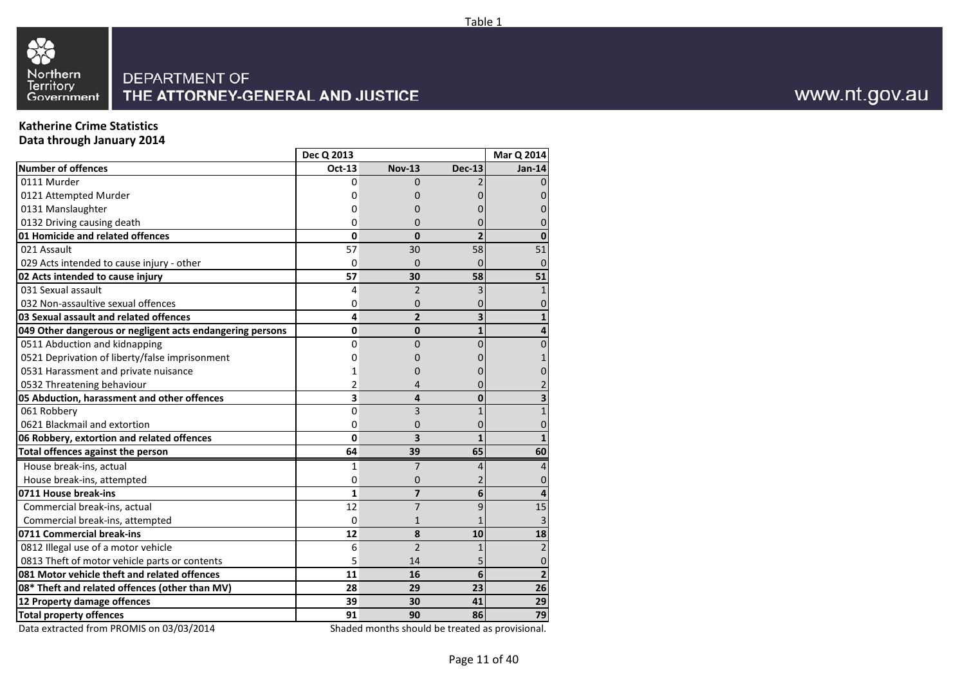



## **Katherine Crime Statistics**

**Data through January 2014**

|                                                           | Dec Q 2013   |                |                | Mar Q 2014      |
|-----------------------------------------------------------|--------------|----------------|----------------|-----------------|
| <b>Number of offences</b>                                 | Oct-13       | <b>Nov-13</b>  | <b>Dec-13</b>  | <b>Jan-14</b>   |
| 0111 Murder                                               | 0            | $\Omega$       |                |                 |
| 0121 Attempted Murder                                     | 0            | 0              |                |                 |
| 0131 Manslaughter                                         | 0            | 0              |                |                 |
| 0132 Driving causing death                                | 0            | 0              |                |                 |
| 01 Homicide and related offences                          | $\mathbf{0}$ | 0              | $\overline{2}$ | $\mathbf{0}$    |
| 021 Assault                                               | 57           | 30             | 58             | 51              |
| 029 Acts intended to cause injury - other                 | $\mathbf 0$  | $\Omega$       |                |                 |
| 02 Acts intended to cause injury                          | 57           | 30             | 58             | 51              |
| 031 Sexual assault                                        | 4            | $\overline{2}$ |                |                 |
| 032 Non-assaultive sexual offences                        | 0            | 0              |                |                 |
| 03 Sexual assault and related offences                    | 4            | $\overline{2}$ |                |                 |
| 049 Other dangerous or negligent acts endangering persons | 0            | $\mathbf{0}$   | 1              |                 |
| 0511 Abduction and kidnapping                             | 0            | 0              | N              | 0               |
| 0521 Deprivation of liberty/false imprisonment            | 0            | 0              |                |                 |
| 0531 Harassment and private nuisance                      |              | 0              |                |                 |
| 0532 Threatening behaviour                                | 2            | 4              |                |                 |
| 05 Abduction, harassment and other offences               | 3            | 4              | 0              |                 |
| 061 Robbery                                               | 0            | 3              |                |                 |
| 0621 Blackmail and extortion                              | 0            | 0              |                | 0               |
| 06 Robbery, extortion and related offences                | 0            | 3              |                |                 |
| <b>Total offences against the person</b>                  | 64           | 39             | 65             | 60              |
| House break-ins, actual                                   | 1            | 7              |                | 4               |
| House break-ins, attempted                                | 0            | 0              |                |                 |
| 0711 House break-ins                                      | $\mathbf{1}$ | $\overline{z}$ | 6              |                 |
| Commercial break-ins, actual                              | 12           | $\overline{7}$ | ٩              | 15              |
| Commercial break-ins, attempted                           | $\Omega$     | $\mathbf{1}$   |                |                 |
| 0711 Commercial break-ins                                 | 12           | 8              | 10             | 18              |
| 0812 Illegal use of a motor vehicle                       | 6            | $\overline{2}$ |                | $\overline{2}$  |
| 0813 Theft of motor vehicle parts or contents             | 5            | 14             |                | 0               |
| 081 Motor vehicle theft and related offences              | 11           | 16             | 6              | $\overline{2}$  |
| 08* Theft and related offences (other than MV)            | 28           | 29             | 23             | 26              |
| 12 Property damage offences                               | 39           | 30             | 41             | 29              |
| <b>Total property offences</b>                            | 91           | 90             | 86             | $\overline{79}$ |

Data extracted from PROMIS on 03/03/2014

Shaded months should be treated as provisional.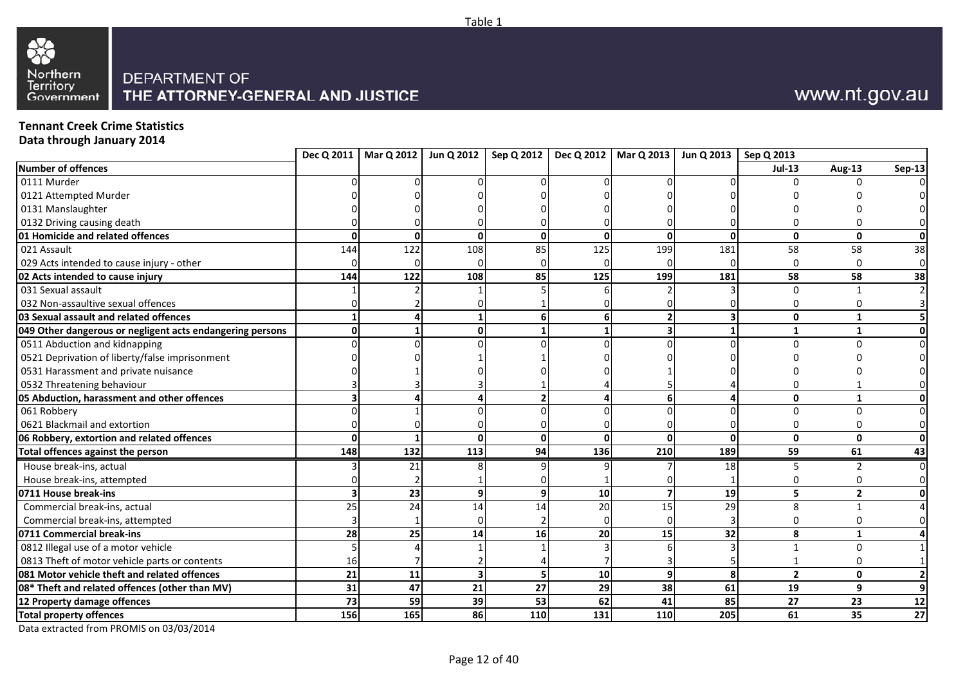



**Tennant Creek Crime Statistics**

**Data through January 2014**

|                                                           |            | Dec Q 2011   Mar Q 2012   Jun Q 2012 |          |          |                 | Sep Q 2012   Dec Q 2012   Mar Q 2013 | Jun Q 2013   Sep Q 2013 |                |                |                |
|-----------------------------------------------------------|------------|--------------------------------------|----------|----------|-----------------|--------------------------------------|-------------------------|----------------|----------------|----------------|
| <b>Number of offences</b>                                 |            |                                      |          |          |                 |                                      |                         | $Jul-13$       | <b>Aug-13</b>  | <b>Sep-13</b>  |
| 0111 Murder                                               |            |                                      |          |          |                 |                                      |                         |                | $\Omega$       |                |
| 0121 Attempted Murder                                     |            |                                      |          |          |                 |                                      |                         |                |                |                |
| 0131 Manslaughter                                         |            |                                      |          |          |                 |                                      |                         |                |                |                |
| 0132 Driving causing death                                |            |                                      |          |          |                 |                                      |                         |                |                |                |
| 01 Homicide and related offences                          | n          | U                                    | $\Omega$ | $\Omega$ | U               | $\Omega$                             | ŋ                       | $\mathbf{0}$   | $\mathbf{0}$   | Οl             |
| 021 Assault                                               | 144        | 122                                  | 108      | 85       | 125             | 199                                  | 181                     | 58             | 58             | 38             |
| 029 Acts intended to cause injury - other                 |            |                                      |          |          |                 |                                      |                         | 0              | $\Omega$       | $\mathbf 0$    |
| 02 Acts intended to cause injury                          | 144        | 122                                  | 108      | 85       | 125             | 199                                  | 181                     | 58             | 58             | 38             |
| 031 Sexual assault                                        |            |                                      |          |          |                 |                                      |                         | 0              |                |                |
| 032 Non-assaultive sexual offences                        |            |                                      |          |          |                 |                                      |                         |                |                |                |
| 03 Sexual assault and related offences                    |            |                                      |          |          | 61              |                                      |                         | $\mathbf{0}$   | $\mathbf{1}$   |                |
| 049 Other dangerous or negligent acts endangering persons |            |                                      |          |          |                 |                                      |                         | 1              | 1              | Οl             |
| 0511 Abduction and kidnapping                             |            |                                      |          |          |                 |                                      |                         | 0              |                | $\overline{0}$ |
| 0521 Deprivation of liberty/false imprisonment            |            |                                      |          |          |                 |                                      |                         |                |                |                |
| 0531 Harassment and private nuisance                      |            |                                      |          |          |                 |                                      |                         |                |                |                |
| 0532 Threatening behaviour                                |            |                                      |          |          |                 |                                      |                         |                |                |                |
| 05 Abduction, harassment and other offences               |            |                                      |          |          |                 |                                      |                         | 0              | $\mathbf{1}$   | Οl             |
| 061 Robbery                                               |            |                                      |          |          |                 |                                      |                         | 0              | $\Omega$       | $\Omega$       |
| 0621 Blackmail and extortion                              |            |                                      |          |          |                 |                                      |                         | 0              | n              | $\overline{0}$ |
| 06 Robbery, extortion and related offences                |            |                                      | O        |          | $\Omega$        |                                      |                         | $\mathbf{0}$   | $\mathbf 0$    | Οl             |
| Total offences against the person                         | 148        | 132                                  | 113      | 94       | 136             | 210                                  | 189                     | 59             | 61             | 43             |
| House break-ins, actual                                   |            | 21                                   |          |          |                 |                                      | 18                      |                |                | $\Omega$       |
| House break-ins, attempted                                |            |                                      |          |          |                 |                                      |                         |                |                | ΩI             |
| 0711 House break-ins                                      |            | 23                                   | 9        | 9        | 10              |                                      | 19                      | 5              | $\overline{2}$ | Οl             |
| Commercial break-ins, actual                              | 25         | 24                                   | 14       | 14       | 20              | 15                                   | 29                      | 8              |                |                |
| Commercial break-ins, attempted                           |            |                                      |          |          |                 |                                      |                         |                |                |                |
| 0711 Commercial break-ins                                 | 28         | 25                                   | 14       | 16       | 20              | 15                                   | 32                      | 8              | 1              |                |
| 0812 Illegal use of a motor vehicle                       |            |                                      |          |          |                 |                                      |                         |                | $\Omega$       |                |
| 0813 Theft of motor vehicle parts or contents             | 16         |                                      |          |          |                 |                                      |                         |                | $\Omega$       |                |
| 081 Motor vehicle theft and related offences              | 21         | 11                                   | 3        |          | 10 <sup>1</sup> | 9                                    |                         | $\overline{2}$ | $\mathbf{0}$   |                |
| 08* Theft and related offences (other than MV)            | 31         | 47                                   | 21       | 27       | 29              | 38                                   | 61                      | 19             | 9              | $\mathbf{9}$   |
| 12 Property damage offences                               | 73         | 59                                   | 39       | 53       | 62              | 41                                   | 85                      | 27             | 23             | 12             |
| <b>Total property offences</b>                            | <b>156</b> | 165                                  | 86       | 110      | 131             | 110                                  | 205                     | 61             | 35             | 27             |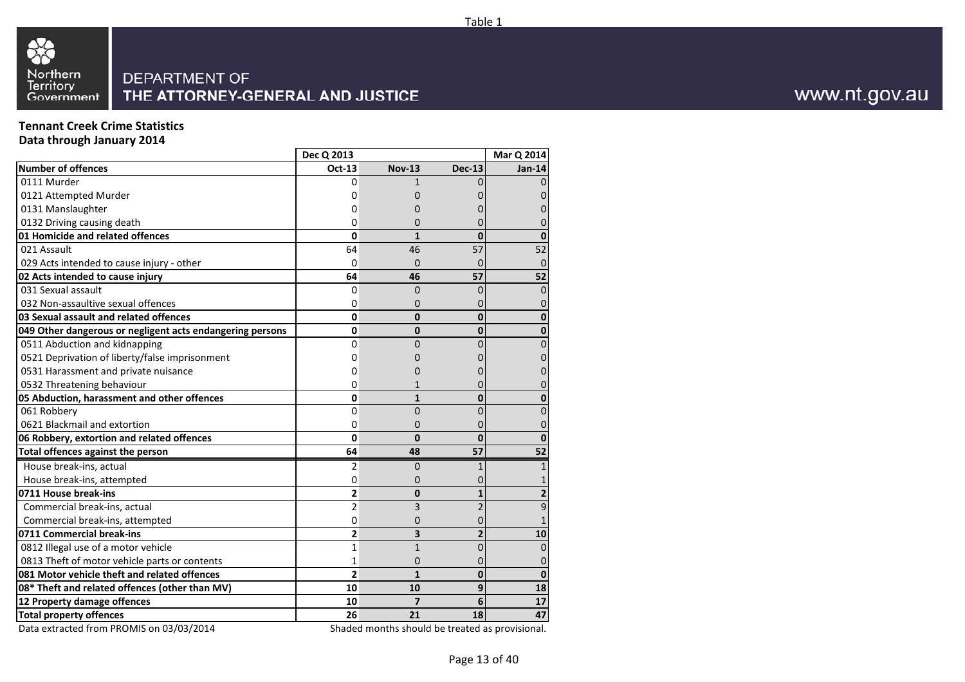



**Tennant Creek Crime StatisticsData through January 2014**

**Number of offences** 0111 Murder 0121 Attempted Murder 0131 Manslaughter 0132 Driving causing death **01 Homicide and related offences**  021 Assault 029 Acts intended to cause injury - other**02 Acts intended to cause injury**  031 Sexual assault 032 Non-assaultive sexual offences **03 Sexual assault and related offences 049 Other dangerous or negligent acts endangering persons**  0511 Abduction and kidnapping 0521 Deprivation of liberty/false imprisonment 0531 Harassment and private nuisance 0532 Threatening behaviour **05 Abduction, harassment and other offences**  061 Robbery 0621 Blackmail and extortion **06 Robbery, extortion and related offences Total offences against the person**  House break-ins, actual House break-ins, attempted**0711 House break-ins**  Commercial break-ins, actual Commercial break-ins, attempted**0711 Commercial break-ins**  0812 Illegal use of a motor vehicle 0813 Theft of motor vehicle parts or contents **081 Motor vehicle theft and related offences 08\* Theft and related offences (other than MV)12 Property damage offencesTotal property offences**  Data extracted from PROMIS on 03/03/2014**Dec Q 2013Mar Q 2014**<br>**Dec-13** Jan-14 **Oct-13Nov-13 Dec-13** 00 1 0 0  $\Omega$ 0 0 0 0  $\Omega$ 0 0 0 0  $\Omega$ 0 0 0 0 **0 <sup>1</sup> <sup>0</sup> <sup>0</sup>** 64 <sup>46</sup> <sup>57</sup> <sup>52</sup>  $\Omega$ 0 0 0 0 **64 <sup>46</sup> <sup>57</sup> <sup>52</sup>** 0 <sup>0</sup> <sup>0</sup> <sup>0</sup> 00 0 0 0 **0 <sup>0</sup> <sup>0</sup> <sup>0</sup> 0 <sup>0</sup> <sup>0</sup> <sup>0</sup>**  $\Omega$ 0 0 0 0 00 0 0 0 00 0 0 0  $\Omega$ 0 1 0 0 **0 <sup>1</sup> <sup>0</sup> <sup>0</sup>** 00 0 0 0  $\Omega$ 0 0 0 0 **0 <sup>0</sup> <sup>0</sup> <sup>0</sup> 64 <sup>48</sup> <sup>57</sup> <sup>52</sup>** 2 0 1  $1$ 00 0 1 **2 <sup>0</sup> <sup>1</sup> <sup>2</sup>** 2 <sup>3</sup> <sup>2</sup> <sup>9</sup> 00 0 1 **2 <sup>3</sup> <sup>2</sup> <sup>10</sup>** 11 0 0 11 0 0 0 0 **2 <sup>1</sup> <sup>0</sup> <sup>0</sup> 10 <sup>10</sup> <sup>9</sup> <sup>18</sup> 10 <sup>7</sup> <sup>6</sup> <sup>17</sup> 26 <sup>21</sup> <sup>18</sup> <sup>47</sup>** Shaded months should be treated as provisional.

www.nt.gov.au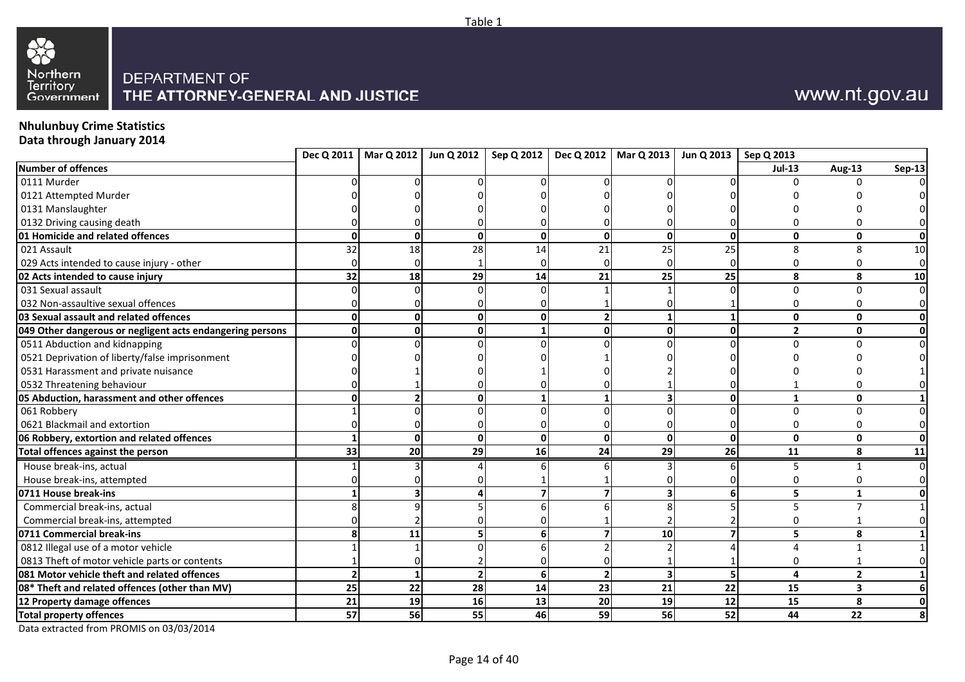



# **Nhulunbuy Crime Statistics**

**Data through January 2014**

|                                                           |                 | Dec Q 2011   Mar Q 2012   Jun Q 2012 |                          |    |                | Sep Q 2012   Dec Q 2012   Mar Q 2013 | Jun Q 2013   Sep Q 2013 |                |                         |                |
|-----------------------------------------------------------|-----------------|--------------------------------------|--------------------------|----|----------------|--------------------------------------|-------------------------|----------------|-------------------------|----------------|
| <b>Number of offences</b>                                 |                 |                                      |                          |    |                |                                      |                         | $Jul-13$       | Aug-13                  | <b>Sep-13</b>  |
| 0111 Murder                                               |                 |                                      |                          |    |                |                                      |                         |                | $\Omega$                |                |
| 0121 Attempted Murder                                     |                 |                                      |                          |    |                |                                      |                         |                |                         |                |
| 0131 Manslaughter                                         |                 |                                      |                          |    |                |                                      |                         |                |                         |                |
| 0132 Driving causing death                                |                 |                                      |                          |    |                |                                      |                         |                |                         |                |
| 01 Homicide and related offences                          | n               | U                                    | $\Omega$                 | 0  | $\Omega$       | $\Omega$                             | $\Omega$                | 0              | $\mathbf{0}$            | Οl             |
| 021 Assault                                               | 32              | 18                                   | 28                       | 14 | 21             | 25                                   | 25                      | 8              | $\mathsf{\overline{R}}$ | 10             |
| 029 Acts intended to cause injury - other                 |                 |                                      |                          |    |                |                                      |                         | $\Omega$       | n                       | $\overline{0}$ |
| 02 Acts intended to cause injury                          | 32              | 18                                   | 29                       | 14 | 21             | 25                                   | 25                      | 8              | 8                       | 10             |
| 031 Sexual assault                                        |                 |                                      |                          |    |                |                                      |                         | 0              | $\Omega$                | $\overline{0}$ |
| 032 Non-assaultive sexual offences                        |                 |                                      |                          |    |                |                                      |                         | 0              | n                       | $\overline{0}$ |
| 03 Sexual assault and related offences                    |                 |                                      | $\mathbf 0$              |    | $\overline{2}$ |                                      |                         | 0              | $\mathbf{0}$            | Οl             |
| 049 Other dangerous or negligent acts endangering persons |                 |                                      | O                        |    | U              | ŋ                                    |                         | $\overline{2}$ | $\mathbf{0}$            | οl             |
| 0511 Abduction and kidnapping                             |                 |                                      |                          |    |                |                                      |                         | 0              |                         | $\Omega$       |
| 0521 Deprivation of liberty/false imprisonment            |                 |                                      |                          |    |                |                                      |                         |                |                         |                |
| 0531 Harassment and private nuisance                      |                 |                                      |                          |    |                |                                      |                         |                |                         |                |
| 0532 Threatening behaviour                                |                 |                                      |                          |    |                |                                      |                         |                |                         |                |
| 05 Abduction, harassment and other offences               |                 |                                      | $\Omega$                 |    |                |                                      |                         | $\mathbf{1}$   | $\mathbf{0}$            |                |
| 061 Robbery                                               |                 |                                      |                          |    |                |                                      |                         | $\Omega$       | $\Omega$                |                |
| 0621 Blackmail and extortion                              |                 |                                      |                          |    |                |                                      |                         | 0              | O                       | $\Omega$       |
| 06 Robbery, extortion and related offences                |                 |                                      | $\Omega$                 | 0  | $\Omega$       | $\mathbf{0}$                         |                         | $\mathbf{0}$   | $\mathbf{0}$            | ΩI             |
| Total offences against the person                         | 33 <sup>1</sup> | 20                                   | 29                       | 16 | 24             | 29                                   | 26                      | 11             | 8                       | 11             |
| House break-ins, actual                                   |                 |                                      |                          |    |                |                                      |                         |                |                         | $\Omega$       |
| House break-ins, attempted                                |                 |                                      |                          |    |                |                                      |                         |                |                         |                |
| 0711 House break-ins                                      |                 |                                      |                          |    |                |                                      |                         | 5              | $\mathbf{1}$            |                |
| Commercial break-ins, actual                              |                 |                                      |                          |    |                |                                      |                         | 5              |                         |                |
| Commercial break-ins, attempted                           |                 |                                      |                          |    |                |                                      |                         |                |                         |                |
| 0711 Commercial break-ins                                 |                 | 11                                   |                          |    |                | 10                                   |                         | 5              | 8                       |                |
| 0812 Illegal use of a motor vehicle                       |                 |                                      |                          |    |                |                                      |                         | 4              |                         |                |
| 0813 Theft of motor vehicle parts or contents             |                 |                                      |                          |    |                |                                      |                         | 0              |                         |                |
| 081 Motor vehicle theft and related offences              |                 |                                      | $\overline{\phantom{a}}$ | 6  | $\overline{2}$ | $\overline{\mathbf{3}}$              |                         | 4              | $\overline{2}$          |                |
| 08* Theft and related offences (other than MV)            | 25              | 22                                   | 28                       | 14 | 23             | 21                                   | 22                      | 15             | $\overline{\mathbf{3}}$ | 6              |
| 12 Property damage offences                               | 21              | 19                                   | 16                       | 13 | 20             | 19                                   | 12                      | 15             | 8                       | 0              |
| <b>Total property offences</b>                            | 57              | 56                                   | 55                       | 46 | 59             | 56                                   | 52                      | 44             | 22                      |                |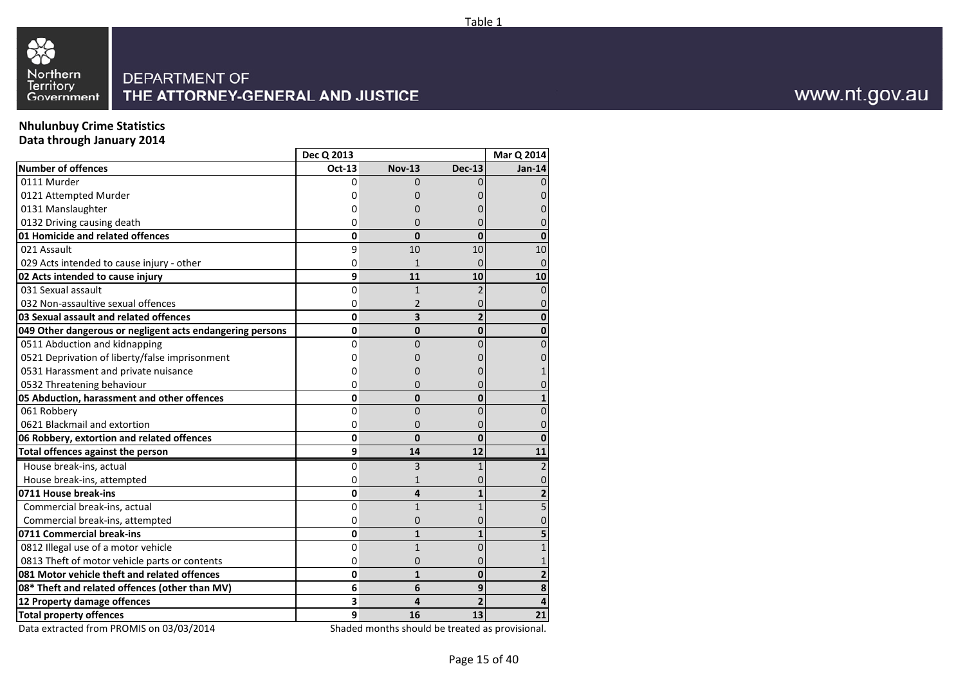



## **Nhulunbuy Crime Statistics**

33

**Data through January 2014**

| Oct-13<br><b>Nov-13</b><br><b>Dec-13</b><br>0111 Murder<br>0<br>$\Omega$<br>0121 Attempted Murder<br>0<br>0131 Manslaughter<br>0<br>0132 Driving causing death<br>0<br>0<br>01 Homicide and related offences<br>0<br>$\mathbf{0}$<br>$\mathbf{0}$<br>021 Assault<br>9<br>10<br>10<br>029 Acts intended to cause injury - other<br>0<br>$\mathbf{1}$<br>02 Acts intended to cause injury<br>9<br>11<br>10<br>031 Sexual assault<br>$\overline{0}$<br>$\mathbf{1}$<br>032 Non-assaultive sexual offences<br>0<br>2<br>03 Sexual assault and related offences<br>0<br>3<br>0<br>0<br>049 Other dangerous or negligent acts endangering persons<br>$\mathbf{0}$<br>0511 Abduction and kidnapping<br>0<br>0<br>0521 Deprivation of liberty/false imprisonment<br>Ω<br>0531 Harassment and private nuisance<br>0<br>0532 Threatening behaviour<br>0<br>0<br>05 Abduction, harassment and other offences<br>0<br>0<br>061 Robbery<br>0<br>0<br>0621 Blackmail and extortion<br>0<br>0<br>06 Robbery, extortion and related offences<br>$\bf{0}$<br>0<br>$\Omega$<br>Total offences against the person<br>9<br>14<br>12<br>House break-ins, actual<br>0<br>3<br>House break-ins, attempted<br>0<br>1<br>0711 House break-ins<br>0<br>4<br>Commercial break-ins, actual<br>0<br>$\mathbf{1}$<br>Commercial break-ins, attempted<br>0<br>0<br>0711 Commercial break-ins<br>0<br>$\mathbf{1}$<br>0812 Illegal use of a motor vehicle<br>$\mathbf{1}$<br>0<br>0<br>0813 Theft of motor vehicle parts or contents<br>0<br>0<br>081 Motor vehicle theft and related offences<br>0<br>$\mathbf{1}$<br>$\Omega$<br>08* Theft and related offences (other than MV)<br>6<br>6<br>9<br>12 Property damage offences<br>3<br>4<br><b>Total property offences</b><br>9<br>16<br>13 |                           | Dec Q 2013 |  | Mar Q 2014    |
|--------------------------------------------------------------------------------------------------------------------------------------------------------------------------------------------------------------------------------------------------------------------------------------------------------------------------------------------------------------------------------------------------------------------------------------------------------------------------------------------------------------------------------------------------------------------------------------------------------------------------------------------------------------------------------------------------------------------------------------------------------------------------------------------------------------------------------------------------------------------------------------------------------------------------------------------------------------------------------------------------------------------------------------------------------------------------------------------------------------------------------------------------------------------------------------------------------------------------------------------------------------------------------------------------------------------------------------------------------------------------------------------------------------------------------------------------------------------------------------------------------------------------------------------------------------------------------------------------------------------------------------------------------------------------------------------------------------------------------------------------------------|---------------------------|------------|--|---------------|
|                                                                                                                                                                                                                                                                                                                                                                                                                                                                                                                                                                                                                                                                                                                                                                                                                                                                                                                                                                                                                                                                                                                                                                                                                                                                                                                                                                                                                                                                                                                                                                                                                                                                                                                                                              | <b>Number of offences</b> |            |  | <b>Jan-14</b> |
|                                                                                                                                                                                                                                                                                                                                                                                                                                                                                                                                                                                                                                                                                                                                                                                                                                                                                                                                                                                                                                                                                                                                                                                                                                                                                                                                                                                                                                                                                                                                                                                                                                                                                                                                                              |                           |            |  |               |
|                                                                                                                                                                                                                                                                                                                                                                                                                                                                                                                                                                                                                                                                                                                                                                                                                                                                                                                                                                                                                                                                                                                                                                                                                                                                                                                                                                                                                                                                                                                                                                                                                                                                                                                                                              |                           |            |  |               |
|                                                                                                                                                                                                                                                                                                                                                                                                                                                                                                                                                                                                                                                                                                                                                                                                                                                                                                                                                                                                                                                                                                                                                                                                                                                                                                                                                                                                                                                                                                                                                                                                                                                                                                                                                              |                           |            |  |               |
|                                                                                                                                                                                                                                                                                                                                                                                                                                                                                                                                                                                                                                                                                                                                                                                                                                                                                                                                                                                                                                                                                                                                                                                                                                                                                                                                                                                                                                                                                                                                                                                                                                                                                                                                                              |                           |            |  |               |
|                                                                                                                                                                                                                                                                                                                                                                                                                                                                                                                                                                                                                                                                                                                                                                                                                                                                                                                                                                                                                                                                                                                                                                                                                                                                                                                                                                                                                                                                                                                                                                                                                                                                                                                                                              |                           |            |  |               |
|                                                                                                                                                                                                                                                                                                                                                                                                                                                                                                                                                                                                                                                                                                                                                                                                                                                                                                                                                                                                                                                                                                                                                                                                                                                                                                                                                                                                                                                                                                                                                                                                                                                                                                                                                              |                           |            |  | 10            |
|                                                                                                                                                                                                                                                                                                                                                                                                                                                                                                                                                                                                                                                                                                                                                                                                                                                                                                                                                                                                                                                                                                                                                                                                                                                                                                                                                                                                                                                                                                                                                                                                                                                                                                                                                              |                           |            |  |               |
|                                                                                                                                                                                                                                                                                                                                                                                                                                                                                                                                                                                                                                                                                                                                                                                                                                                                                                                                                                                                                                                                                                                                                                                                                                                                                                                                                                                                                                                                                                                                                                                                                                                                                                                                                              |                           |            |  | 10            |
|                                                                                                                                                                                                                                                                                                                                                                                                                                                                                                                                                                                                                                                                                                                                                                                                                                                                                                                                                                                                                                                                                                                                                                                                                                                                                                                                                                                                                                                                                                                                                                                                                                                                                                                                                              |                           |            |  |               |
|                                                                                                                                                                                                                                                                                                                                                                                                                                                                                                                                                                                                                                                                                                                                                                                                                                                                                                                                                                                                                                                                                                                                                                                                                                                                                                                                                                                                                                                                                                                                                                                                                                                                                                                                                              |                           |            |  |               |
|                                                                                                                                                                                                                                                                                                                                                                                                                                                                                                                                                                                                                                                                                                                                                                                                                                                                                                                                                                                                                                                                                                                                                                                                                                                                                                                                                                                                                                                                                                                                                                                                                                                                                                                                                              |                           |            |  |               |
|                                                                                                                                                                                                                                                                                                                                                                                                                                                                                                                                                                                                                                                                                                                                                                                                                                                                                                                                                                                                                                                                                                                                                                                                                                                                                                                                                                                                                                                                                                                                                                                                                                                                                                                                                              |                           |            |  |               |
|                                                                                                                                                                                                                                                                                                                                                                                                                                                                                                                                                                                                                                                                                                                                                                                                                                                                                                                                                                                                                                                                                                                                                                                                                                                                                                                                                                                                                                                                                                                                                                                                                                                                                                                                                              |                           |            |  |               |
|                                                                                                                                                                                                                                                                                                                                                                                                                                                                                                                                                                                                                                                                                                                                                                                                                                                                                                                                                                                                                                                                                                                                                                                                                                                                                                                                                                                                                                                                                                                                                                                                                                                                                                                                                              |                           |            |  |               |
|                                                                                                                                                                                                                                                                                                                                                                                                                                                                                                                                                                                                                                                                                                                                                                                                                                                                                                                                                                                                                                                                                                                                                                                                                                                                                                                                                                                                                                                                                                                                                                                                                                                                                                                                                              |                           |            |  |               |
|                                                                                                                                                                                                                                                                                                                                                                                                                                                                                                                                                                                                                                                                                                                                                                                                                                                                                                                                                                                                                                                                                                                                                                                                                                                                                                                                                                                                                                                                                                                                                                                                                                                                                                                                                              |                           |            |  |               |
|                                                                                                                                                                                                                                                                                                                                                                                                                                                                                                                                                                                                                                                                                                                                                                                                                                                                                                                                                                                                                                                                                                                                                                                                                                                                                                                                                                                                                                                                                                                                                                                                                                                                                                                                                              |                           |            |  |               |
|                                                                                                                                                                                                                                                                                                                                                                                                                                                                                                                                                                                                                                                                                                                                                                                                                                                                                                                                                                                                                                                                                                                                                                                                                                                                                                                                                                                                                                                                                                                                                                                                                                                                                                                                                              |                           |            |  |               |
|                                                                                                                                                                                                                                                                                                                                                                                                                                                                                                                                                                                                                                                                                                                                                                                                                                                                                                                                                                                                                                                                                                                                                                                                                                                                                                                                                                                                                                                                                                                                                                                                                                                                                                                                                              |                           |            |  |               |
|                                                                                                                                                                                                                                                                                                                                                                                                                                                                                                                                                                                                                                                                                                                                                                                                                                                                                                                                                                                                                                                                                                                                                                                                                                                                                                                                                                                                                                                                                                                                                                                                                                                                                                                                                              |                           |            |  | $\Omega$      |
|                                                                                                                                                                                                                                                                                                                                                                                                                                                                                                                                                                                                                                                                                                                                                                                                                                                                                                                                                                                                                                                                                                                                                                                                                                                                                                                                                                                                                                                                                                                                                                                                                                                                                                                                                              |                           |            |  | 11            |
|                                                                                                                                                                                                                                                                                                                                                                                                                                                                                                                                                                                                                                                                                                                                                                                                                                                                                                                                                                                                                                                                                                                                                                                                                                                                                                                                                                                                                                                                                                                                                                                                                                                                                                                                                              |                           |            |  |               |
|                                                                                                                                                                                                                                                                                                                                                                                                                                                                                                                                                                                                                                                                                                                                                                                                                                                                                                                                                                                                                                                                                                                                                                                                                                                                                                                                                                                                                                                                                                                                                                                                                                                                                                                                                              |                           |            |  |               |
|                                                                                                                                                                                                                                                                                                                                                                                                                                                                                                                                                                                                                                                                                                                                                                                                                                                                                                                                                                                                                                                                                                                                                                                                                                                                                                                                                                                                                                                                                                                                                                                                                                                                                                                                                              |                           |            |  |               |
|                                                                                                                                                                                                                                                                                                                                                                                                                                                                                                                                                                                                                                                                                                                                                                                                                                                                                                                                                                                                                                                                                                                                                                                                                                                                                                                                                                                                                                                                                                                                                                                                                                                                                                                                                              |                           |            |  |               |
|                                                                                                                                                                                                                                                                                                                                                                                                                                                                                                                                                                                                                                                                                                                                                                                                                                                                                                                                                                                                                                                                                                                                                                                                                                                                                                                                                                                                                                                                                                                                                                                                                                                                                                                                                              |                           |            |  |               |
|                                                                                                                                                                                                                                                                                                                                                                                                                                                                                                                                                                                                                                                                                                                                                                                                                                                                                                                                                                                                                                                                                                                                                                                                                                                                                                                                                                                                                                                                                                                                                                                                                                                                                                                                                              |                           |            |  |               |
|                                                                                                                                                                                                                                                                                                                                                                                                                                                                                                                                                                                                                                                                                                                                                                                                                                                                                                                                                                                                                                                                                                                                                                                                                                                                                                                                                                                                                                                                                                                                                                                                                                                                                                                                                              |                           |            |  |               |
|                                                                                                                                                                                                                                                                                                                                                                                                                                                                                                                                                                                                                                                                                                                                                                                                                                                                                                                                                                                                                                                                                                                                                                                                                                                                                                                                                                                                                                                                                                                                                                                                                                                                                                                                                              |                           |            |  |               |
|                                                                                                                                                                                                                                                                                                                                                                                                                                                                                                                                                                                                                                                                                                                                                                                                                                                                                                                                                                                                                                                                                                                                                                                                                                                                                                                                                                                                                                                                                                                                                                                                                                                                                                                                                              |                           |            |  |               |
|                                                                                                                                                                                                                                                                                                                                                                                                                                                                                                                                                                                                                                                                                                                                                                                                                                                                                                                                                                                                                                                                                                                                                                                                                                                                                                                                                                                                                                                                                                                                                                                                                                                                                                                                                              |                           |            |  | 8             |
|                                                                                                                                                                                                                                                                                                                                                                                                                                                                                                                                                                                                                                                                                                                                                                                                                                                                                                                                                                                                                                                                                                                                                                                                                                                                                                                                                                                                                                                                                                                                                                                                                                                                                                                                                              |                           |            |  |               |
|                                                                                                                                                                                                                                                                                                                                                                                                                                                                                                                                                                                                                                                                                                                                                                                                                                                                                                                                                                                                                                                                                                                                                                                                                                                                                                                                                                                                                                                                                                                                                                                                                                                                                                                                                              |                           |            |  | 21            |

Data extracted from PROMIS on 03/03/2014

Shaded months should be treated as provisional.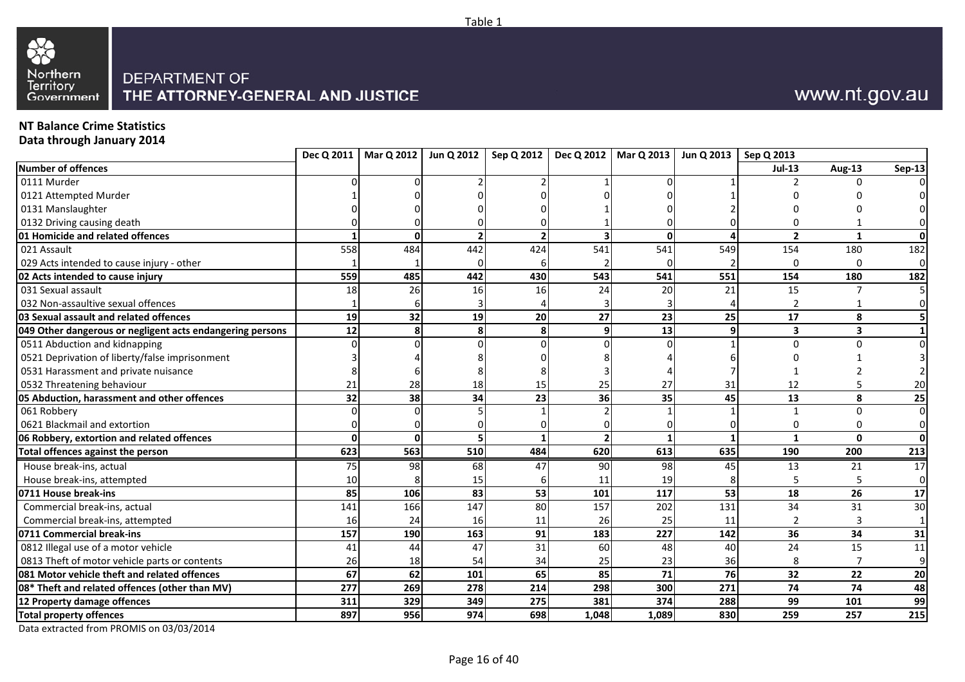



## **NT Balance Crime Statistics**

**Data through January 2014**

|                                                           |     | Dec Q 2011   Mar Q 2012   Jun Q 2012 |     |                 |                         | Sep Q 2012   Dec Q 2012   Mar Q 2013 | Jun Q 2013   Sep Q 2013 |                 |                |               |
|-----------------------------------------------------------|-----|--------------------------------------|-----|-----------------|-------------------------|--------------------------------------|-------------------------|-----------------|----------------|---------------|
| <b>Number of offences</b>                                 |     |                                      |     |                 |                         |                                      |                         | <b>Jul-13</b>   | <b>Aug-13</b>  | <b>Sep-13</b> |
| 0111 Murder                                               |     |                                      |     |                 |                         |                                      |                         |                 | U              |               |
| 0121 Attempted Murder                                     |     |                                      |     |                 |                         |                                      |                         |                 |                |               |
| 0131 Manslaughter                                         |     |                                      |     |                 |                         |                                      |                         |                 |                |               |
| 0132 Driving causing death                                |     |                                      |     |                 |                         |                                      |                         |                 |                |               |
| 01 Homicide and related offences                          |     | ŋ                                    |     |                 | $\overline{\mathbf{3}}$ | $\mathbf{0}$                         |                         | $\overline{2}$  | $\mathbf{1}$   | $\mathbf{0}$  |
| 021 Assault                                               | 558 | 484                                  | 442 | 424             | 541                     | 541                                  | 549                     | 154             | 180            | 182           |
| 029 Acts intended to cause injury - other                 |     |                                      |     |                 |                         |                                      |                         | $\Omega$        | 0              | $\mathbf 0$   |
| 02 Acts intended to cause injury                          | 559 | 485                                  | 442 | 430             | 543                     | 541                                  | 551                     | 154             | 180            | 182           |
| 031 Sexual assault                                        | 18  | 26                                   | 16  | 16              | 24                      | 20                                   | 21                      | 15              |                |               |
| 032 Non-assaultive sexual offences                        |     |                                      |     |                 |                         |                                      |                         | $\overline{2}$  |                | 0             |
| 03 Sexual assault and related offences                    | 19  | 32                                   | 19  | 20              | 27                      | 23                                   | 25                      | 17              | 8              |               |
| 049 Other dangerous or negligent acts endangering persons | 12  |                                      | 8   |                 | 9                       | 13                                   |                         | 3               | 3              |               |
| 0511 Abduction and kidnapping                             |     |                                      |     |                 | O                       |                                      |                         | $\Omega$        | U              | $\Omega$      |
| 0521 Deprivation of liberty/false imprisonment            |     |                                      |     |                 |                         |                                      |                         |                 |                |               |
| 0531 Harassment and private nuisance                      |     |                                      |     |                 |                         |                                      |                         |                 |                |               |
| 0532 Threatening behaviour                                | 21  | 28                                   | 18  | 15              | 25                      | 27                                   | 31                      | 12              |                | 20            |
| 05 Abduction, harassment and other offences               | 32  | 38                                   | 34  | 23              | 36                      | 35                                   | 45                      | 13              | 8              | 25            |
| 061 Robbery                                               |     |                                      |     |                 |                         |                                      |                         |                 | $\Omega$       | $\Omega$      |
| 0621 Blackmail and extortion                              |     |                                      |     |                 |                         |                                      |                         | $\Omega$        | 0              | 0             |
| 06 Robbery, extortion and related offences                |     |                                      |     |                 | $\overline{2}$          |                                      |                         | 1               | $\mathbf{0}$   | $\mathbf{0}$  |
| Total offences against the person                         | 623 | 563                                  | 510 | 484             | 620                     | 613                                  | 635                     | 190             | 200            | 213           |
| House break-ins, actual                                   | 75  | 98                                   | 68  | 47              | 90                      | 98                                   | 45                      | 13              | 21             | 17            |
| House break-ins, attempted                                | 10  |                                      | 15  |                 | 11                      | 19                                   |                         | 5               | 5              | $\mathbf 0$   |
| 0711 House break-ins                                      | 85  | 106                                  | 83  | 53              | 101                     | 117                                  | 53                      | 18              | 26             | 17            |
| Commercial break-ins, actual                              | 141 | 166                                  | 147 | $\overline{80}$ | 157                     | $\overline{202}$                     | 131                     | $\overline{34}$ | 31             | 30            |
| Commercial break-ins, attempted                           | 16  | 24                                   | 16  | 11              | 26                      | 25                                   | 11                      | $\overline{2}$  | 3              | $\mathbf{1}$  |
| 0711 Commercial break-ins                                 | 157 | 190                                  | 163 | 91              | 183                     | 227                                  | 142                     | 36              | 34             | 31            |
| 0812 Illegal use of a motor vehicle                       | 41  | 44                                   | 47  | 31              | 60                      | 48                                   | 40                      | 24              | 15             | 11            |
| 0813 Theft of motor vehicle parts or contents             | 26  | 18                                   | 54  | 34              | 25                      | 23                                   | 36                      | 8               | $\overline{7}$ | 9             |
| 081 Motor vehicle theft and related offences              | 67  | 62                                   | 101 | 65              | 85                      | 71                                   | 76                      | 32              | 22             | 20            |
| 08* Theft and related offences (other than MV)            | 277 | 269                                  | 278 | 214             | 298                     | 300                                  | 271                     | 74              | 74             | 48            |
| 12 Property damage offences                               | 311 | 329                                  | 349 | 275             | 381                     | 374                                  | 288                     | 99              | 101            | 99            |
| <b>Total property offences</b>                            | 897 | 956                                  | 974 | 698             | 1,048                   | 1,089                                | 830                     | 259             | 257            | 215           |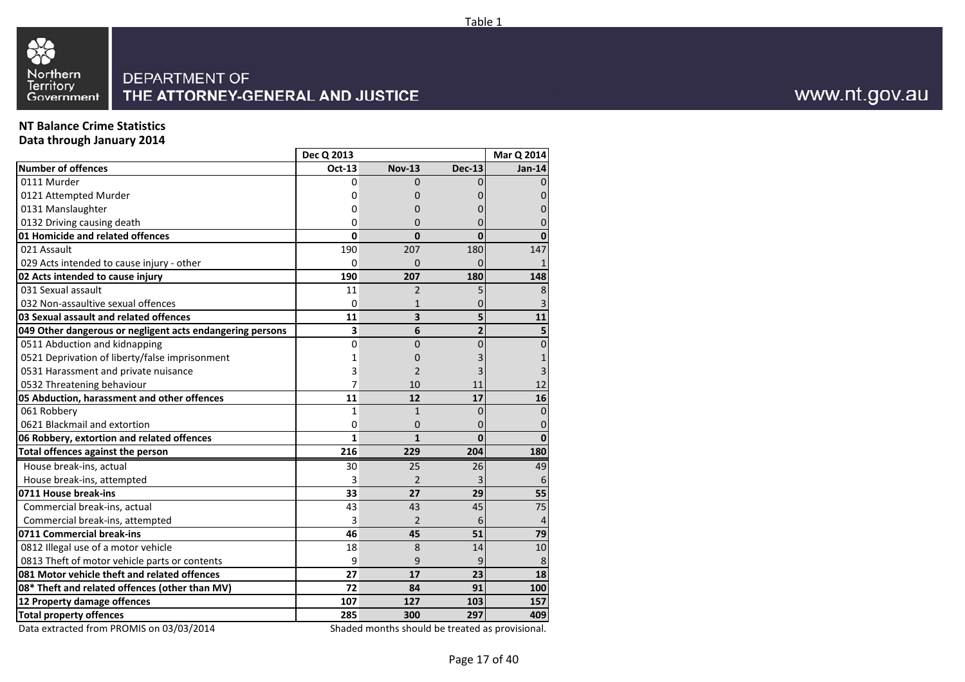



## **NT Balance Crime Statistics**

**Data through January 2014**

|                                                                              | Dec Q 2013   |                |                | Mar Q 2014 |
|------------------------------------------------------------------------------|--------------|----------------|----------------|------------|
| <b>Number of offences</b>                                                    | Oct-13       | <b>Nov-13</b>  | <b>Dec-13</b>  | Jan-14     |
| 0111 Murder                                                                  | 0            | $\Omega$       |                |            |
| 0121 Attempted Murder                                                        | 0            | 0              |                |            |
| 0131 Manslaughter                                                            | 0            | O              |                |            |
| 0132 Driving causing death                                                   | 0            | 0              |                |            |
| 01 Homicide and related offences                                             | 0            | $\bf{0}$       | 0              |            |
| 021 Assault                                                                  | 190          | 207            | 180            | 147        |
| 029 Acts intended to cause injury - other                                    | 0            | 0              |                |            |
| 02 Acts intended to cause injury                                             | 190          | 207            | 180            | 148        |
| 031 Sexual assault                                                           | 11           | $\overline{2}$ |                | 8          |
| 032 Non-assaultive sexual offences                                           | $\Omega$     | $\mathbf{1}$   |                |            |
| 03 Sexual assault and related offences                                       | 11           | 3              | 5              | 11         |
| 049 Other dangerous or negligent acts endangering persons                    | 3            | 6              | $\overline{2}$ |            |
| 0511 Abduction and kidnapping                                                | 0            | 0              | 0              | 0          |
| 0521 Deprivation of liberty/false imprisonment                               | 1            | 0              |                |            |
| 0531 Harassment and private nuisance                                         | 3            | 2              |                |            |
| 0532 Threatening behaviour                                                   | 7            | 10             | 11             | 12         |
| 05 Abduction, harassment and other offences                                  | 11           | 12             | 17             | 16         |
| 061 Robbery                                                                  | 1            | $\mathbf{1}$   | 0              | 0          |
| 0621 Blackmail and extortion                                                 | 0            | 0              | 0              | 0          |
| 06 Robbery, extortion and related offences                                   | $\mathbf{1}$ | $\mathbf{1}$   | $\Omega$       | $\Omega$   |
| Total offences against the person                                            | 216          | 229            | 204            | 180        |
| House break-ins, actual                                                      | 30           | 25             | 26             | 49         |
| House break-ins, attempted                                                   | 3            | $\overline{2}$ |                | 6          |
| 0711 House break-ins                                                         | 33           | 27             | 29             | 55         |
| Commercial break-ins, actual                                                 | 43           | 43             | 45             | 75         |
| Commercial break-ins, attempted                                              | 3            | 2              | 6              | 4          |
| 0711 Commercial break-ins                                                    | 46           | 45             | 51             | 79         |
| 0812 Illegal use of a motor vehicle                                          | 18           | 8              | 14             | 10         |
| 0813 Theft of motor vehicle parts or contents                                | 9            | 9              | 9              | 8          |
| 081 Motor vehicle theft and related offences                                 | 27           | 17             | 23             | 18         |
| 08* Theft and related offences (other than MV)                               | 72           | 84             | 91             | 100        |
| 12 Property damage offences                                                  | 107          | 127            | 103            | 157        |
| <b>Total property offences</b>                                               | 285          | 300            | 297            | 409        |
| $\mathbf{A}$ . $\mathbf{A}$ $\mathbf{C}$ . The probability of<br>0.210212044 | $\sim$ L     |                |                |            |

Data extracted from PROMIS on 03/03/2014

Shaded months should be treated as provisional.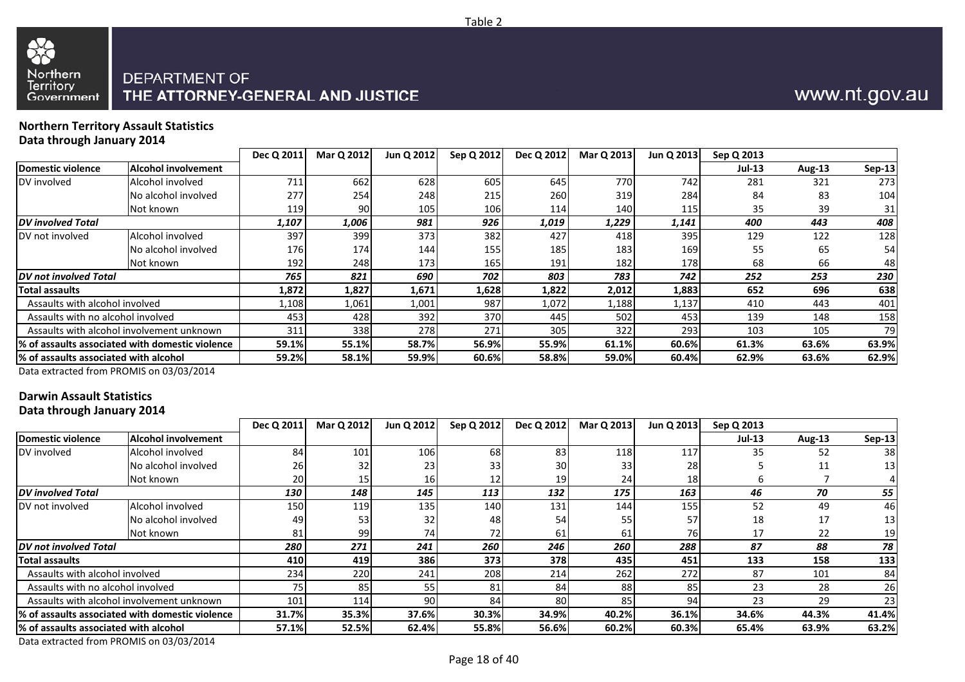



### **Northern Territory Assault StatisticsData through January 2014**

33

|                                           |                                                  | Dec Q 2011 | Mar Q 2012 | Jun Q 2012 | Sep Q 2012 | Dec Q 2012 | Mar Q 2013 | Jun Q 2013 | Sep Q 2013 |        |               |
|-------------------------------------------|--------------------------------------------------|------------|------------|------------|------------|------------|------------|------------|------------|--------|---------------|
| Domestic violence                         | <b>Alcohol involvement</b>                       |            |            |            |            |            |            |            | Jul-13     | Aug-13 | <b>Sep-13</b> |
| DV involved                               | Alcohol involved                                 | 711        | 662        | 628        | 605        | 645        | 770        | 742        | 281        | 321    | 273           |
|                                           | No alcohol involved                              | 277        | 254        | 248        | 215        | 260        | 319        | 284        | 84         | 83     | 104           |
|                                           | Not known                                        | 119        | 90         | 105        | 106        | 114        | 140        | 115        | 35         | 39     | 31            |
| <b>DV</b> involved Total                  |                                                  | 1,107      | 1,006      | 981        | 926        | 1,019      | 1,229      | 1,141      | 400        | 443    | 408           |
| DV not involved                           | Alcohol involved                                 | 397        | 399        | 373        | 382        | 427        | 418        | 395        | 129        | 122    | 128           |
|                                           | No alcohol involved                              | 176        | 174        | 144        | 155        | 185        | 183        | 169        | 55         | 65     | 54            |
|                                           | Not known                                        | 192        | 248        | 1731       | 165        | 191        | 182        | 178        | 68         | 66     | 48            |
| <b>DV</b> not involved Total              |                                                  | 765        | 821        | 690        | 702        | 803        | 783        | 742        | 252        | 253    | 230           |
| <b>Total assaults</b>                     |                                                  | 1,872      | 1,827      | 1,671      | 1,628      | 1,822      | 2,012      | 1,883      | 652        | 696    | 638           |
| Assaults with alcohol involved            |                                                  | 1,108      | 1,061      | 1,001      | 987        | 1,072      | 1,188      | 1,137      | 410        | 443    | 401           |
| Assaults with no alcohol involved         |                                                  | 453        | 428        | 392        | 370        | 445        | 502        | 453        | 139        | 148    | 158           |
| Assaults with alcohol involvement unknown | 338<br>278<br>311<br>271<br>322<br>293<br>305    |            | 103        | 105        | 79         |            |            |            |            |        |               |
|                                           | 1% of assaults associated with domestic violence | 59.1%      | 55.1%      | 58.7%      | 56.9%      | 55.9%      | 61.1%      | 60.6%      | 61.3%      | 63.6%  | 63.9%         |
| 1% of assaults associated with alcohol    |                                                  | 59.2%      | 58.1%      | 59.9%      | 60.6%      | 58.8%      | 59.0%      | 60.4%      | 62.9%      | 63.6%  | 62.9%         |

Data extracted from PROMIS on 03/03/2014

## **Darwin Assault Statistics**

**Data through January 2014**

|                                        |                                                  | Dec Q 2011                                          | Mar Q 2012 | Jun Q 2012       | Sep Q 2012 | Dec Q 2012      | Mar Q 2013 | Jun Q 2013      | Sep Q 2013    |               |               |
|----------------------------------------|--------------------------------------------------|-----------------------------------------------------|------------|------------------|------------|-----------------|------------|-----------------|---------------|---------------|---------------|
| Domestic violence                      | Alcohol involvement                              |                                                     |            |                  |            |                 |            |                 | <b>Jul-13</b> | <b>Aug-13</b> | <b>Sep-13</b> |
| DV involved                            | Alcohol involved                                 | 84                                                  | 101        | 106              | 68         | 83              | 118        | 117             | 35            | 52            | 38            |
|                                        | No alcohol involved                              | 261                                                 | 32         | 23               |            | 30 <sup>1</sup> |            | 28              |               | 11            | 13            |
|                                        | Not known                                        | 20                                                  | 15         | 16               |            | 19              | 24         | 18              |               |               |               |
| <b>DV</b> involved Total               |                                                  | 130                                                 | 148        | 145              | 113        | 132             | 175        | 163             | 46            | 70            | 55            |
| DV not involved                        | Alcohol involved                                 | 150                                                 | 119        | 135 <sub>1</sub> | 140        | 131             | 144        | 155             | 52            | 49            | 46            |
|                                        | No alcohol involved                              | 49                                                  | 53         | 32               | 48         | 54              |            | 57              | 18            | 17            | 13            |
|                                        | Not known                                        | 81                                                  | 99         | 74               |            | 61              | 61         | 76 <sup>l</sup> |               | 22            | 19            |
| <b>DV</b> not involved Total           |                                                  | 271<br>260<br>280<br>241<br>246<br>260<br>288<br>87 |            | 88               | 78         |                 |            |                 |               |               |               |
| Total assaults                         |                                                  | 410                                                 | 419        | 386              | 373        | 378             | 435        | 451             | 133           | 158           | 133           |
| Assaults with alcohol involved         |                                                  | 234                                                 | 220        | 241              | 208        | 214             | 262        | 272             | 87            | 101           | 84            |
| Assaults with no alcohol involved      |                                                  | 75.                                                 | 85         | 55               | 81         | 84              | 88         | 85              | 23            | 28            | 26            |
|                                        | Assaults with alcohol involvement unknown        | 101                                                 | 114        | 90I              | 84         | 80              | 85         | 94              | 23            | 29            | 23            |
|                                        | l% of assaults associated with domestic violence | 31.7%                                               | 35.3%      | 37.6%            | 30.3%      | 34.9%           | 40.2%      | 36.1%           | 34.6%         | 44.3%         | 41.4%         |
| l% of assaults associated with alcohol |                                                  | 57.1%                                               | 52.5%      | 62.4%            | 55.8%      | 56.6%           | 60.2%      | 60.3%           | 65.4%         | 63.9%         | 63.2%         |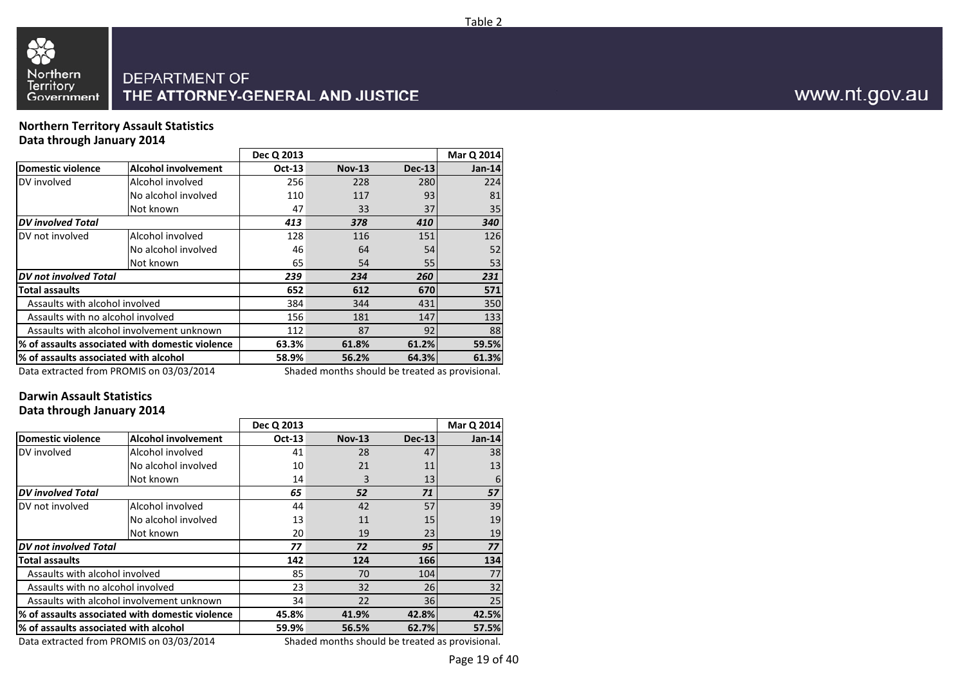

### **Northern Territory Assault StatisticsData through January 2014**

|                                           |                                                 | Dec Q 2013     |                                                |               | Mar Q 2014 |
|-------------------------------------------|-------------------------------------------------|----------------|------------------------------------------------|---------------|------------|
| <b>Domestic violence</b>                  | <b>Alcohol involvement</b>                      | <b>Oct-13</b>  | <b>Nov-13</b>                                  | <b>Dec-13</b> | $Jan-14$   |
| DV involved                               | Alcohol involved                                | 256            | 228                                            | 280           | 224        |
|                                           | No alcohol involved                             | 110            | 117                                            | 93            | 81         |
|                                           | Not known                                       | 47             | 33                                             | 37            | 35         |
| <b>DV</b> involved Total                  |                                                 | 413            | 378                                            | 410           | 340        |
| DV not involved                           | Alcohol involved                                | 128            | 116                                            | 151           | 126        |
|                                           | No alcohol involved                             | 46             | 64                                             | 54            | 52         |
|                                           | Not known                                       | 65             | 54                                             | 55            | 53         |
| <b>DV</b> not involved Total              |                                                 | 239            | 234                                            | 260           | 231        |
| <b>Total assaults</b>                     |                                                 | 652            | 612                                            | 670           | 571        |
| Assaults with alcohol involved            |                                                 | 384            | 344                                            | 431           | 350        |
| Assaults with no alcohol involved         |                                                 | 156            | 181                                            | 147           | 133        |
| Assaults with alcohol involvement unknown |                                                 | 112            | 87                                             | 92            | 88         |
|                                           | % of assaults associated with domestic violence | 63.3%<br>61.8% |                                                | 61.2%         | 59.5%      |
| l% of assaults associated with alcohol    | 58.9%                                           | 56.2%          | 64.3%                                          | 61.3%         |            |
|                                           | $Det$ actual from DDOMIC an 03/03/3014          |                | Chadad mantha shauld ha tusatad as nusuisianal |               |            |

Data extracted from PROMIS on 03/03/2014

Shaded months should be treated as provisional.

# **Darwin Assault Statistics**

### **Data through January 2014**

|                                       |                                                             | Dec Q 2013    |                                                 |          | Mar Q 2014    |
|---------------------------------------|-------------------------------------------------------------|---------------|-------------------------------------------------|----------|---------------|
| <b>Domestic violence</b>              | <b>Alcohol involvement</b>                                  | <b>Oct-13</b> | <b>Nov-13</b>                                   | $Dec-13$ | <b>Jan-14</b> |
| DV involved                           | Alcohol involved                                            | 41            | 28                                              | 47       | 38            |
|                                       | No alcohol involved                                         | 10            | 21                                              | 11       | 13            |
|                                       | Not known                                                   | 14            | 3                                               | 13       | 6             |
| <b>DV</b> involved Total              |                                                             | 65            | 52                                              | 71       | 57            |
| DV not involved                       | Alcohol involved                                            | 44            | 42                                              | 57       | 39            |
|                                       | No alcohol involved                                         | 13            | 11                                              | 15       | 19            |
|                                       | Not known                                                   | 20            | 19                                              | 23       | 19            |
| <b>DV</b> not involved Total          |                                                             | 77            | 72                                              | 95       | 77            |
| <b>Total assaults</b>                 |                                                             | 142           | 124                                             | 166      | 134           |
| Assaults with alcohol involved        |                                                             | 85            | 70                                              | 104      | 77            |
| Assaults with no alcohol involved     |                                                             | 23            | 32                                              | 26       | 32            |
|                                       | Assaults with alcohol involvement unknown<br>34<br>22<br>36 |               |                                                 | 25       |               |
|                                       | % of assaults associated with domestic violence             | 45.8%         | 41.9%                                           | 42.8%    | 42.5%         |
| % of assaults associated with alcohol | 59.9%                                                       | 56.5%         | 62.7%                                           | 57.5%    |               |
|                                       | Data extracted from PROMIS on 03/03/2014                    |               | Shaded months should be treated as provisional. |          |               |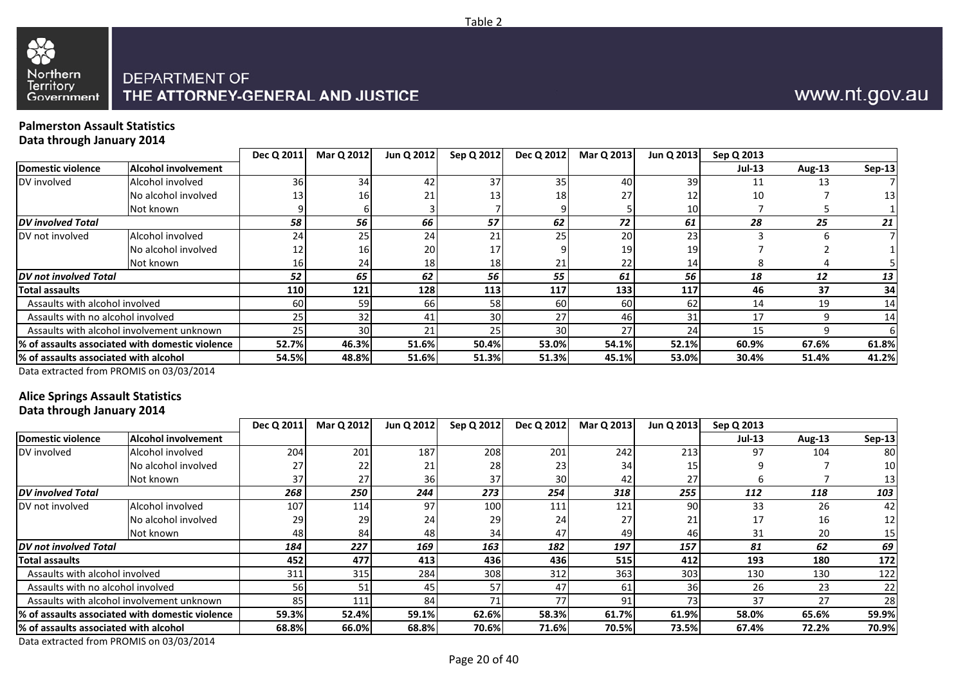

### **Palmerston Assault StatisticsData through January 2014**

|                                        |                                                  | Dec Q 2011   | Mar Q 2012      | Jun Q 2012 | Sep Q 2012 | Dec Q 2012      | Mar Q 2013      | Jun Q 2013 | Sep Q 2013 |        |        |
|----------------------------------------|--------------------------------------------------|--------------|-----------------|------------|------------|-----------------|-----------------|------------|------------|--------|--------|
| Domestic violence                      | <b>Alcohol involvement</b>                       |              |                 |            |            |                 |                 |            | $Jul-13$   | Aug-13 | Sep-13 |
| DV involved                            | Alcohol involved                                 | 36           | 34              | 42         | 37         | 35 <sub>1</sub> | 40              | 39         | 11         |        |        |
|                                        | No alcohol involved                              | 13           | 161             | 21         |            | 18              | 27              | 12         | 10         |        | 13     |
|                                        | Not known                                        |              |                 |            |            |                 |                 | 10         |            |        |        |
| <b>IDV</b> involved Total              |                                                  | 58           | 56              | 66         | 57         | 62              | 72              | 61         | 28         | 25     | 21     |
| DV not involved                        | Alcohol involved                                 | 24           | 25 <sub>1</sub> | 24         |            | 25              | 20 <sup>1</sup> | 23         |            |        |        |
|                                        | No alcohol involved                              | 12           |                 | <b>20</b>  |            |                 | 19              | 19         |            |        |        |
|                                        | Not known                                        | <b>16</b>    | 24              | 18         | 18         | 21              | 22              | 14         |            |        |        |
| <b>DV</b> not involved Total           |                                                  | 52           | 65              | 62         | 56         | 55              | 61              | 56         | 18         | 12     | 13     |
| <b>Total assaults</b>                  |                                                  | <b>110</b>   | 121             | 128        | 113        | 117             | 133             | 117        | 46         | 37     | 34     |
| Assaults with alcohol involved         |                                                  | 60           | 59              | 66 I       | 58         | 60              | 60 l            | 62         | 14         | 19     | 14     |
| Assaults with no alcohol involved      |                                                  | 25           | 32              | 41         | 30         | 27              | 461             | 31         | 17         |        | 14     |
|                                        | Assaults with alcohol involvement unknown        | 25           | 30              |            |            | 30              | 27              | 24         | 15         |        |        |
|                                        | 1% of assaults associated with domestic violence | <b>52.7%</b> | 46.3%           | 51.6%      | 50.4%      | 53.0%           | 54.1%           | 52.1%      | 60.9%      | 67.6%  | 61.8%  |
| 1% of assaults associated with alcohol |                                                  | 54.5%        | 48.8%           | 51.6%      | 51.3%      | 51.3%           | 45.1%           | 53.0%      | 30.4%      | 51.4%  | 41.2%  |
|                                        |                                                  |              |                 |            |            |                 |                 |            |            |        |        |

Data extracted from PROMIS on 03/03/2014

### **Alice Springs Assault StatisticsData through January 2014**

|                                        |                                                 | Dec Q 2011      | Mar Q 2012 | Jun Q 2012 | Sep Q 2012 | Dec Q 2012 | Mar Q 2013 | Jun Q 2013 | Sep Q 2013 |        |                 |
|----------------------------------------|-------------------------------------------------|-----------------|------------|------------|------------|------------|------------|------------|------------|--------|-----------------|
| Domestic violence                      | Alcohol involvement                             |                 |            |            |            |            |            |            | $Jul-13$   | Aug-13 | Sep-13          |
| DV involved                            | Alcohol involved                                | 204             | 201        | 187        | 208        | 201        | 242        | 213        | 97         | 104    | -80 l           |
|                                        | No alcohol involved                             | 27              |            | 21         | 28         | 23         |            |            |            |        | 10 <sup>1</sup> |
|                                        | Not known                                       | 37 <sub>1</sub> | 27         | <b>36</b>  | 37         | 30         | 42         |            |            |        | 13.             |
| <b>DV</b> involved Total               |                                                 | 268             | 250        | 244        | 273        | 254        | 318        | 255        | 112        | 118    | 103             |
| DV not involved                        | Alcohol involved                                | 107             | 114        | 97         | 100        | 111        | 121        | 90         | 33         | 26     | 42              |
|                                        | No alcohol involved                             | 29              | 29         | 24         | 29         | 24         |            |            |            | 16     | 12              |
|                                        | Not known                                       | 48              | 84         | 48         | 34         | 47         | 49         | 46         | 31         | 20     | 15 <sub>1</sub> |
| <b>IDV</b> not involved Total          |                                                 | 184             | 227        | 169        | 163        | 182        | 197        | 157        | 81         | 62     | 69              |
| <b>Total assaults</b>                  |                                                 | 452             | 477        | 413        | 436        | 436        | 515        | 412        | 193        | 180    | 172             |
| Assaults with alcohol involved         |                                                 | 311             | 315        | 284        | 308        | 312        | 363        | 303        | 130        | 130    | 122             |
| Assaults with no alcohol involved      |                                                 | 56              | 51         | 45         | 57         | 47         | 61         | 36         | 26         | 23     | 22              |
|                                        | Assaults with alcohol involvement unknown       | 85              | 111        | 84         |            | 77         | 91         | 73         | 37         | 27     | 28              |
|                                        | % of assaults associated with domestic violence | 59.3%           | 52.4%      | 59.1%      | 62.6%      | 58.3%      | 61.7%      | 61.9%      | 58.0%      | 65.6%  | 59.9%           |
| 1% of assaults associated with alcohol |                                                 | 68.8%           | 66.0%      | 68.8%      | 70.6%      | 71.6%      | 70.5%      | 73.5%      | 67.4%      | 72.2%  | 70.9%           |

Data extracted from PROMIS on 03/03/2014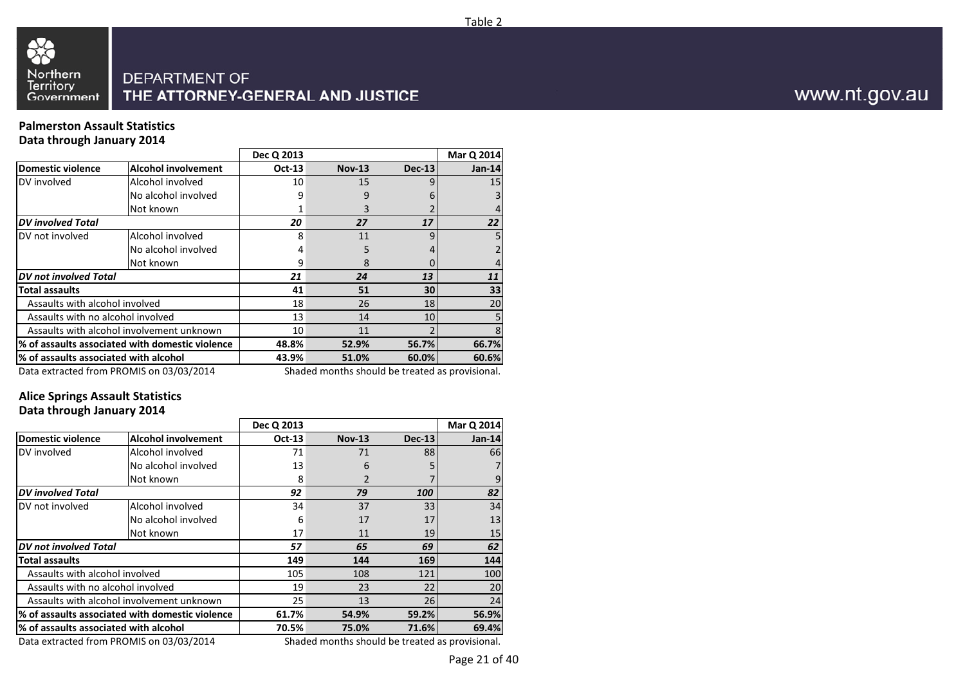

### **Palmerston Assault StatisticsData through January 2014**

|                                           |                                                                   | Dec Q 2013 |                                                |               | Mar Q 2014 |
|-------------------------------------------|-------------------------------------------------------------------|------------|------------------------------------------------|---------------|------------|
| Domestic violence                         | <b>Alcohol involvement</b>                                        | Oct-13     | <b>Nov-13</b>                                  | <b>Dec-13</b> | $Jan-14$   |
| DV involved                               | Alcohol involved                                                  | 10         | 15                                             |               | 15         |
|                                           | No alcohol involved                                               | q          |                                                |               |            |
|                                           | Not known                                                         |            |                                                |               |            |
| <b>DV</b> involved Total                  |                                                                   | 20         | 27                                             | 17            | 22         |
| DV not involved                           | Alcohol involved                                                  | 8          | 11                                             |               |            |
|                                           | No alcohol involved                                               | 4          |                                                |               |            |
|                                           | Not known                                                         | 9          | 8                                              |               |            |
| <b>DV</b> not involved Total              |                                                                   | 21         | 24                                             | 13            | 11         |
| <b>Total assaults</b>                     |                                                                   | 41         | 51                                             | 30            | 33         |
| Assaults with alcohol involved            |                                                                   | 18         | 26                                             | 18            | 20         |
| Assaults with no alcohol involved         |                                                                   | 13         | 14                                             | 10            |            |
| Assaults with alcohol involvement unknown |                                                                   | 10         | 11                                             |               |            |
|                                           | % of assaults associated with domestic violence<br>48.8%<br>52.9% |            | 56.7%                                          | 66.7%         |            |
| % of assaults associated with alcohol     |                                                                   | 43.9%      | 51.0%                                          | 60.0%         | 60.6%      |
|                                           | $Det$ actual from BBOMUC an 03/03/3014                            |            | Chadad mantha shauld ha tusatad as nusuisianal |               |            |

Data extracted from PROMIS on 03/03/2014

Shaded months should be treated as provisional.

### **Alice Springs Assault StatisticsData through January 2014**

|                                       |                                                 | Dec Q 2013 |                                                 |                | Mar Q 2014 |  |
|---------------------------------------|-------------------------------------------------|------------|-------------------------------------------------|----------------|------------|--|
| <b>Domestic violence</b>              | <b>Alcohol involvement</b>                      | Oct-13     | <b>Nov-13</b>                                   | <b>Dec-13</b>  | $Jan-14$   |  |
| DV involved                           | Alcohol involved                                | 71         | 71                                              | 88             | 66         |  |
|                                       | No alcohol involved                             | 13         | 6                                               |                |            |  |
|                                       | Not known                                       | 8          |                                                 |                |            |  |
| <b>DV</b> involved Total              |                                                 | 92         | 79                                              | 100            | 82         |  |
| DV not involved                       | Alcohol involved                                | 34         | 37                                              | 33             | 34         |  |
|                                       | No alcohol involved                             | 6          | 17                                              | 17             | 13         |  |
|                                       | Not known                                       | 17         | 11                                              | 19             | 15         |  |
| <b>DV</b> not involved Total          |                                                 | 57         | 65                                              | 69             | 62         |  |
| <b>Total assaults</b>                 |                                                 | 149        | 144                                             | 169            | 144        |  |
| Assaults with alcohol involved        |                                                 | 105        | 108                                             | 121            | 100        |  |
| Assaults with no alcohol involved     |                                                 | 19         | 23                                              | 22             | 20         |  |
|                                       | Assaults with alcohol involvement unknown       | 25         | 13                                              | 26             | 24         |  |
|                                       | % of assaults associated with domestic violence | 61.7%      | 54.9%                                           | 56.9%<br>59.2% |            |  |
| % of assaults associated with alcohol |                                                 | 70.5%      | 75.0%                                           | 71.6%          | 69.4%      |  |
|                                       | Data extracted from PROMIS on 03/03/2014        |            | Shaded months should be treated as provisional. |                |            |  |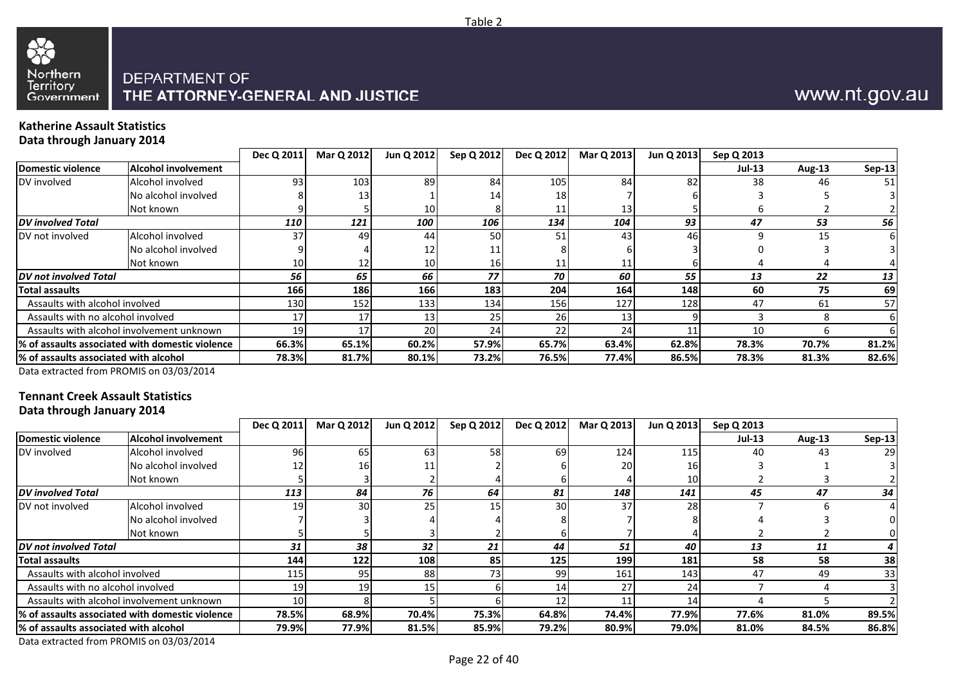

### **Katherine Assault StatisticsData through January 2014**

|                                       |                                                  | Dec Q 2011 | Mar Q 2012 | Jun Q 2012      | Sep Q 2012 | Dec Q 2012 | Mar Q 2013 | Jun Q 2013 | Sep Q 2013    |               |               |
|---------------------------------------|--------------------------------------------------|------------|------------|-----------------|------------|------------|------------|------------|---------------|---------------|---------------|
| Domestic violence                     | <b>Alcohol involvement</b>                       |            |            |                 |            |            |            |            | <b>Jul-13</b> | <b>Aug-13</b> | <b>Sep-13</b> |
| DV involved                           | Alcohol involved                                 | 93         | 103        | 89              | 84         | 105        | 84         | 82         | 38            | 46            | 51            |
|                                       | No alcohol involved                              |            | 13         |                 |            | 18         |            |            |               |               |               |
|                                       | Not known                                        |            |            | 10 I            |            |            | 13         |            |               |               |               |
| <b>DV</b> involved Total              |                                                  | 110        | 121        | 100             | 106        | 134        | 104        | 93         | 47            | 53            | 56            |
| DV not involved                       | Alcohol involved                                 | 37         | 49         | 44              | 50         | 51         | 43         | 46         |               | 15            |               |
|                                       | No alcohol involved                              |            |            | 12              |            |            |            |            |               |               |               |
|                                       | Not known                                        | 101        |            | 10 <sup>1</sup> | 16         |            |            |            |               |               |               |
| <b>DV</b> not involved Total          |                                                  | 56         | 65         | 66              | 77         | 70         | 60         | 55         | 13            | 22            | 13            |
| Total assaults                        |                                                  | 166        | 186        | 166             | 183        | 204        | 164        | 148        | 60            | 75            | 69            |
| Assaults with alcohol involved        |                                                  | 130        | 152        | 1331            | 134        | 156        | 127        | 128        | 47            | 61            | 57            |
| Assaults with no alcohol involved     |                                                  | 17         | 17         | 13 <sub>1</sub> | 25         | 26 I       |            |            |               |               | 61            |
|                                       | Assaults with alcohol involvement unknown        | 19         | 17         | 20              | 24         | 22         | 24         |            | 10            |               |               |
|                                       | 1% of assaults associated with domestic violence | 66.3%      | 65.1%      | 60.2%           | 57.9%      | 65.7%      | 63.4%      | 62.8%      | 78.3%         | 70.7%         | 81.2%         |
| % of assaults associated with alcohol |                                                  | 78.3%      | 81.7%      | 80.1%           | 73.2%      | 76.5%      | 77.4%      | 86.5%      | 78.3%         | 81.3%         | 82.6%         |

Data extracted from PROMIS on 03/03/2014

### **Tennant Creek Assault StatisticsData through January 2014**

|                                                  |                                           | Dec Q 2011 | <b>Mar Q 2012</b> | Jun Q 2012 | Sep Q 2012 | Dec Q 2012 | Mar Q 2013 | Jun Q 2013 | Sep Q 2013 |               |               |
|--------------------------------------------------|-------------------------------------------|------------|-------------------|------------|------------|------------|------------|------------|------------|---------------|---------------|
|                                                  |                                           |            |                   |            |            |            |            |            |            |               |               |
| Domestic violence                                | <b>Alcohol involvement</b>                |            |                   |            |            |            |            |            | $Jul-13$   | <b>Aug-13</b> | <b>Sep-13</b> |
| DV involved                                      | Alcohol involved                          | 96         | 65                | 63         | 58         | 69         | 124        | <b>115</b> | 40         | 43            | 29            |
|                                                  | No alcohol involved                       |            | 161               |            |            |            | 20         | 16         |            |               |               |
|                                                  | Not known                                 |            |                   |            |            |            |            | 10         |            |               |               |
| <b>DV</b> involved Total                         |                                           | 113        | 84                | 76         | 64         | 81         | 148        | 141        | 45         | 47            | 34            |
| DV not involved                                  | Alcohol involved                          | 19         | 30 <sup>1</sup>   | 25         | 15         | 30         | 37         | 28         |            |               |               |
|                                                  | No alcohol involved                       |            |                   |            |            |            |            |            |            |               |               |
|                                                  | Not known                                 |            |                   |            |            |            |            |            |            |               |               |
| <b>IDV</b> not involved Total                    |                                           | 31         | 38                | 32         | 21         | 44         | 51         | 40         | 13         | 11            |               |
| Total assaults                                   |                                           | 144        | 122               | 108        | 85         | 125        | 199        | 181        | 58         | 58            | 38            |
| Assaults with alcohol involved                   |                                           | 115        | 95                | 88         | 73         | 99         | 161        | 143        | 47         | 49            | 33            |
| Assaults with no alcohol involved                |                                           | 19         | 19                | 15         |            | 14         | 27         | 24         |            |               |               |
|                                                  | Assaults with alcohol involvement unknown | 10         |                   |            |            | 12         |            | 14         |            |               |               |
| 1% of assaults associated with domestic violence |                                           | 78.5%      | 68.9%             | 70.4%l     | 75.3%      | 64.8%      | 74.4%      | 77.9%      | 77.6%      | 81.0%         | 89.5%         |
| l% of assaults associated with alcohol           |                                           | 79.9%      | 77.9%             | 81.5%      | 85.9%      | 79.2%      | 80.9%      | 79.0%      | 81.0%      | 84.5%         | 86.8%         |
|                                                  |                                           |            |                   |            |            |            |            |            |            |               |               |

Data extracted from PROMIS on 03/03/2014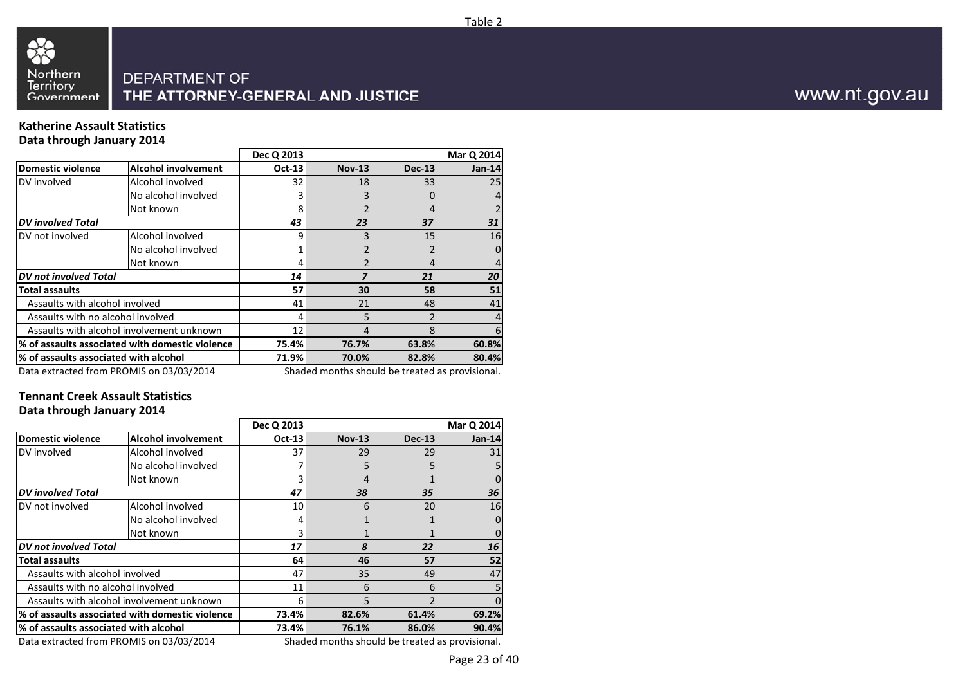

### **Katherine Assault StatisticsData through January 2014**

|                                       |                                                       | Dec Q 2013    |                                                                                 |               | Mar Q 2014 |
|---------------------------------------|-------------------------------------------------------|---------------|---------------------------------------------------------------------------------|---------------|------------|
| Domestic violence                     | <b>Alcohol involvement</b>                            | <b>Oct-13</b> | <b>Nov-13</b>                                                                   | <b>Dec-13</b> | $Jan-14$   |
| DV involved                           | Alcohol involved                                      | 32            | 18                                                                              | 33            | 25         |
|                                       | No alcohol involved                                   |               |                                                                                 |               |            |
|                                       | Not known                                             | 8             |                                                                                 |               |            |
| <b>DV</b> involved Total              |                                                       | 43            | 23                                                                              | 37            | 31         |
| DV not involved                       | Alcohol involved                                      | q             |                                                                                 | 15            | 16         |
|                                       | No alcohol involved                                   |               |                                                                                 |               |            |
|                                       | Not known                                             |               |                                                                                 |               |            |
| <b>DV</b> not involved Total          |                                                       | 14            |                                                                                 | 21            | 20         |
| <b>Total assaults</b>                 |                                                       | 57            | 30                                                                              | 58            | 51         |
| Assaults with alcohol involved        |                                                       | 41            | 21                                                                              | 48            | 41         |
| Assaults with no alcohol involved     |                                                       | 4             | 5                                                                               |               |            |
|                                       | Assaults with alcohol involvement unknown             | 12            |                                                                                 |               |            |
|                                       | % of assaults associated with domestic violence       | 75.4%         | 76.7%                                                                           | 63.8%         | 60.8%      |
| % of assaults associated with alcohol |                                                       | 71.9%         | 70.0%                                                                           | 82.8%         | 80.4%      |
|                                       | $D_{\text{obs}}$ situation from DDOMIC and O2/02/2014 |               | والمستحامات ومستسم والمستسقية والمساري والمستناء والتستمس والمساوية والمستحيلات |               |            |

Data extracted from PROMIS on 03/03/2014

Shaded months should be treated as provisional.

### **Tennant Creek Assault StatisticsData through January 2014**

|                                       |                                                 | Dec Q 2013    |                                                 |               | Mar Q 2014 |
|---------------------------------------|-------------------------------------------------|---------------|-------------------------------------------------|---------------|------------|
| <b>Domestic violence</b>              | <b>Alcohol involvement</b>                      | <b>Oct-13</b> | <b>Nov-13</b>                                   | <b>Dec-13</b> | $Jan-14$   |
| DV involved                           | Alcohol involved                                | 37            | 29                                              | 29            | 31         |
|                                       | No alcohol involved                             |               | 5                                               |               |            |
|                                       | Not known                                       |               |                                                 |               |            |
| <b>DV</b> involved Total              |                                                 | 47            | 38                                              | 35            | 36         |
| DV not involved                       | Alcohol involved                                | 10            | 6                                               | 20            | 16         |
|                                       | No alcohol involved                             | 4             |                                                 |               |            |
|                                       | Not known                                       | 3             |                                                 |               |            |
| <b>DV</b> not involved Total          |                                                 | 17            | 8                                               | 22            | 16         |
| Total assaults                        |                                                 | 64            | 46                                              | 57            | 52         |
| Assaults with alcohol involved        |                                                 | 47            | 35                                              | 49            | 47         |
| Assaults with no alcohol involved     |                                                 | 11            | 6                                               |               |            |
|                                       | Assaults with alcohol involvement unknown       | 6             | 5                                               |               |            |
|                                       | % of assaults associated with domestic violence | 73.4%         | 82.6%                                           | 61.4%         | 69.2%      |
| % of assaults associated with alcohol |                                                 | 73.4%         | 76.1%                                           | 86.0%         | 90.4%      |
|                                       | Data extracted from PROMIS on 03/03/2014        |               | Shaded months should be treated as provisional. |               |            |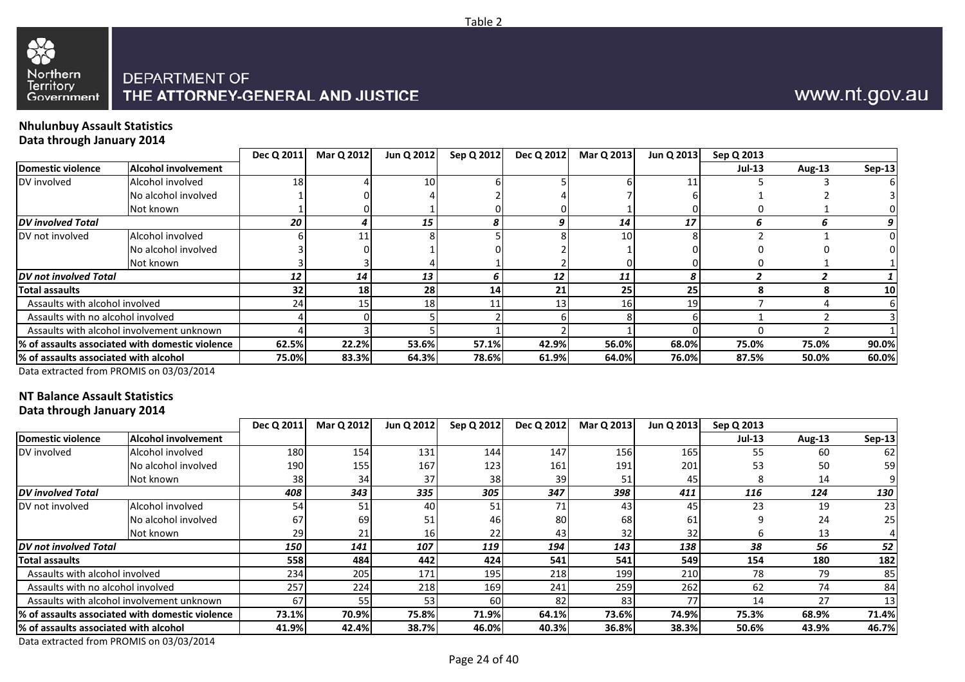

Table 2



### **Nhulunbuy Assault StatisticsData through January 2014**

33

|                                       |                                                 | Dec Q 2011      | Mar Q 2012     | Jun Q 2012      | Sep Q 2012 | Dec Q 2012 | Mar Q 2013 | Jun Q 2013 | Sep Q 2013    |        |               |
|---------------------------------------|-------------------------------------------------|-----------------|----------------|-----------------|------------|------------|------------|------------|---------------|--------|---------------|
| Domestic violence                     | Alcohol involvement                             |                 |                |                 |            |            |            |            | <b>Jul-13</b> | Aug-13 | <b>Sep-13</b> |
| DV involved                           | Alcohol involved                                | 18              |                | 10 <sup>1</sup> |            |            |            |            |               |        |               |
|                                       | No alcohol involved                             |                 |                |                 |            |            |            |            |               |        |               |
|                                       | Not known                                       |                 |                |                 |            |            |            |            |               |        |               |
| <b>DV</b> involved Total              |                                                 | 20              |                | 15              |            |            | 14         | 17         |               |        |               |
| DV not involved                       | Alcohol involved                                |                 |                |                 |            |            | 10         |            |               |        |               |
|                                       | No alcohol involved                             |                 |                |                 |            |            |            |            |               |        |               |
|                                       | Not known                                       |                 |                |                 |            |            |            |            |               |        |               |
| <b>DV</b> not involved Total          |                                                 | 12              | 14             | 13              |            | 12         | 11         |            |               |        |               |
| <b>Total assaults</b>                 |                                                 | 32 <sub>1</sub> | 18             | 28              | 14         | 21         | 25         | 25         |               |        | 10            |
| Assaults with alcohol involved        |                                                 | 24              |                | 18              |            | 13         | 16         | 19         |               |        |               |
| Assaults with no alcohol involved     |                                                 |                 |                |                 |            |            |            |            |               |        |               |
|                                       | Assaults with alcohol involvement unknown       |                 |                |                 |            |            |            |            |               |        |               |
|                                       | % of assaults associated with domestic violence |                 | 62.5%<br>22.2% | 53.6%           | 57.1%      | 42.9%      | 56.0%      | 68.0%      | 75.0%         | 75.0%  | 90.0%         |
| % of assaults associated with alcohol |                                                 | 75.0%           | 83.3%          | 64.3%           | 78.6%      | 61.9%      | 64.0%      | 76.0%      | 87.5%         | 50.0%  | 60.0%         |
|                                       |                                                 |                 |                |                 |            |            |            |            |               |        |               |

Data extracted from PROMIS on 03/03/2014

## **NT Balance Assault Statistics**

**Data through January 2014**

|                                                  | Dec Q 2011 | Mar Q 2012     |       | Sep Q 2012 | Dec Q 2012 | Mar Q 2013 | Jun Q 2013 | Sep Q 2013    |        |               |
|--------------------------------------------------|------------|----------------|-------|------------|------------|------------|------------|---------------|--------|---------------|
| <b>Alcohol involvement</b>                       |            |                |       |            |            |            |            | <b>Jul-13</b> | Aug-13 | <b>Sep-13</b> |
| Alcohol involved                                 | 180        | 154            | 131   | 144        | 147        | 156        | 165        | 55            | -60    | 62            |
| No alcohol involved                              | 190        | 155            | 167   | 123        | 161        | 191        | 201        | 53            | 50     | 59            |
| Not known                                        | 38         | 34             | 37    | 38         | 39         |            | 45         |               | 14     |               |
|                                                  | 408        | 343            | 335   | 305        | 347        | 398        | 411        | 116           | 124    | 130           |
| Alcohol involved                                 | 54         | 51             | 40    | 51         | 71         | 43         | 45         | 23            | 19     | 23            |
| No alcohol involved                              | 67         | 69             | 51    | 46         | 80         | 68         | 61         |               | 24     | <b>251</b>    |
| Not known                                        | 29         | 21             | 161   | 22         | 43         | 32         | 32         |               | 13     |               |
| <b>IDV not involved Total</b>                    | 150        | 141            | 107   | 119        | 194        | 143        | 138        | 38            | 56     | 52            |
|                                                  | 558        | 484            | 442   | 424        | 541        | 541        | 549        | 154           | 180    | 182           |
| Assaults with alcohol involved                   | 234        | 205            | 171   | 195        | 218        | 199        | 210        | 78            | 79     | 85            |
| Assaults with no alcohol involved                | 257        | 224            | 218   | 169        | 241        | 259        | 262        | 62            | 74     | 84            |
| Assaults with alcohol involvement unknown        | 67         | 55             | 53    | 60         | 82         | 83         | 77         | 14            | 27     | 13            |
| 1% of assaults associated with domestic violence |            | 70.9%          | 75.8% | 71.9%      | 64.1%      | 73.6%      | 74.9%      | 75.3%         | 68.9%  | 71.4%         |
| % of assaults associated with alcohol            |            | 42.4%          | 38.7% | 46.0%      | 40.3%      | 36.8%      | 38.3%      | 50.6%         | 43.9%  | 46.7%         |
|                                                  |            | 73.1%<br>41.9% |       | Jun Q 2012 |            |            |            |               |        |               |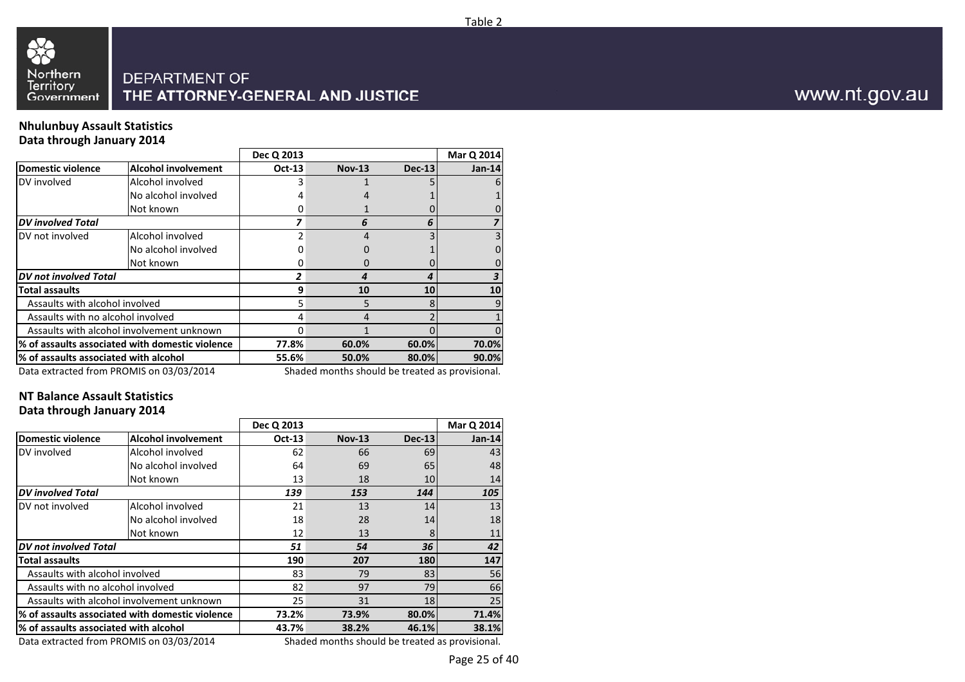

### **Nhulunbuy Assault StatisticsData through January 2014**

|                                       |                                                 | Dec Q 2013 |                                                |          | Mar Q 2014 |
|---------------------------------------|-------------------------------------------------|------------|------------------------------------------------|----------|------------|
| <b>Domestic violence</b>              | <b>Alcohol involvement</b>                      | Oct-13     | <b>Nov-13</b>                                  | $Dec-13$ | $Jan-14$   |
| DV involved                           | Alcohol involved                                |            |                                                |          |            |
|                                       | No alcohol involved                             |            |                                                |          |            |
|                                       | Not known                                       |            |                                                |          |            |
| <b>DV</b> involved Total              |                                                 |            |                                                | h        |            |
| DV not involved                       | Alcohol involved                                |            |                                                |          |            |
|                                       | No alcohol involved                             |            |                                                |          |            |
|                                       | Not known                                       |            |                                                |          |            |
| DV not involved Total                 |                                                 |            |                                                |          |            |
| <b>Total assaults</b>                 |                                                 | 9          | 10                                             | 10       | 10         |
| Assaults with alcohol involved        |                                                 |            | 5                                              | 8        |            |
| Assaults with no alcohol involved     |                                                 |            |                                                |          |            |
|                                       | Assaults with alcohol involvement unknown       |            |                                                |          |            |
|                                       | % of assaults associated with domestic violence | 77.8%      | 60.0%                                          | 60.0%    | 70.0%      |
| % of assaults associated with alcohol |                                                 | 55.6%      | 50.0%                                          | 80.0%    | 90.0%      |
|                                       | Data outracted from DROMIS on 03/03/3014        |            | Chadod months should be treated as provisional |          |            |

Data extracted from PROMIS on 03/03/2014

Shaded months should be treated as provisional.

### **NT Balance Assault StatisticsData through January 2014**

|                                       |                                                 | Dec Q 2013    |                                                 |               | Mar Q 2014    |
|---------------------------------------|-------------------------------------------------|---------------|-------------------------------------------------|---------------|---------------|
| <b>Domestic violence</b>              | <b>Alcohol involvement</b>                      | <b>Oct-13</b> | <b>Nov-13</b>                                   | <b>Dec-13</b> | <b>Jan-14</b> |
| DV involved                           | Alcohol involved                                | 62            | 66                                              | 69            | 43            |
|                                       | No alcohol involved                             | 64            | 69                                              | 65            | 48            |
|                                       | Not known                                       | 13            | 18                                              | 10            | 14            |
| <b>DV</b> involved Total              |                                                 | 139           | 153                                             | 144           | 105           |
| DV not involved                       | Alcohol involved                                | 21            | 13                                              | 14            | 13            |
|                                       | No alcohol involved                             | 18            | 28                                              | 14            | 18            |
|                                       | Not known                                       | 12            | 13                                              | 8             | 11            |
| <b>DV</b> not involved Total          |                                                 | 51            | 54                                              | 36            | 42            |
| <b>Total assaults</b>                 |                                                 | 190           | 207                                             | 180           | 147           |
| Assaults with alcohol involved        |                                                 | 83            | 79                                              | 83            | 56            |
| Assaults with no alcohol involved     |                                                 | 82            | 97                                              | 79            | 66            |
|                                       | Assaults with alcohol involvement unknown       | 25            | 31                                              | 18            | 25            |
|                                       | % of assaults associated with domestic violence | 73.2%         | 73.9%                                           | 80.0%         | 71.4%         |
| % of assaults associated with alcohol |                                                 | 43.7%         | 38.2%                                           | 46.1%         | 38.1%         |
|                                       | Data extracted from PROMIS on 03/03/2014        |               | Shaded months should be treated as provisional. |               |               |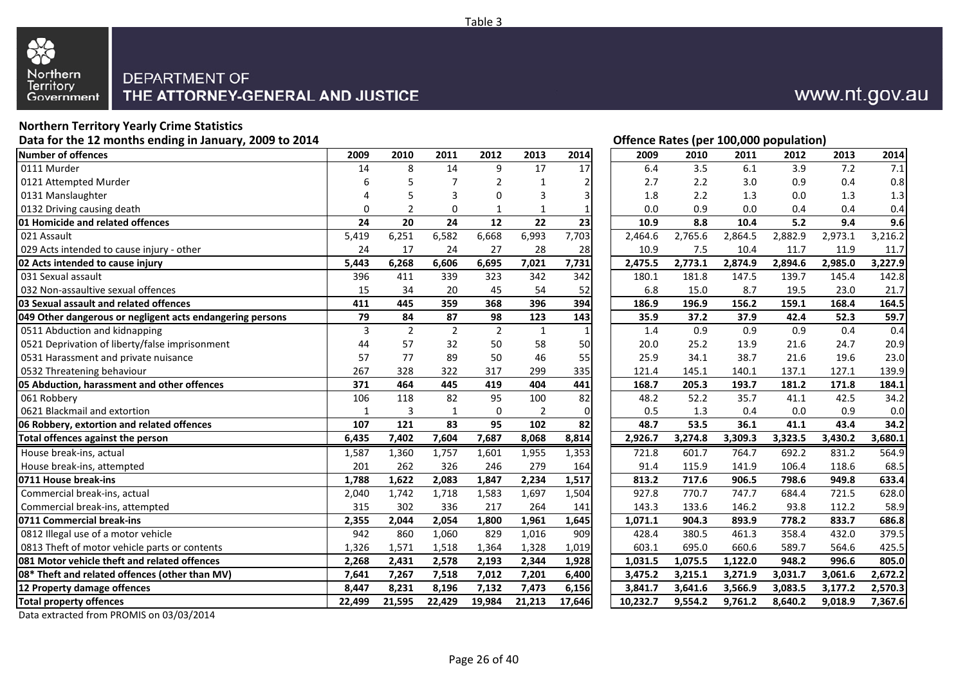

# **Northern Territory Yearly Crime Statistics**

| Data for the 12 months ending in January, 2009 to 2014    |          |                |                |                |                | Offence Rates (per 100,000 population) |          |         |         |         |         |         |  |
|-----------------------------------------------------------|----------|----------------|----------------|----------------|----------------|----------------------------------------|----------|---------|---------|---------|---------|---------|--|
| <b>Number of offences</b>                                 | 2009     | 2010           | 2011           | 2012           | 2013           | 2014                                   | 2009     | 2010    | 2011    | 2012    | 2013    | 2014    |  |
| 0111 Murder                                               | 14       | 8              | 14             | 9              | 17             | 17                                     | 6.4      | 3.5     | 6.1     | 3.9     | 7.2     | 7.1     |  |
| 0121 Attempted Murder                                     | 6        |                | 7              | $\overline{2}$ | 1              | $\overline{2}$                         | 2.7      | 2.2     | 3.0     | 0.9     | 0.4     | 0.8     |  |
| 0131 Manslaughter                                         |          |                | 3              | 0              | 3              | 3                                      | 1.8      | 2.2     | 1.3     | 0.0     | 1.3     | 1.3     |  |
| 0132 Driving causing death                                | $\Omega$ | $\overline{2}$ | 0              | $\mathbf{1}$   | 1              | $\mathbf{1}$                           | 0.0      | 0.9     | 0.0     | 0.4     | 0.4     | 0.4     |  |
| 01 Homicide and related offences                          | 24       | 20             | 24             | 12             | 22             | 23                                     | 10.9     | 8.8     | 10.4    | 5.2     | 9.4     | 9.6     |  |
| 021 Assault                                               | 5,419    | 6,251          | 6,582          | 6,668          | 6,993          | 7,703                                  | 2,464.6  | 2,765.6 | 2,864.5 | 2,882.9 | 2,973.1 | 3,216.2 |  |
| 029 Acts intended to cause injury - other                 | 24       | 17             | 24             | 27             | 28             | 28                                     | 10.9     | 7.5     | 10.4    | 11.7    | 11.9    | 11.7    |  |
| 02 Acts intended to cause injury                          | 5,443    | 6,268          | 6,606          | 6,695          | 7,021          | 7,731                                  | 2,475.5  | 2,773.1 | 2,874.9 | 2,894.6 | 2,985.0 | 3,227.9 |  |
| 031 Sexual assault                                        | 396      | 411            | 339            | 323            | 342            | 342                                    | 180.1    | 181.8   | 147.5   | 139.7   | 145.4   | 142.8   |  |
| 032 Non-assaultive sexual offences                        | 15       | 34             | 20             | 45             | 54             | 52                                     | 6.8      | 15.0    | 8.7     | 19.5    | 23.0    | 21.7    |  |
| 03 Sexual assault and related offences                    | 411      | 445            | 359            | 368            | 396            | 394                                    | 186.9    | 196.9   | 156.2   | 159.1   | 168.4   | 164.5   |  |
| 049 Other dangerous or negligent acts endangering persons | 79       | 84             | 87             | 98             | 123            | 143                                    | 35.9     | 37.2    | 37.9    | 42.4    | 52.3    | 59.7    |  |
| 0511 Abduction and kidnapping                             | 3        | $\overline{2}$ | $\overline{2}$ | $\overline{2}$ | $\mathbf{1}$   | $\mathbf{1}$                           | 1.4      | 0.9     | 0.9     | 0.9     | 0.4     | 0.4     |  |
| 0521 Deprivation of liberty/false imprisonment            | 44       | 57             | 32             | 50             | 58             | 50                                     | 20.0     | 25.2    | 13.9    | 21.6    | 24.7    | 20.9    |  |
| 0531 Harassment and private nuisance                      | 57       | 77             | 89             | 50             | 46             | 55                                     | 25.9     | 34.1    | 38.7    | 21.6    | 19.6    | 23.0    |  |
| 0532 Threatening behaviour                                | 267      | 328            | 322            | 317            | 299            | 335                                    | 121.4    | 145.1   | 140.1   | 137.1   | 127.1   | 139.9   |  |
| 05 Abduction, harassment and other offences               | 371      | 464            | 445            | 419            | 404            | 441                                    | 168.7    | 205.3   | 193.7   | 181.2   | 171.8   | 184.1   |  |
| 061 Robbery                                               | 106      | 118            | 82             | 95             | 100            | 82                                     | 48.2     | 52.2    | 35.7    | 41.1    | 42.5    | 34.2    |  |
| 0621 Blackmail and extortion                              | 1        | 3              | $\mathbf{1}$   | $\mathbf 0$    | $\overline{2}$ | $\mathbf 0$                            | 0.5      | 1.3     | 0.4     | 0.0     | 0.9     | 0.0     |  |
| 06 Robbery, extortion and related offences                | 107      | 121            | 83             | 95             | 102            | 82                                     | 48.7     | 53.5    | 36.1    | 41.1    | 43.4    | 34.2    |  |
| Total offences against the person                         | 6,435    | 7,402          | 7,604          | 7,687          | 8,068          | 8,814                                  | 2,926.7  | 3,274.8 | 3,309.3 | 3,323.5 | 3,430.2 | 3,680.1 |  |
| House break-ins, actual                                   | 1,587    | 1,360          | 1,757          | 1,601          | 1,955          | 1,353                                  | 721.8    | 601.7   | 764.7   | 692.2   | 831.2   | 564.9   |  |
| House break-ins, attempted                                | 201      | 262            | 326            | 246            | 279            | 164                                    | 91.4     | 115.9   | 141.9   | 106.4   | 118.6   | 68.5    |  |
| 0711 House break-ins                                      | 1,788    | 1,622          | 2,083          | 1,847          | 2,234          | 1,517                                  | 813.2    | 717.6   | 906.5   | 798.6   | 949.8   | 633.4   |  |
| Commercial break-ins, actual                              | 2,040    | 1,742          | 1,718          | 1,583          | 1,697          | 1,504                                  | 927.8    | 770.7   | 747.7   | 684.4   | 721.5   | 628.0   |  |
| Commercial break-ins, attempted                           | 315      | 302            | 336            | 217            | 264            | 141                                    | 143.3    | 133.6   | 146.2   | 93.8    | 112.2   | 58.9    |  |
| 0711 Commercial break-ins                                 | 2,355    | 2,044          | 2,054          | 1,800          | 1,961          | 1,645                                  | 1,071.1  | 904.3   | 893.9   | 778.2   | 833.7   | 686.8   |  |
| 0812 Illegal use of a motor vehicle                       | 942      | 860            | 1,060          | 829            | 1,016          | 909                                    | 428.4    | 380.5   | 461.3   | 358.4   | 432.0   | 379.5   |  |
| 0813 Theft of motor vehicle parts or contents             | 1,326    | 1,571          | 1,518          | 1,364          | 1,328          | 1,019                                  | 603.1    | 695.0   | 660.6   | 589.7   | 564.6   | 425.5   |  |
| 081 Motor vehicle theft and related offences              | 2,268    | 2,431          | 2,578          | 2,193          | 2,344          | 1,928                                  | 1,031.5  | 1,075.5 | 1,122.0 | 948.2   | 996.6   | 805.0   |  |
| 08* Theft and related offences (other than MV)            | 7,641    | 7,267          | 7,518          | 7,012          | 7,201          | 6,400                                  | 3,475.2  | 3,215.1 | 3,271.9 | 3,031.7 | 3,061.6 | 2,672.2 |  |
| 12 Property damage offences                               | 8,447    | 8,231          | 8,196          | 7,132          | 7,473          | 6,156                                  | 3,841.7  | 3,641.6 | 3,566.9 | 3,083.5 | 3,177.2 | 2,570.3 |  |
| <b>Total property offences</b>                            | 22,499   | 21,595         | 22,429         | 19,984         | 21,213         | 17,646                                 | 10,232.7 | 9,554.2 | 9,761.2 | 8,640.2 | 9,018.9 | 7,367.6 |  |

Data extracted from PROMIS on 03/03/2014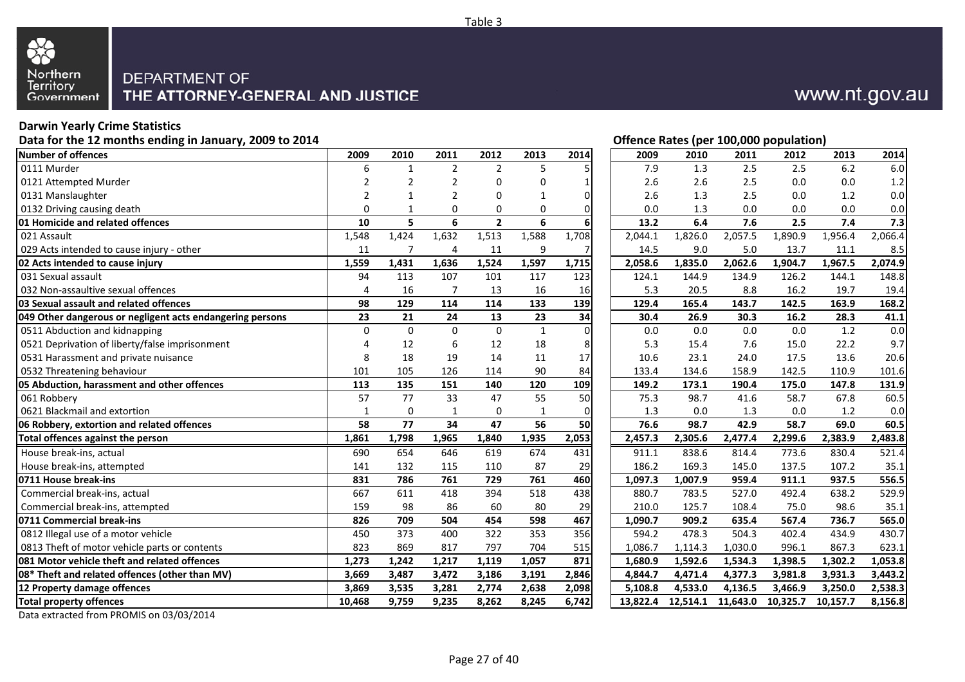

## **Darwin Yearly Crime Statistics**

**Data for the 12 months ending in January, 2009 to 2014**

| Number of offences                                        | 2009           | 2010         | 2011           | 2012           | 2013         | 2014           | 2009     | 2010     | 2011     | 2012     | 2013     | 2014    |
|-----------------------------------------------------------|----------------|--------------|----------------|----------------|--------------|----------------|----------|----------|----------|----------|----------|---------|
| 0111 Murder                                               | 6              | $\mathbf{1}$ | $\overline{2}$ | $\overline{2}$ | 5            | 5              | 7.9      | 1.3      | 2.5      | 2.5      | 6.2      | 6.0     |
| 0121 Attempted Murder                                     | $\overline{2}$ | 2            | $\overline{2}$ | $\Omega$       | 0            |                | 2.6      | 2.6      | 2.5      | 0.0      | 0.0      | 1.2     |
| 0131 Manslaughter                                         | $\overline{2}$ |              | $\mathfrak{p}$ | $\Omega$       | 1            | $\Omega$       | 2.6      | 1.3      | 2.5      | 0.0      | 1.2      | 0.0     |
| 0132 Driving causing death                                | 0              | 1            | 0              | 0              | 0            | $\Omega$       | 0.0      | 1.3      | 0.0      | 0.0      | 0.0      | 0.0     |
| 01 Homicide and related offences                          | 10             | 5            | 6              | $\overline{2}$ | 6            | 6              | 13.2     | 6.4      | 7.6      | 2.5      | 7.4      | 7.3     |
| 021 Assault                                               | 1,548          | 1,424        | 1,632          | 1,513          | 1,588        | 1,708          | 2,044.1  | 1,826.0  | 2,057.5  | 1,890.9  | 1,956.4  | 2,066.4 |
| 029 Acts intended to cause injury - other                 | 11             | 7            | 4              | 11             | 9            | 7              | 14.5     | 9.0      | 5.0      | 13.7     | 11.1     | 8.5     |
| 02 Acts intended to cause injury                          | 1,559          | 1,431        | 1,636          | 1,524          | 1,597        | 1,715          | 2,058.6  | 1,835.0  | 2,062.6  | 1,904.7  | 1,967.5  | 2,074.9 |
| 031 Sexual assault                                        | 94             | 113          | 107            | 101            | 117          | 123            | 124.1    | 144.9    | 134.9    | 126.2    | 144.1    | 148.8   |
| 032 Non-assaultive sexual offences                        | $\overline{4}$ | 16           | $\overline{7}$ | 13             | 16           | 16             | 5.3      | 20.5     | 8.8      | 16.2     | 19.7     | 19.4    |
| 03 Sexual assault and related offences                    | 98             | 129          | 114            | 114            | 133          | 139            | 129.4    | 165.4    | 143.7    | 142.5    | 163.9    | 168.2   |
| 049 Other dangerous or negligent acts endangering persons | 23             | 21           | 24             | 13             | 23           | 34             | 30.4     | 26.9     | 30.3     | 16.2     | 28.3     | 41.1    |
| 0511 Abduction and kidnapping                             | $\Omega$       | $\Omega$     | $\Omega$       | $\Omega$       | $\mathbf{1}$ | $\overline{0}$ | 0.0      | 0.0      | 0.0      | 0.0      | 1.2      | 0.0     |
| 0521 Deprivation of liberty/false imprisonment            | $\Delta$       | 12           | 6              | 12             | 18           | 8              | 5.3      | 15.4     | 7.6      | 15.0     | 22.2     | 9.7     |
| 0531 Harassment and private nuisance                      | 8              | 18           | 19             | 14             | 11           | 17             | 10.6     | 23.1     | 24.0     | 17.5     | 13.6     | 20.6    |
| 0532 Threatening behaviour                                | 101            | 105          | 126            | 114            | 90           | 84             | 133.4    | 134.6    | 158.9    | 142.5    | 110.9    | 101.6   |
| 05 Abduction, harassment and other offences               | 113            | 135          | 151            | 140            | 120          | 109            | 149.2    | 173.1    | 190.4    | 175.0    | 147.8    | 131.9   |
| 061 Robberv                                               | 57             | 77           | 33             | 47             | 55           | 50             | 75.3     | 98.7     | 41.6     | 58.7     | 67.8     | 60.5    |
| 0621 Blackmail and extortion                              | $\mathbf{1}$   | $\mathbf 0$  | 1              | $\mathbf 0$    | $\mathbf{1}$ | $\mathbf 0$    | 1.3      | 0.0      | 1.3      | 0.0      | 1.2      | 0.0     |
| 06 Robbery, extortion and related offences                | 58             | 77           | 34             | 47             | 56           | 50             | 76.6     | 98.7     | 42.9     | 58.7     | 69.0     | 60.5    |
| Total offences against the person                         | 1,861          | 1,798        | 1,965          | 1,840          | 1,935        | 2,053          | 2,457.3  | 2,305.6  | 2,477.4  | 2,299.6  | 2,383.9  | 2,483.8 |
| House break-ins, actual                                   | 690            | 654          | 646            | 619            | 674          | 431            | 911.1    | 838.6    | 814.4    | 773.6    | 830.4    | 521.4   |
| House break-ins, attempted                                | 141            | 132          | 115            | 110            | 87           | 29             | 186.2    | 169.3    | 145.0    | 137.5    | 107.2    | 35.1    |
| 0711 House break-ins                                      | 831            | 786          | 761            | 729            | 761          | 460            | 1,097.3  | 1,007.9  | 959.4    | 911.1    | 937.5    | 556.5   |
| Commercial break-ins, actual                              | 667            | 611          | 418            | 394            | 518          | 438            | 880.7    | 783.5    | 527.0    | 492.4    | 638.2    | 529.9   |
| Commercial break-ins, attempted                           | 159            | 98           | 86             | 60             | 80           | 29             | 210.0    | 125.7    | 108.4    | 75.0     | 98.6     | 35.1    |
| 0711 Commercial break-ins                                 | 826            | 709          | 504            | 454            | 598          | 467            | 1,090.7  | 909.2    | 635.4    | 567.4    | 736.7    | 565.0   |
| 0812 Illegal use of a motor vehicle                       | 450            | 373          | 400            | 322            | 353          | 356            | 594.2    | 478.3    | 504.3    | 402.4    | 434.9    | 430.7   |
| 0813 Theft of motor vehicle parts or contents             | 823            | 869          | 817            | 797            | 704          | 515            | 1,086.7  | 1,114.3  | 1,030.0  | 996.1    | 867.3    | 623.1   |
| 081 Motor vehicle theft and related offences              | 1,273          | 1,242        | 1,217          | 1,119          | 1,057        | 871            | 1,680.9  | 1,592.6  | 1,534.3  | 1,398.5  | 1,302.2  | 1,053.8 |
| 08* Theft and related offences (other than MV)            | 3,669          | 3,487        | 3,472          | 3,186          | 3,191        | 2,846          | 4,844.7  | 4,471.4  | 4,377.3  | 3,981.8  | 3,931.3  | 3,443.2 |
| 12 Property damage offences                               | 3,869          | 3,535        | 3,281          | 2,774          | 2,638        | 2,098          | 5,108.8  | 4,533.0  | 4,136.5  | 3,466.9  | 3,250.0  | 2,538.3 |
| <b>Total property offences</b>                            | 10.468         | 9,759        | 9,235          | 8,262          | 8.245        | 6,742          | 13.822.4 | 12,514.1 | 11,643.0 | 10.325.7 | 10,157.7 | 8.156.8 |

Data extracted from PROMIS on 03/03/2014

**Offence Rates (per 100,000 population)**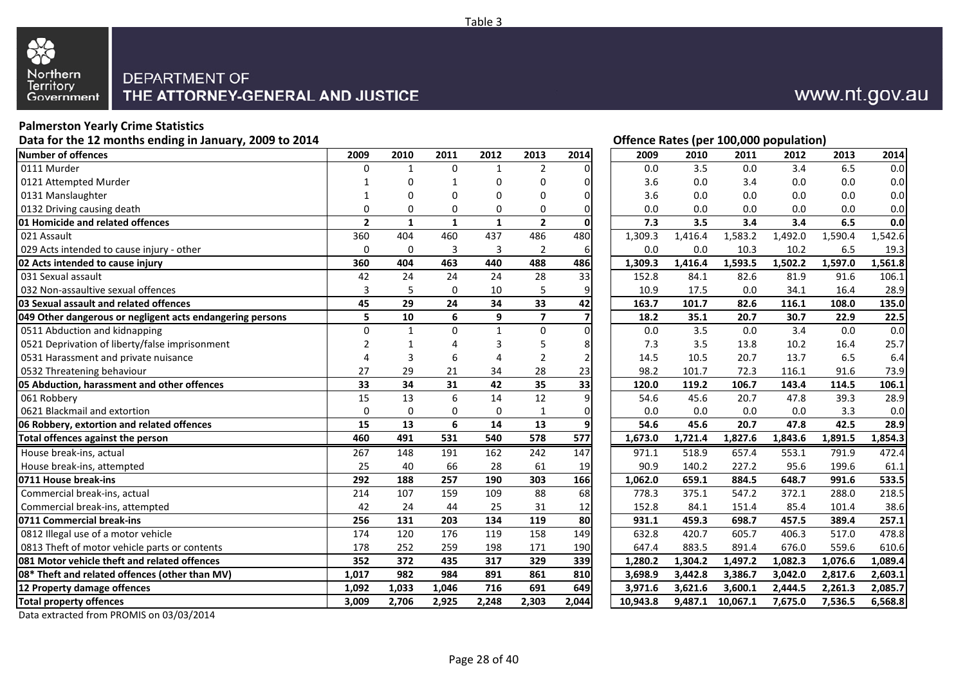

## **Palmerston Yearly Crime Statistics**

**Data for the 12 months ending in January, 2009 to 2014**

| Number of offences                                        | 2009           | 2010         | 2011         | 2012         | 2013                    | 2014            | 2009     | 2010    | 2011     | 2012    | 2013    | 2014    |
|-----------------------------------------------------------|----------------|--------------|--------------|--------------|-------------------------|-----------------|----------|---------|----------|---------|---------|---------|
| 0111 Murder                                               | $\Omega$       | $\mathbf{1}$ | $\Omega$     | $\mathbf{1}$ | $\overline{2}$          | $\Omega$        | 0.0      | 3.5     | 0.0      | 3.4     | 6.5     | 0.0     |
| 0121 Attempted Murder                                     |                |              |              | 0            | 0                       | $\Omega$        | 3.6      | 0.0     | 3.4      | 0.0     | 0.0     | 0.0     |
| 0131 Manslaughter                                         |                |              | ∩            | $\Omega$     | 0                       | $\Omega$        | 3.6      | 0.0     | 0.0      | 0.0     | 0.0     | 0.0     |
| 0132 Driving causing death                                | $\Omega$       | $\Omega$     | $\Omega$     | 0            | 0                       | $\mathbf 0$     | 0.0      | 0.0     | 0.0      | 0.0     | 0.0     | 0.0     |
| 01 Homicide and related offences                          | $\overline{2}$ | $\mathbf{1}$ | $\mathbf{1}$ | $\mathbf{1}$ | $\overline{2}$          | $\mathbf 0$     | 7.3      | 3.5     | 3.4      | 3.4     | 6.5     | 0.0     |
| 021 Assault                                               | 360            | 404          | 460          | 437          | 486                     | 480             | 1,309.3  | 1,416.4 | 1,583.2  | 1,492.0 | 1,590.4 | 1,542.6 |
| 029 Acts intended to cause injury - other                 | $\mathbf 0$    | 0            | 3            | 3            | $\overline{2}$          | 6               | 0.0      | 0.0     | 10.3     | 10.2    | 6.5     | 19.3    |
| 02 Acts intended to cause injury                          | 360            | 404          | 463          | 440          | 488                     | 486             | 1,309.3  | 1,416.4 | 1,593.5  | ,502.2  | 1,597.0 | 1,561.8 |
| 031 Sexual assault                                        | 42             | 24           | 24           | 24           | 28                      | 33              | 152.8    | 84.1    | 82.6     | 81.9    | 91.6    | 106.1   |
| 032 Non-assaultive sexual offences                        | 3              | 5            | $\Omega$     | 10           | 5                       | 9               | 10.9     | 17.5    | 0.0      | 34.1    | 16.4    | 28.9    |
| 03 Sexual assault and related offences                    | 45             | 29           | 24           | 34           | 33                      | $\overline{42}$ | 163.7    | 101.7   | 82.6     | 116.1   | 108.0   | 135.0   |
| 049 Other dangerous or negligent acts endangering persons | 5              | 10           | 6            | 9            | $\overline{\mathbf{z}}$ | $\overline{7}$  | 18.2     | 35.1    | 20.7     | 30.7    | 22.9    | 22.5    |
| 0511 Abduction and kidnapping                             | $\Omega$       | $\mathbf{1}$ | $\Omega$     | $\mathbf{1}$ | $\mathbf 0$             | $\mathbf 0$     | 0.0      | 3.5     | 0.0      | 3.4     | 0.0     | 0.0     |
| 0521 Deprivation of liberty/false imprisonment            | $\overline{2}$ |              | 4            | 3            | 5                       | 8               | 7.3      | 3.5     | 13.8     | 10.2    | 16.4    | 25.7    |
| 0531 Harassment and private nuisance                      | Δ              | 3            | 6            | 4            | $\overline{2}$          | $\overline{2}$  | 14.5     | 10.5    | 20.7     | 13.7    | 6.5     | 6.4     |
| 0532 Threatening behaviour                                | 27             | 29           | 21           | 34           | 28                      | 23              | 98.2     | 101.7   | 72.3     | 116.1   | 91.6    | 73.9    |
| 05 Abduction, harassment and other offences               | 33             | 34           | 31           | 42           | 35                      | 33              | 120.0    | 119.2   | 106.7    | 143.4   | 114.5   | 106.1   |
| 061 Robbery                                               | 15             | 13           | 6            | 14           | 12                      | 9               | 54.6     | 45.6    | 20.7     | 47.8    | 39.3    | 28.9    |
| 0621 Blackmail and extortion                              | $\mathbf 0$    | $\Omega$     | 0            | $\mathbf 0$  | $\mathbf{1}$            | $\mathbf 0$     | 0.0      | 0.0     | 0.0      | 0.0     | 3.3     | 0.0     |
| 06 Robbery, extortion and related offences                | 15             | 13           | 6            | 14           | 13                      | $\overline{9}$  | 54.6     | 45.6    | 20.7     | 47.8    | 42.5    | 28.9    |
| Total offences against the person                         | 460            | 491          | 531          | 540          | 578                     | 577             | 1,673.0  | 1,721.4 | 1,827.6  | 1,843.6 | 1,891.5 | 1,854.3 |
| House break-ins, actual                                   | 267            | 148          | 191          | 162          | 242                     | 147             | 971.1    | 518.9   | 657.4    | 553.1   | 791.9   | 472.4   |
| House break-ins, attempted                                | 25             | 40           | 66           | 28           | 61                      | 19              | 90.9     | 140.2   | 227.2    | 95.6    | 199.6   | 61.1    |
| 0711 House break-ins                                      | 292            | 188          | 257          | 190          | 303                     | 166             | 1,062.0  | 659.1   | 884.5    | 648.7   | 991.6   | 533.5   |
| Commercial break-ins, actual                              | 214            | 107          | 159          | 109          | 88                      | 68              | 778.3    | 375.1   | 547.2    | 372.1   | 288.0   | 218.5   |
| Commercial break-ins, attempted                           | 42             | 24           | 44           | 25           | 31                      | 12              | 152.8    | 84.1    | 151.4    | 85.4    | 101.4   | 38.6    |
| 0711 Commercial break-ins                                 | 256            | 131          | 203          | 134          | 119                     | 80              | 931.1    | 459.3   | 698.7    | 457.5   | 389.4   | 257.1   |
| 0812 Illegal use of a motor vehicle                       | 174            | 120          | 176          | 119          | 158                     | 149             | 632.8    | 420.7   | 605.7    | 406.3   | 517.0   | 478.8   |
| 0813 Theft of motor vehicle parts or contents             | 178            | 252          | 259          | 198          | 171                     | 190             | 647.4    | 883.5   | 891.4    | 676.0   | 559.6   | 610.6   |
| 081 Motor vehicle theft and related offences              | 352            | 372          | 435          | 317          | 329                     | 339             | 1,280.2  | 1,304.2 | 1,497.2  | 1,082.3 | 1,076.6 | 1,089.4 |
| 08* Theft and related offences (other than MV)            | 1,017          | 982          | 984          | 891          | 861                     | 810             | 3,698.9  | 3,442.8 | 3,386.7  | 3,042.0 | 2,817.6 | 2,603.1 |
| 12 Property damage offences                               | 1,092          | 1,033        | 1,046        | 716          | 691                     | 649             | 3,971.6  | 3,621.6 | 3,600.1  | 2,444.5 | 2,261.3 | 2,085.7 |
| <b>Total property offences</b>                            | 3,009          | 2,706        | 2,925        | 2,248        | 2,303                   | 2,044           | 10,943.8 | 9,487.1 | 10,067.1 | 7,675.0 | 7,536.5 | 6,568.8 |
|                                                           |                |              |              |              |                         |                 |          |         |          |         |         |         |

Data extracted from PROMIS on 03/03/2014

**Offence Rates (per 100,000 population)**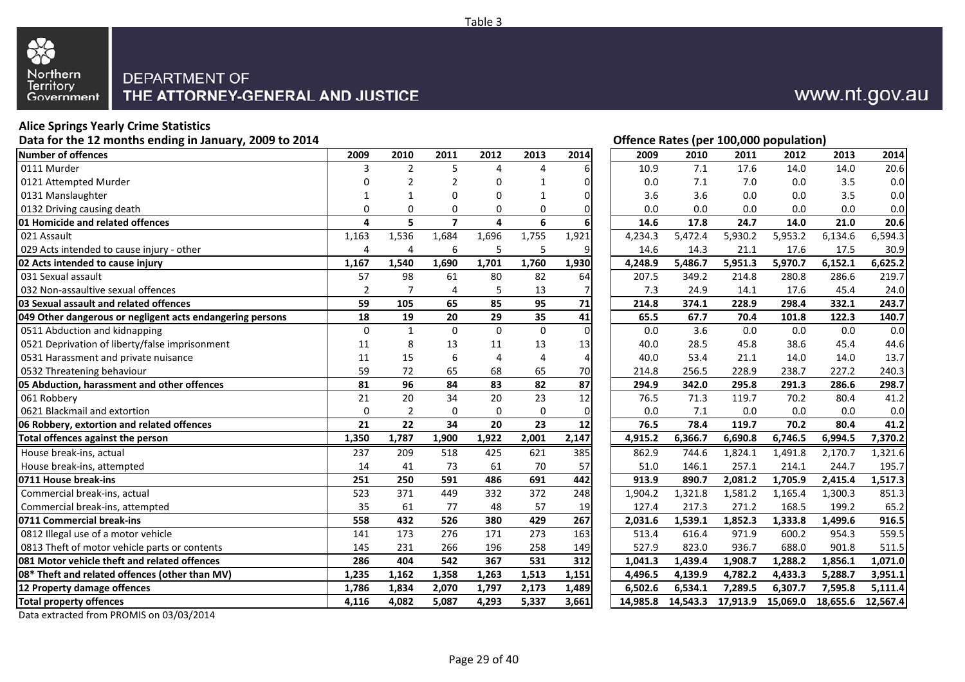

# **Alice Springs Yearly Crime Statistics**

**Data for the 12 months ending in January, 2009 to 2014**

| Number of offences                                        | 2009           | 2010           | 2011           | 2012           | 2013        | 2014           | 2009     | 2010    | 2011              | 2012     | 2013     | 2014     |
|-----------------------------------------------------------|----------------|----------------|----------------|----------------|-------------|----------------|----------|---------|-------------------|----------|----------|----------|
| 0111 Murder                                               | 3              | 2              | 5              | 4              | 4           | 6              | 10.9     | 7.1     | 17.6              | 14.0     | 14.0     | 20.6     |
| 0121 Attempted Murder                                     | $\Omega$       | 2              | $\mathcal{P}$  | $\Omega$       | 1           | O              | 0.0      | 7.1     | 7.0               | 0.0      | 3.5      | 0.0      |
| 0131 Manslaughter                                         |                |                | $\Omega$       | 0              |             | $\Omega$       | 3.6      | 3.6     | 0.0               | 0.0      | 3.5      | 0.0      |
| 0132 Driving causing death                                | $\Omega$       | $\Omega$       | $\Omega$       | $\Omega$       | 0           | $\Omega$       | 0.0      | 0.0     | 0.0               | 0.0      | 0.0      | 0.0      |
| <b>01 Homicide and related offences</b>                   | 4              | 5              | $\overline{7}$ | 4              | 6           | 6              | 14.6     | 17.8    | 24.7              | 14.0     | 21.0     | 20.6     |
| 021 Assault                                               | 1,163          | 1,536          | 1,684          | 1,696          | 1,755       | 1,921          | 4,234.3  | 5,472.4 | 5,930.2           | 5,953.2  | 6,134.6  | 6,594.3  |
| 029 Acts intended to cause injury - other                 | $\overline{4}$ | 4              | 6              | 5              | 5           | 9              | 14.6     | 14.3    | 21.1              | 17.6     | 17.5     | 30.9     |
| 02 Acts intended to cause injury                          | 1,167          | 1,540          | 1,690          | 1,701          | 1,760       | 1,930          | 4,248.9  | 5,486.7 | 5,951.3           | 5,970.7  | 6,152.1  | 6,625.2  |
| 031 Sexual assault                                        | 57             | 98             | 61             | 80             | 82          | 64             | 207.5    | 349.2   | 214.8             | 280.8    | 286.6    | 219.7    |
| 032 Non-assaultive sexual offences                        | $\overline{2}$ | $\overline{7}$ | 4              | 5              | 13          | 7              | 7.3      | 24.9    | 14.1              | 17.6     | 45.4     | 24.0     |
| 03 Sexual assault and related offences                    | 59             | 105            | 65             | 85             | 95          | 71             | 214.8    | 374.1   | 228.9             | 298.4    | 332.1    | 243.7    |
| 049 Other dangerous or negligent acts endangering persons | 18             | 19             | 20             | 29             | 35          | 41             | 65.5     | 67.7    | 70.4              | 101.8    | 122.3    | 140.7    |
| 0511 Abduction and kidnapping                             | $\Omega$       | $\mathbf{1}$   | $\Omega$       | $\Omega$       | $\mathbf 0$ | $\mathbf 0$    | 0.0      | 3.6     | 0.0               | 0.0      | 0.0      | 0.0      |
| 0521 Deprivation of liberty/false imprisonment            | 11             | 8              | 13             | 11             | 13          | 13             | 40.0     | 28.5    | 45.8              | 38.6     | 45.4     | 44.6     |
| 0531 Harassment and private nuisance                      | 11             | 15             | 6              | $\overline{4}$ | 4           | $\overline{4}$ | 40.0     | 53.4    | 21.1              | 14.0     | 14.0     | 13.7     |
| 0532 Threatening behaviour                                | 59             | 72             | 65             | 68             | 65          | 70             | 214.8    | 256.5   | 228.9             | 238.7    | 227.2    | 240.3    |
| 05 Abduction, harassment and other offences               | 81             | 96             | 84             | 83             | 82          | 87             | 294.9    | 342.0   | 295.8             | 291.3    | 286.6    | 298.7    |
| 061 Robbery                                               | 21             | 20             | 34             | 20             | 23          | 12             | 76.5     | 71.3    | 119.7             | 70.2     | 80.4     | 41.2     |
| 0621 Blackmail and extortion                              | $\mathbf 0$    | 2              | 0              | $\mathbf 0$    | $\mathbf 0$ | $\mathbf 0$    | 0.0      | 7.1     | 0.0               | 0.0      | 0.0      | 0.0      |
| 06 Robbery, extortion and related offences                | 21             | 22             | 34             | 20             | 23          | 12             | 76.5     | 78.4    | 119.7             | 70.2     | 80.4     | 41.2     |
| Total offences against the person                         | 1,350          | 1,787          | 1,900          | 1,922          | 2,001       | 2,147          | 4,915.2  | 6,366.7 | 6,690.8           | 6,746.5  | 6.994.5  | 7,370.2  |
| House break-ins, actual                                   | 237            | 209            | 518            | 425            | 621         | 385            | 862.9    | 744.6   | 1,824.1           | 1,491.8  | 2,170.7  | 1,321.6  |
| House break-ins, attempted                                | 14             | 41             | 73             | 61             | 70          | 57             | 51.0     | 146.1   | 257.1             | 214.1    | 244.7    | 195.7    |
| 0711 House break-ins                                      | 251            | 250            | 591            | 486            | 691         | 442            | 913.9    | 890.7   | 2,081.2           | 1,705.9  | 2,415.4  | 1,517.3  |
| Commercial break-ins, actual                              | 523            | 371            | 449            | 332            | 372         | 248            | 1,904.2  | 1,321.8 | 1,581.2           | 1,165.4  | 1,300.3  | 851.3    |
| Commercial break-ins, attempted                           | 35             | 61             | 77             | 48             | 57          | 19             | 127.4    | 217.3   | 271.2             | 168.5    | 199.2    | 65.2     |
| 0711 Commercial break-ins                                 | 558            | 432            | 526            | 380            | 429         | 267            | 2,031.6  | 1,539.1 | 1,852.3           | 1,333.8  | 1,499.6  | 916.5    |
| 0812 Illegal use of a motor vehicle                       | 141            | 173            | 276            | 171            | 273         | 163            | 513.4    | 616.4   | 971.9             | 600.2    | 954.3    | 559.5    |
| 0813 Theft of motor vehicle parts or contents             | 145            | 231            | 266            | 196            | 258         | 149            | 527.9    | 823.0   | 936.7             | 688.0    | 901.8    | 511.5    |
| 081 Motor vehicle theft and related offences              | 286            | 404            | 542            | 367            | 531         | 312            | 1,041.3  | 1,439.4 | 1,908.7           | 1,288.2  | 1,856.1  | 1,071.0  |
| 08* Theft and related offences (other than MV)            | 1,235          | 1,162          | 1,358          | 1,263          | 1,513       | 1,151          | 4,496.5  | 4,139.9 | 4,782.2           | 4,433.3  | 5,288.7  | 3,951.1  |
| 12 Property damage offences                               | 1,786          | 1,834          | 2,070          | 1,797          | 2,173       | 1,489          | 6,502.6  | 6,534.1 | 7,289.5           | 6,307.7  | 7,595.8  | 5,111.4  |
| <b>Total property offences</b>                            | 4,116          | 4,082          | 5,087          | 4,293          | 5,337       | 3,661          | 14,985.8 |         | 14,543.3 17,913.9 | 15,069.0 | 18,655.6 | 12,567.4 |
|                                                           |                |                |                |                |             |                |          |         |                   |          |          |          |

# **Offence Rates (per 100,000 population)**

www.nt.gov.au

| 9                       | 2010           | 2011           | 2012        | 2013      | 2014           | 2009     | 2010     | 2011     | 2012     | 2013     | 2014     |
|-------------------------|----------------|----------------|-------------|-----------|----------------|----------|----------|----------|----------|----------|----------|
| 3                       | $\overline{2}$ | 5              | 4           | 4         | 6              | 10.9     | 7.1      | 17.6     | 14.0     | 14.0     | 20.6     |
| 0                       | $\overline{2}$ | 2              | 0           | 1         | 0              | 0.0      | 7.1      | 7.0      | 0.0      | 3.5      | 0.0      |
| 1                       | 1              | 0              | 0           | 1         | 0              | 3.6      | 3.6      | 0.0      | 0.0      | 3.5      | 0.0      |
| 0                       | 0              | 0              | 0           | 0         | $\mathbf 0$    | 0.0      | 0.0      | 0.0      | 0.0      | 0.0      | 0.0      |
| 4                       | 5              | $\overline{7}$ | 4           | 6         | 6              | 14.6     | 17.8     | 24.7     | 14.0     | 21.0     | 20.6     |
| 3                       | 1,536          | 1,684          | 1,696       | 1,755     | 1,921          | 4,234.3  | 5,472.4  | 5,930.2  | 5,953.2  | 6,134.6  | 6,594.3  |
| 4                       | 4              | 6              | 5           | 5         | 9              | 14.6     | 14.3     | 21.1     | 17.6     | 17.5     | 30.9     |
| 7                       | 1,540          | 1,690          | 1,701       | 1,760     | 1,930          | 4,248.9  | 5,486.7  | 5,951.3  | 5,970.7  | 6,152.1  | 6,625.2  |
| 7                       | 98             | 61             | 80          | 82        | 64             | 207.5    | 349.2    | 214.8    | 280.8    | 286.6    | 219.7    |
| 2                       | $\overline{7}$ | 4              | 5           | 13        | 7              | 7.3      | 24.9     | 14.1     | 17.6     | 45.4     | 24.0     |
| 9                       | 105            | 65             | 85          | 95        | 71             | 214.8    | 374.1    | 228.9    | 298.4    | 332.1    | 243.7    |
| 8                       | 19             | 20             | 29          | 35        | 41             | 65.5     | 67.7     | 70.4     | 101.8    | 122.3    | 140.7    |
| $\overline{0}$          | $\mathbf{1}$   | $\mathbf 0$    | $\mathbf 0$ | $\pmb{0}$ | $\mathbf 0$    | 0.0      | 3.6      | 0.0      | 0.0      | 0.0      | 0.0      |
| 1                       | 8              | 13             | 11          | 13        | 13             | 40.0     | 28.5     | 45.8     | 38.6     | 45.4     | 44.6     |
| 1                       | 15             | 6              | 4           | 4         | $\overline{4}$ | 40.0     | 53.4     | 21.1     | 14.0     | 14.0     | 13.7     |
| 9                       | 72             | 65             | 68          | 65        | 70             | 214.8    | 256.5    | 228.9    | 238.7    | 227.2    | 240.3    |
| 1                       | 96             | 84             | 83          | 82        | 87             | 294.9    | 342.0    | 295.8    | 291.3    | 286.6    | 298.7    |
| 1                       | 20             | 34             | 20          | 23        | 12             | 76.5     | 71.3     | 119.7    | 70.2     | 80.4     | 41.2     |
| 0                       | $\overline{2}$ | $\mathbf 0$    | 0           | 0         | $\mathbf 0$    | 0.0      | 7.1      | 0.0      | 0.0      | 0.0      | 0.0      |
| 1                       | 22             | 34             | 20          | 23        | 12             | 76.5     | 78.4     | 119.7    | 70.2     | 80.4     | 41.2     |
| 0                       | 1,787          | 1,900          | 1,922       | 2,001     | 2,147          | 4,915.2  | 6,366.7  | 6,690.8  | 6,746.5  | 6,994.5  | 7,370.2  |
| 7                       | 209            | 518            | 425         | 621       | 385            | 862.9    | 744.6    | 1,824.1  | 1,491.8  | 2,170.7  | 1,321.6  |
| 4                       | 41             | 73             | 61          | 70        | 57             | 51.0     | 146.1    | 257.1    | 214.1    | 244.7    | 195.7    |
| 1                       | 250            | 591            | 486         | 691       | 442            | 913.9    | 890.7    | 2,081.2  | 1,705.9  | 2,415.4  | 1,517.3  |
| $\overline{\mathbf{3}}$ | 371            | 449            | 332         | 372       | 248            | 1,904.2  | 1,321.8  | 1,581.2  | 1,165.4  | 1,300.3  | 851.3    |
| 5                       | 61             | 77             | 48          | 57        | 19             | 127.4    | 217.3    | 271.2    | 168.5    | 199.2    | 65.2     |
| 8                       | 432            | 526            | 380         | 429       | 267            | 2,031.6  | 1,539.1  | 1,852.3  | 1,333.8  | 1,499.6  | 916.5    |
| $\overline{1}$          | 173            | 276            | 171         | 273       | 163            | 513.4    | 616.4    | 971.9    | 600.2    | 954.3    | 559.5    |
| 5                       | 231            | 266            | 196         | 258       | 149            | 527.9    | 823.0    | 936.7    | 688.0    | 901.8    | 511.5    |
| 6                       | 404            | 542            | 367         | 531       | 312            | 1,041.3  | 1,439.4  | 1,908.7  | 1,288.2  | 1,856.1  | 1,071.0  |
| 5                       | 1,162          | 1,358          | 1,263       | 1,513     | 1,151          | 4,496.5  | 4,139.9  | 4,782.2  | 4,433.3  | 5,288.7  | 3,951.1  |
| 6                       | 1,834          | 2,070          | 1,797       | 2,173     | 1,489          | 6,502.6  | 6,534.1  | 7,289.5  | 6,307.7  | 7,595.8  | 5,111.4  |
| 6                       | 4,082          | 5,087          | 4,293       | 5,337     | 3,661          | 14,985.8 | 14,543.3 | 17,913.9 | 15,069.0 | 18,655.6 | 12,567.4 |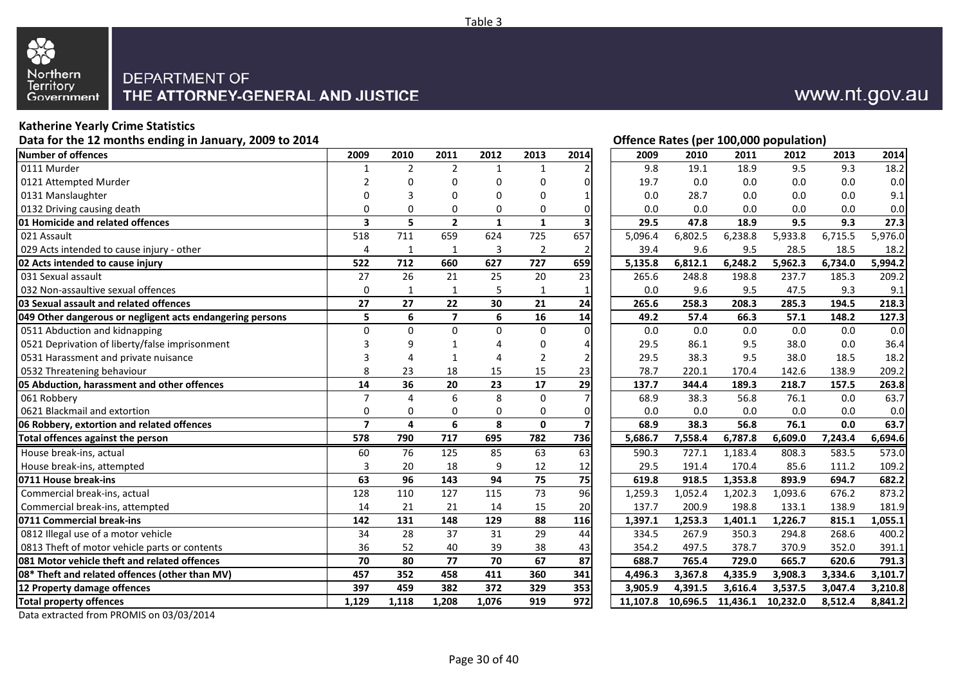

## **Katherine Yearly Crime Statistics**

**Data for the 12 months ending in January, 2009 to 2014**

| Number of offences                                        | 2009                    | 2010           | 2011                    | 2012           | 2013           | 2014                    | 2009     | 2010    | 2011              | 2012     | 2013    | 2014    |
|-----------------------------------------------------------|-------------------------|----------------|-------------------------|----------------|----------------|-------------------------|----------|---------|-------------------|----------|---------|---------|
| 0111 Murder                                               | $\mathbf{1}$            | $\overline{2}$ | $\overline{2}$          | $\mathbf{1}$   | $\mathbf{1}$   | $\overline{2}$          | 9.8      | 19.1    | 18.9              | 9.5      | 9.3     | 18.2    |
| 0121 Attempted Murder                                     | 2                       | O              | $\Omega$                | $\Omega$       | 0              | $\Omega$                | 19.7     | 0.0     | 0.0               | 0.0      | 0.0     | 0.0     |
| 0131 Manslaughter                                         | $\Omega$                |                | $\Omega$                | $\Omega$       | $\Omega$       | $\mathbf{1}$            | 0.0      | 28.7    | 0.0               | 0.0      | 0.0     | 9.1     |
| 0132 Driving causing death                                | $\Omega$                | 0              | 0                       | 0              | 0              | $\Omega$                | 0.0      | 0.0     | 0.0               | 0.0      | 0.0     | 0.0     |
| <b>01 Homicide and related offences</b>                   | $\overline{\mathbf{3}}$ | 5              | $\overline{2}$          | $\mathbf{1}$   | $\mathbf{1}$   | $\overline{\mathbf{3}}$ | 29.5     | 47.8    | 18.9              | 9.5      | 9.3     | 27.3    |
| 021 Assault                                               | 518                     | 711            | 659                     | 624            | 725            | 657                     | 5,096.4  | 6,802.5 | 6,238.8           | 5,933.8  | 6,715.5 | 5,976.0 |
| 029 Acts intended to cause injury - other                 | $\overline{4}$          | 1              | 1                       | 3              | $\overline{2}$ | $\overline{2}$          | 39.4     | 9.6     | 9.5               | 28.5     | 18.5    | 18.2    |
| 02 Acts intended to cause injury                          | 522                     | 712            | 660                     | 627            | 727            | 659                     | 5,135.8  | 6,812.1 | 6,248.2           | 5,962.3  | 6,734.0 | 5,994.2 |
| 031 Sexual assault                                        | 27                      | 26             | 21                      | 25             | 20             | 23                      | 265.6    | 248.8   | 198.8             | 237.7    | 185.3   | 209.2   |
| 032 Non-assaultive sexual offences                        | $\mathbf 0$             | 1              | $\mathbf{1}$            | 5              | $\mathbf{1}$   | 1                       | 0.0      | 9.6     | 9.5               | 47.5     | 9.3     | 9.1     |
| 03 Sexual assault and related offences                    | 27                      | 27             | 22                      | 30             | 21             | 24                      | 265.6    | 258.3   | 208.3             | 285.3    | 194.5   | 218.3   |
| 049 Other dangerous or negligent acts endangering persons | 5                       | 6              | $\overline{\mathbf{z}}$ | 6              | 16             | 14                      | 49.2     | 57.4    | 66.3              | 57.1     | 148.2   | 127.3   |
| 0511 Abduction and kidnapping                             | $\mathbf 0$             | $\Omega$       | $\Omega$                | $\overline{0}$ | $\mathbf 0$    | $\overline{0}$          | 0.0      | 0.0     | 0.0               | 0.0      | 0.0     | 0.0     |
| 0521 Deprivation of liberty/false imprisonment            | з                       |                |                         | Δ              | 0              | 4                       | 29.5     | 86.1    | 9.5               | 38.0     | 0.0     | 36.4    |
| 0531 Harassment and private nuisance                      | 3                       |                | 1                       | Δ              | $\overline{2}$ | $\overline{2}$          | 29.5     | 38.3    | 9.5               | 38.0     | 18.5    | 18.2    |
| 0532 Threatening behaviour                                | 8                       | 23             | 18                      | 15             | 15             | 23                      | 78.7     | 220.1   | 170.4             | 142.6    | 138.9   | 209.2   |
| 05 Abduction, harassment and other offences               | 14                      | 36             | 20                      | 23             | 17             | 29                      | 137.7    | 344.4   | 189.3             | 218.7    | 157.5   | 263.8   |
| 061 Robbery                                               | $\overline{7}$          | $\Delta$       | 6                       | 8              | $\mathbf 0$    | $\overline{7}$          | 68.9     | 38.3    | 56.8              | 76.1     | 0.0     | 63.7    |
| 0621 Blackmail and extortion                              | $\mathbf 0$             | $\Omega$       | $\Omega$                | 0              | $\mathbf 0$    | 0                       | 0.0      | 0.0     | 0.0               | 0.0      | 0.0     | 0.0     |
| 06 Robbery, extortion and related offences                | $\overline{7}$          | 4              | 6                       | 8              | $\mathbf{0}$   | $\overline{7}$          | 68.9     | 38.3    | 56.8              | 76.1     | 0.0     | 63.7    |
| Total offences against the person                         | 578                     | 790            | 717                     | 695            | 782            | 736                     | 5,686.7  | 7,558.4 | 6,787.8           | 6,609.0  | 7,243.4 | 6,694.6 |
| House break-ins, actual                                   | 60                      | 76             | 125                     | 85             | 63             | 63                      | 590.3    | 727.1   | 1,183.4           | 808.3    | 583.5   | 573.0   |
| House break-ins, attempted                                | 3                       | 20             | 18                      | 9              | 12             | 12                      | 29.5     | 191.4   | 170.4             | 85.6     | 111.2   | 109.2   |
| 0711 House break-ins                                      | 63                      | 96             | 143                     | 94             | 75             | $\overline{75}$         | 619.8    | 918.5   | 1,353.8           | 893.9    | 694.7   | 682.2   |
| Commercial break-ins, actual                              | 128                     | 110            | 127                     | 115            | 73             | 96                      | 1,259.3  | 1,052.4 | 1,202.3           | 1,093.6  | 676.2   | 873.2   |
| Commercial break-ins, attempted                           | 14                      | 21             | 21                      | 14             | 15             | 20                      | 137.7    | 200.9   | 198.8             | 133.1    | 138.9   | 181.9   |
| 0711 Commercial break-ins                                 | 142                     | 131            | 148                     | 129            | 88             | 116                     | 1,397.1  | 1,253.3 | 1,401.1           | 1,226.7  | 815.1   | 1,055.1 |
| 0812 Illegal use of a motor vehicle                       | 34                      | 28             | 37                      | 31             | 29             | 44                      | 334.5    | 267.9   | 350.3             | 294.8    | 268.6   | 400.2   |
| 0813 Theft of motor vehicle parts or contents             | 36                      | 52             | 40                      | 39             | 38             | 43                      | 354.2    | 497.5   | 378.7             | 370.9    | 352.0   | 391.1   |
| <b>081 Motor vehicle theft and related offences</b>       | 70                      | 80             | 77                      | 70             | 67             | 87                      | 688.7    | 765.4   | 729.0             | 665.7    | 620.6   | 791.3   |
| 08* Theft and related offences (other than MV)            | 457                     | 352            | 458                     | 411            | 360            | 341                     | 4,496.3  | 3,367.8 | 4,335.9           | 3,908.3  | 3,334.6 | 3,101.7 |
| 12 Property damage offences                               | 397                     | 459            | 382                     | 372            | 329            | 353                     | 3,905.9  | 4.391.5 | 3,616.4           | 3,537.5  | 3.047.4 | 3,210.8 |
| <b>Total property offences</b>                            | 1.129                   | 1,118          | 1,208                   | 1,076          | 919            | 972                     | 11.107.8 |         | 10,696.5 11,436.1 | 10,232.0 | 8,512.4 | 8,841.2 |

Data extracted from PROMIS on 03/03/2014

| 2                       | 0           | 0              | 0            | 0              | 01       | 19.7     | 0.0      | 0.0      | 0.0      | 0.0     | 0.0     |
|-------------------------|-------------|----------------|--------------|----------------|----------|----------|----------|----------|----------|---------|---------|
| 0                       | 3           | 0              | 0            | 0              |          | 0.0      | 28.7     | 0.0      | 0.0      | 0.0     | 9.1     |
| 0                       | $\Omega$    | 0              | 0            | 0              | 0        | 0.0      | 0.0      | 0.0      | 0.0      | 0.0     | 0.0     |
| 3                       | 5           | $\overline{2}$ | $\mathbf{1}$ | $\mathbf{1}$   | 3        | 29.5     | 47.8     | 18.9     | 9.5      | 9.3     | 27.3    |
| 8                       | 711         | 659            | 624          | 725            | 657      | 5,096.4  | 6,802.5  | 6,238.8  | 5,933.8  | 6,715.5 | 5,976.0 |
| 4                       | $\mathbf 1$ | $\mathbf{1}$   | 3            | $\overline{2}$ | 2        | 39.4     | 9.6      | 9.5      | 28.5     | 18.5    | 18.2    |
| 2                       | 712         | 660            | 627          | 727            | 659      | 5,135.8  | 6,812.1  | 6,248.2  | 5,962.3  | 6,734.0 | 5,994.2 |
| 7                       | 26          | 21             | 25           | 20             | 23       | 265.6    | 248.8    | 198.8    | 237.7    | 185.3   | 209.2   |
| 0                       | $\mathbf 1$ | $\mathbf 1$    | 5            | 1              |          | 0.0      | 9.6      | 9.5      | 47.5     | 9.3     | 9.1     |
| 7                       | 27          | 22             | 30           | 21             | 24       | 265.6    | 258.3    | 208.3    | 285.3    | 194.5   | 218.3   |
| 5                       | 6           | $\overline{7}$ | 6            | 16             | 14       | 49.2     | 57.4     | 66.3     | 57.1     | 148.2   | 127.3   |
| $\overline{0}$          | $\mathbf 0$ | $\mathbf 0$    | $\mathbf 0$  | $\mathbf 0$    | $\Omega$ | 0.0      | 0.0      | 0.0      | 0.0      | 0.0     | $0.0\,$ |
| 3                       | 9           | 1              | 4            | 0              | 4        | 29.5     | 86.1     | 9.5      | 38.0     | 0.0     | 36.4    |
| 3                       | 4           | $\mathbf{1}$   | 4            | 2              | 2        | 29.5     | 38.3     | 9.5      | 38.0     | 18.5    | 18.2    |
| 8                       | 23          | 18             | 15           | 15             | 23       | 78.7     | 220.1    | 170.4    | 142.6    | 138.9   | 209.2   |
| 4                       | 36          | 20             | 23           | 17             | 29       | 137.7    | 344.4    | 189.3    | 218.7    | 157.5   | 263.8   |
| $\overline{7}$          | 4           | 6              | 8            | $\mathbf 0$    |          | 68.9     | 38.3     | 56.8     | 76.1     | 0.0     | 63.7    |
| 0                       | 0           | 0              | 0            | 0              | 0        | 0.0      | 0.0      | 0.0      | 0.0      | 0.0     | 0.0     |
| 7                       | 4           | 6              | 8            | $\mathbf{0}$   | 7        | 68.9     | 38.3     | 56.8     | 76.1     | 0.0     | 63.7    |
| 8                       | 790         | 717            | 695          | 782            | 736      | 5,686.7  | 7,558.4  | 6,787.8  | 6,609.0  | 7,243.4 | 6,694.6 |
| 0                       | 76          | 125            | 85           | 63             | 63       | 590.3    | 727.1    | 1,183.4  | 808.3    | 583.5   | 573.0   |
| 3                       | 20          | 18             | 9            | 12             | 12       | 29.5     | 191.4    | 170.4    | 85.6     | 111.2   | 109.2   |
| $\frac{3}{8}$           | 96          | 143            | 94           | 75             | 75       | 619.8    | 918.5    | 1,353.8  | 893.9    | 694.7   | 682.2   |
|                         | 110         | 127            | 115          | 73             | 96       | 1,259.3  | 1,052.4  | 1,202.3  | 1,093.6  | 676.2   | 873.2   |
| 4                       | 21          | 21             | 14           | 15             | 20       | 137.7    | 200.9    | 198.8    | 133.1    | 138.9   | 181.9   |
| $\overline{2}$          | 131         | 148            | 129          | 88             | 116      | 1,397.1  | 1,253.3  | 1,401.1  | 1,226.7  | 815.1   | 1,055.1 |
| 4                       | 28          | 37             | 31           | 29             | 44       | 334.5    | 267.9    | 350.3    | 294.8    | 268.6   | 400.2   |
| 6                       | 52          | 40             | 39           | 38             | 43       | 354.2    | 497.5    | 378.7    | 370.9    | 352.0   | 391.1   |
| $\overline{\mathbf{0}}$ | 80          | 77             | 70           | 67             | 87       | 688.7    | 765.4    | 729.0    | 665.7    | 620.6   | 791.3   |
| 7                       | 352         | 458            | 411          | 360            | 341      | 4,496.3  | 3,367.8  | 4,335.9  | 3,908.3  | 3,334.6 | 3,101.7 |
| 7                       | 459         | 382            | 372          | 329            | 353      | 3,905.9  | 4,391.5  | 3,616.4  | 3,537.5  | 3,047.4 | 3,210.8 |
| 9                       | 1,118       | 1,208          | 1,076        | 919            | 972      | 11,107.8 | 10,696.5 | 11,436.1 | 10,232.0 | 8,512.4 | 8,841.2 |
|                         |             |                |              |                |          |          |          |          |          |         |         |

**Offence Rates (per 100,000 population)**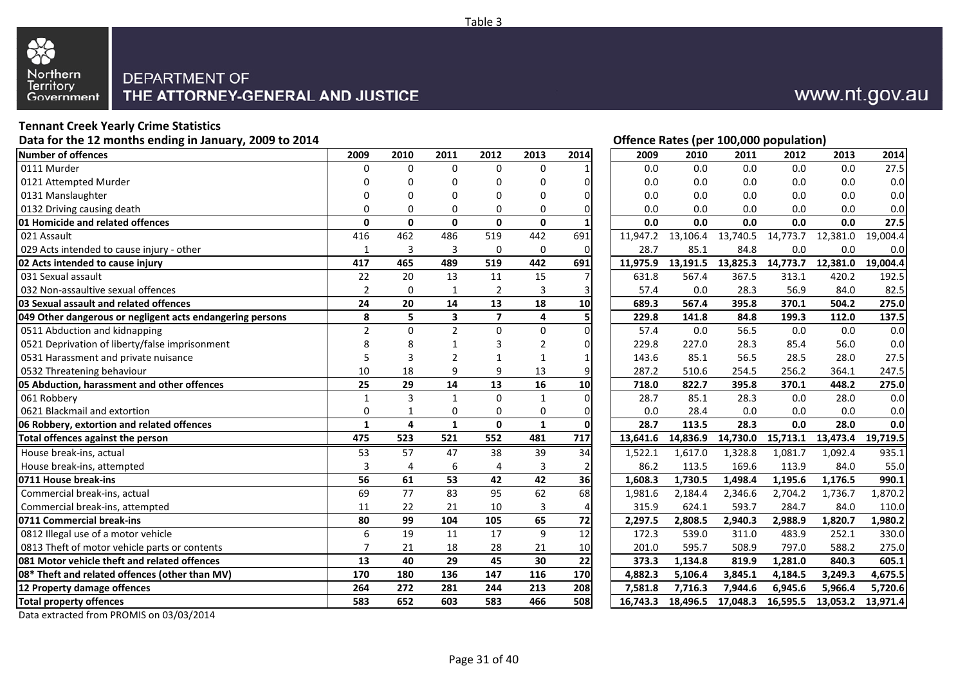

# **Tennant Creek Yearly Crime Statistics**

**Data for the 12 months ending in January, 2009 to 2014**

| <b>Number of offences</b>                                 | 2009           | 2010     | 2011                     | 2012                     | 2013                    | 2014            | 2009     | 2010     | 2011     | 2012              | 2013     | 2014     |
|-----------------------------------------------------------|----------------|----------|--------------------------|--------------------------|-------------------------|-----------------|----------|----------|----------|-------------------|----------|----------|
| 0111 Murder                                               | 0              | $\Omega$ | $\Omega$                 | $\Omega$                 | $\mathbf 0$             |                 | 0.0      | 0.0      | 0.0      | 0.0               | 0.0      | 27.5     |
| 0121 Attempted Murder                                     | n              |          | ∩                        | 0                        | 0                       | O               | 0.0      | 0.0      | 0.0      | 0.0               | 0.0      | 0.0      |
| 0131 Manslaughter                                         | 0              |          | $\Omega$                 | 0                        | $\Omega$                | $\Omega$        | 0.0      | 0.0      | 0.0      | 0.0               | 0.0      | 0.0      |
| 0132 Driving causing death                                | $\Omega$       | $\Omega$ | 0                        | 0                        | $\Omega$                | 0               | 0.0      | 0.0      | 0.0      | 0.0               | 0.0      | 0.0      |
| 01 Homicide and related offences                          | $\mathbf 0$    | 0        | 0                        | 0                        | $\mathbf{0}$            |                 | 0.0      | 0.0      | 0.0      | 0.0               | 0.0      | 27.5     |
| 021 Assault                                               | 416            | 462      | 486                      | 519                      | 442                     | 691             | 11,947.2 | 13,106.4 | 13,740.5 | 14,773.7          | 12,381.0 | 19,004.4 |
| 029 Acts intended to cause injury - other                 | 1              | 3        | 3                        | 0                        | $\mathbf 0$             | 0               | 28.7     | 85.1     | 84.8     | 0.0               | 0.0      | 0.0      |
| 02 Acts intended to cause injury                          | 417            | 465      | 489                      | 519                      | 442                     | 691             | 11,975.9 | 13,191.5 | 13,825.3 | 14,773.7          | 12,381.0 | 19,004.4 |
| 031 Sexual assault                                        | 22             | 20       | 13                       | 11                       | 15                      | 7               | 631.8    | 567.4    | 367.5    | 313.1             | 420.2    | 192.5    |
| 032 Non-assaultive sexual offences                        | $\overline{2}$ | $\Omega$ | $\mathbf{1}$             | $\overline{2}$           | 3                       | 3               | 57.4     | 0.0      | 28.3     | 56.9              | 84.0     | 82.5     |
| 03 Sexual assault and related offences                    | 24             | 20       | 14                       | 13                       | 18                      | 10              | 689.3    | 567.4    | 395.8    | 370.1             | 504.2    | 275.0    |
| 049 Other dangerous or negligent acts endangering persons | 8              | 5        | $\overline{\mathbf{3}}$  | $\overline{\phantom{a}}$ | $\overline{\mathbf{4}}$ | 5               | 229.8    | 141.8    | 84.8     | 199.3             | 112.0    | 137.5    |
| 0511 Abduction and kidnapping                             | $\overline{2}$ | $\Omega$ | $\overline{2}$           | $\Omega$                 | $\Omega$                | $\Omega$        | 57.4     | 0.0      | 56.5     | 0.0               | 0.0      | 0.0      |
| 0521 Deprivation of liberty/false imprisonment            | 8              | 8        |                          |                          | 2                       | $\Omega$        | 229.8    | 227.0    | 28.3     | 85.4              | 56.0     | 0.0      |
| 0531 Harassment and private nuisance                      | 5              | 3        | $\overline{\phantom{a}}$ | 1                        | $\mathbf{1}$            | 1               | 143.6    | 85.1     | 56.5     | 28.5              | 28.0     | 27.5     |
| 0532 Threatening behaviour                                | 10             | 18       | 9                        | 9                        | 13                      | 9               | 287.2    | 510.6    | 254.5    | 256.2             | 364.1    | 247.5    |
| 05 Abduction, harassment and other offences               | 25             | 29       | 14                       | 13                       | 16                      | 10              | 718.0    | 822.7    | 395.8    | 370.1             | 448.2    | 275.0    |
| 061 Robbery                                               | $\mathbf{1}$   | 3        | $\mathbf{1}$             | $\Omega$                 | $\mathbf{1}$            | $\mathbf 0$     | 28.7     | 85.1     | 28.3     | 0.0               | 28.0     | 0.0      |
| 0621 Blackmail and extortion                              | $\mathbf 0$    | 1        | 0                        | 0                        | 0                       | 0               | 0.0      | 28.4     | 0.0      | 0.0               | 0.0      | 0.0      |
| 06 Robbery, extortion and related offences                | $\mathbf{1}$   | 4        | $\mathbf{1}$             | $\mathbf{0}$             | $\mathbf{1}$            | $\mathbf 0$     | 28.7     | 113.5    | 28.3     | 0.0               | 28.0     | 0.0      |
| Total offences against the person                         | 475            | 523      | 521                      | 552                      | 481                     | 717             | 13,641.6 | 14,836.9 | 14,730.0 | 15,713.1          | 13,473.4 | 19,719.5 |
| House break-ins, actual                                   | 53             | 57       | 47                       | 38                       | 39                      | 34              | 1,522.1  | 1,617.0  | 1,328.8  | 1,081.7           | 1,092.4  | 935.1    |
| House break-ins, attempted                                | 3              | 4        | 6                        | 4                        | 3                       | $\overline{2}$  | 86.2     | 113.5    | 169.6    | 113.9             | 84.0     | 55.0     |
| 0711 House break-ins                                      | 56             | 61       | 53                       | 42                       | 42                      | 36              | 1,608.3  | 1,730.5  | 1,498.4  | 1,195.6           | 1,176.5  | 990.1    |
| Commercial break-ins, actual                              | 69             | 77       | 83                       | 95                       | 62                      | 68              | 1,981.6  | 2,184.4  | 2,346.6  | 2,704.2           | 1,736.7  | 1,870.2  |
| Commercial break-ins, attempted                           | 11             | 22       | 21                       | 10                       | 3                       | 4               | 315.9    | 624.1    | 593.7    | 284.7             | 84.0     | 110.0    |
| 0711 Commercial break-ins                                 | 80             | 99       | 104                      | 105                      | 65                      | 72              | 2,297.5  | 2,808.5  | 2,940.3  | 2,988.9           | 1,820.7  | 1,980.2  |
| 0812 Illegal use of a motor vehicle                       | 6              | 19       | 11                       | 17                       | 9                       | 12              | 172.3    | 539.0    | 311.0    | 483.9             | 252.1    | 330.0    |
| 0813 Theft of motor vehicle parts or contents             | 7              | 21       | 18                       | 28                       | 21                      | 10              | 201.0    | 595.7    | 508.9    | 797.0             | 588.2    | 275.0    |
| 081 Motor vehicle theft and related offences              | 13             | 40       | 29                       | 45                       | 30                      | $\overline{22}$ | 373.3    | 1,134.8  | 819.9    | 1,281.0           | 840.3    | 605.1    |
| 08* Theft and related offences (other than MV)            | 170            | 180      | 136                      | 147                      | 116                     | 170             | 4,882.3  | 5,106.4  | 3,845.1  | 4,184.5           | 3,249.3  | 4,675.5  |
| 12 Property damage offences                               | 264            | 272      | 281                      | 244                      | 213                     | 208             | 7.581.8  | 7.716.3  | 7.944.6  | 6,945.6           | 5.966.4  | 5,720.6  |
| <b>Total property offences</b>                            | 583            | 652      | 603                      | 583                      | 466                     | 508             | 16.743.3 | 18,496.5 |          | 17,048.3 16,595.5 | 13,053.2 | 13,971.4 |

Data extracted from PROMIS on 03/03/2014

Table 3

# www.nt.gov.au

|                         |              |                |                |              |             | Offence Rates (per 100,000 population) |          |          |          |          |          |
|-------------------------|--------------|----------------|----------------|--------------|-------------|----------------------------------------|----------|----------|----------|----------|----------|
| 9                       | 2010         | 2011           | 2012           | 2013         | 2014        | 2009                                   | 2010     | 2011     | 2012     | 2013     | 2014     |
| 0                       | $\mathbf{0}$ | $\Omega$       | 0              | 0            | 1           | 0.0                                    | 0.0      | 0.0      | 0.0      | 0.0      | 27.5     |
| 0                       | 0            | 0              | 0              | 0            | 0           | 0.0                                    | 0.0      | 0.0      | 0.0      | 0.0      | 0.0      |
| 0                       | 0            | 0              | 0              | 0            | 0           | 0.0                                    | 0.0      | 0.0      | 0.0      | 0.0      | 0.0      |
| 0                       | 0            | $\mathbf 0$    | 0              | 0            | 0           | 0.0                                    | 0.0      | 0.0      | 0.0      | 0.0      | 0.0      |
| 0                       | 0            | 0              | $\mathbf 0$    | $\bf{0}$     |             | 0.0                                    | 0.0      | 0.0      | 0.0      | 0.0      | 27.5     |
| $\overline{6}$          | 462          | 486            | 519            | 442          | 691         | 11,947.2                               | 13,106.4 | 13,740.5 | 14,773.7 | 12,381.0 | 19,004.4 |
| 1                       | 3            | 3              | 0              | 0            | 0           | 28.7                                   | 85.1     | 84.8     | 0.0      | 0.0      | 0.0      |
| 7                       | 465          | 489            | 519            | 442          | 691         | 11,975.9                               | 13,191.5 | 13,825.3 | 14,773.7 | 12,381.0 | 19,004.4 |
| $\overline{\mathbf{c}}$ | 20           | 13             | 11             | 15           | 7           | 631.8                                  | 567.4    | 367.5    | 313.1    | 420.2    | 192.5    |
| 2                       | $\mathbf 0$  | $\mathbf 1$    | $\overline{2}$ | 3            | 3           | 57.4                                   | 0.0      | 28.3     | 56.9     | 84.0     | 82.5     |
| 4                       | 20           | 14             | 13             | 18           | 10          | 689.3                                  | 567.4    | 395.8    | 370.1    | 504.2    | 275.0    |
| 8                       | 5            | 3              | 7              | 4            | 5           | 229.8                                  | 141.8    | 84.8     | 199.3    | 112.0    | 137.5    |
| $\overline{2}$          | 0            | $\overline{2}$ | 0              | 0            | 0           | 57.4                                   | 0.0      | 56.5     | 0.0      | 0.0      | 0.0      |
| 8                       | 8            | $\mathbf{1}$   | 3              | 2            | 0           | 229.8                                  | 227.0    | 28.3     | 85.4     | 56.0     | 0.0      |
| 5                       | 3            | $\overline{2}$ | 1              | 1            | 1           | 143.6                                  | 85.1     | 56.5     | 28.5     | 28.0     | 27.5     |
| $\mathbf{0}$            | 18           | 9              | 9              | 13           | 9           | 287.2                                  | 510.6    | 254.5    | 256.2    | 364.1    | 247.5    |
| 5                       | 29           | 14             | 13             | 16           | 10          | 718.0                                  | 822.7    | 395.8    | 370.1    | 448.2    | 275.0    |
| $\overline{1}$          | 3            | $\mathbf{1}$   | 0              | $\mathbf 1$  | $\mathbf 0$ | 28.7                                   | 85.1     | 28.3     | 0.0      | 28.0     | 0.0      |
| 0                       | $\mathbf{1}$ | 0              | 0              | 0            | 0           | 0.0                                    | 28.4     | 0.0      | 0.0      | 0.0      | 0.0      |
| 1                       | 4            | $\mathbf{1}$   | $\mathbf 0$    | $\mathbf{1}$ | $\Omega$    | 28.7                                   | 113.5    | 28.3     | 0.0      | 28.0     | 0.0      |
| $\frac{5}{1}$           | 523          | 521            | 552            | 481          | 717         | 13,641.6                               | 14,836.9 | 14,730.0 | 15,713.1 | 13,473.4 | 19,719.5 |
| 3                       | 57           | 47             | 38             | 39           | 34          | 1,522.1                                | 1,617.0  | 1,328.8  | 1,081.7  | 1,092.4  | 935.1    |
| $\overline{\mathbf{3}}$ | 4            | 6              | 4              | 3            | 2           | 86.2                                   | 113.5    | 169.6    | 113.9    | 84.0     | 55.0     |
| 6                       | 61           | 53             | 42             | 42           | 36          | 1,608.3                                | 1,730.5  | 1,498.4  | 1,195.6  | 1,176.5  | 990.1    |
| $\overline{9}$          | 77           | 83             | 95             | 62           | 68          | 1,981.6                                | 2,184.4  | 2,346.6  | 2,704.2  | 1,736.7  | 1,870.2  |
| 1                       | 22           | 21             | 10             | 3            | 4           | 315.9                                  | 624.1    | 593.7    | 284.7    | 84.0     | 110.0    |
| 0                       | 99           | 104            | 105            | 65           | 72          | 2,297.5                                | 2,808.5  | 2,940.3  | 2,988.9  | 1,820.7  | 1,980.2  |
| 6                       | 19           | 11             | 17             | 9            | 12          | 172.3                                  | 539.0    | 311.0    | 483.9    | 252.1    | 330.0    |
| 7                       | 21           | 18             | 28             | 21           | 10          | 201.0                                  | 595.7    | 508.9    | 797.0    | 588.2    | 275.0    |
| $\overline{\mathbf{3}}$ | 40           | 29             | 45             | 30           | 22          | 373.3                                  | 1,134.8  | 819.9    | 1,281.0  | 840.3    | 605.1    |
| 0                       | 180          | 136            | 147            | 116          | 170         | 4,882.3                                | 5,106.4  | 3,845.1  | 4,184.5  | 3,249.3  | 4,675.5  |
| 4                       | 272          | 281            | 244            | 213          | 208         | 7,581.8                                | 7,716.3  | 7,944.6  | 6,945.6  | 5,966.4  | 5,720.6  |
| 3                       | 652          | 603            | 583            | 466          | 508         | 16,743.3                               | 18,496.5 | 17,048.3 | 16,595.5 | 13,053.2 | 13,971.4 |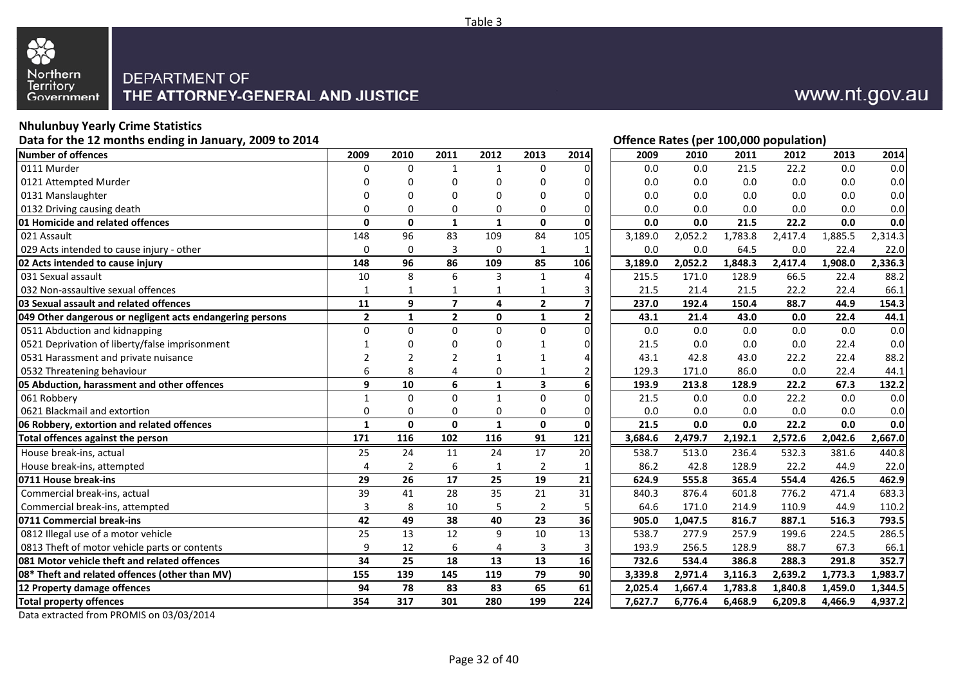

## **Nhulunbuy Yearly Crime Statistics**

**Data for the 12 months ending in January, 2009 to 2014**

| Number of offences                                        | 2009           | 2010           | 2011           | 2012         | 2013                    | 2014                    | 2009    | 2010    | 2011    | 2012    | 2013    | 2014    |
|-----------------------------------------------------------|----------------|----------------|----------------|--------------|-------------------------|-------------------------|---------|---------|---------|---------|---------|---------|
| 0111 Murder                                               | $\mathbf 0$    | $\Omega$       | $\mathbf{1}$   | $\mathbf{1}$ | $\mathbf 0$             | $\Omega$                | 0.0     | 0.0     | 21.5    | 22.2    | 0.0     | 0.0     |
| 0121 Attempted Murder                                     | $\Omega$       |                | $\Omega$       | $\Omega$     | 0                       | $\Omega$                | 0.0     | 0.0     | 0.0     | 0.0     | 0.0     | 0.0     |
| 0131 Manslaughter                                         | $\Omega$       |                | $\Omega$       | 0            | 0                       | $\Omega$                | 0.0     | 0.0     | 0.0     | 0.0     | 0.0     | 0.0     |
| 0132 Driving causing death                                | $\Omega$       | 0              | 0              | 0            | 0                       | 0                       | 0.0     | 0.0     | 0.0     | 0.0     | 0.0     | 0.0     |
| 01 Homicide and related offences                          | $\Omega$       | $\mathbf{0}$   | 1              | $\mathbf{1}$ | $\mathbf{0}$            | $\Omega$                | 0.0     | 0.0     | 21.5    | 22.2    | 0.0     | 0.0     |
| 021 Assault                                               | 148            | 96             | 83             | 109          | 84                      | 105                     | 3,189.0 | 2,052.2 | 1,783.8 | 2,417.4 | 1,885.5 | 2,314.3 |
| 029 Acts intended to cause injury - other                 | $\Omega$       | $\Omega$       | 3              | $\Omega$     | $\mathbf{1}$            |                         | 0.0     | 0.0     | 64.5    | 0.0     | 22.4    | 22.0    |
| 02 Acts intended to cause injury                          | 148            | 96             | 86             | 109          | 85                      | 106                     | 3,189.0 | 2,052.2 | 1.848.3 | 2,417.4 | 1.908.0 | 2,336.3 |
| 031 Sexual assault                                        | 10             | 8              | 6              | 3            | $\mathbf{1}$            | 4                       | 215.5   | 171.0   | 128.9   | 66.5    | 22.4    | 88.2    |
| 032 Non-assaultive sexual offences                        | $\mathbf{1}$   | 1              | $\mathbf{1}$   | 1            | $\mathbf{1}$            | 3                       | 21.5    | 21.4    | 21.5    | 22.2    | 22.4    | 66.1    |
| 03 Sexual assault and related offences                    | 11             | 9              | $\overline{7}$ | 4            | $\mathbf{2}$            | $\overline{\mathbf{z}}$ | 237.0   | 192.4   | 150.4   | 88.7    | 44.9    | 154.3   |
| 049 Other dangerous or negligent acts endangering persons | $\overline{2}$ | $\mathbf{1}$   | $\overline{2}$ | $\mathbf{0}$ | $\mathbf 1$             | $\overline{2}$          | 43.1    | 21.4    | 43.0    | 0.0     | 22.4    | 44.1    |
| 0511 Abduction and kidnapping                             | $\mathbf 0$    | $\Omega$       | $\Omega$       | $\Omega$     | $\mathbf 0$             | $\Omega$                | 0.0     | 0.0     | 0.0     | 0.0     | 0.0     | 0.0     |
| 0521 Deprivation of liberty/false imprisonment            |                |                | $\Omega$       | $\Omega$     | 1                       | 0                       | 21.5    | 0.0     | 0.0     | 0.0     | 22.4    | 0.0     |
| 0531 Harassment and private nuisance                      | $\mathcal{P}$  |                | $\mathfrak{p}$ | 1            | 1                       | 4                       | 43.1    | 42.8    | 43.0    | 22.2    | 22.4    | 88.2    |
| 0532 Threatening behaviour                                | 6              | 8              | 4              | 0            |                         | $\overline{2}$          | 129.3   | 171.0   | 86.0    | 0.0     | 22.4    | 44.1    |
| 05 Abduction, harassment and other offences               | 9              | 10             | 6              | $\mathbf{1}$ | $\overline{\mathbf{3}}$ | 6                       | 193.9   | 213.8   | 128.9   | 22.2    | 67.3    | 132.2   |
| 061 Robbery                                               | $\mathbf{1}$   | $\Omega$       | $\Omega$       | $\mathbf{1}$ | $\Omega$                | $\Omega$                | 21.5    | 0.0     | 0.0     | 22.2    | 0.0     | 0.0     |
| 0621 Blackmail and extortion                              | $\mathbf 0$    | 0              | 0              | $\mathbf 0$  | 0                       | 0                       | 0.0     | 0.0     | 0.0     | 0.0     | 0.0     | 0.0     |
| 06 Robbery, extortion and related offences                | $\mathbf{1}$   | $\mathbf{0}$   | $\Omega$       | $\mathbf{1}$ | $\mathbf{0}$            | $\mathbf 0$             | 21.5    | 0.0     | 0.0     | 22.2    | 0.0     | 0.0     |
| Total offences against the person                         | 171            | 116            | 102            | 116          | 91                      | 121                     | 3,684.6 | 2,479.7 | 2,192.1 | 2,572.6 | 2,042.6 | 2,667.0 |
| House break-ins, actual                                   | 25             | 24             | 11             | 24           | 17                      | 20                      | 538.7   | 513.0   | 236.4   | 532.3   | 381.6   | 440.8   |
| House break-ins, attempted                                | $\overline{4}$ | $\overline{2}$ | 6              | $\mathbf{1}$ | 2                       |                         | 86.2    | 42.8    | 128.9   | 22.2    | 44.9    | 22.0    |
| 0711 House break-ins                                      | 29             | 26             | 17             | 25           | 19                      | 21                      | 624.9   | 555.8   | 365.4   | 554.4   | 426.5   | 462.9   |
| Commercial break-ins, actual                              | 39             | 41             | 28             | 35           | 21                      | 31                      | 840.3   | 876.4   | 601.8   | 776.2   | 471.4   | 683.3   |
| Commercial break-ins, attempted                           | 3              | 8              | 10             | 5            | $\overline{2}$          | 5                       | 64.6    | 171.0   | 214.9   | 110.9   | 44.9    | 110.2   |
| 0711 Commercial break-ins                                 | 42             | 49             | 38             | 40           | 23                      | 36                      | 905.0   | 1,047.5 | 816.7   | 887.1   | 516.3   | 793.5   |
| 0812 Illegal use of a motor vehicle                       | 25             | 13             | 12             | 9            | 10                      | 13                      | 538.7   | 277.9   | 257.9   | 199.6   | 224.5   | 286.5   |
| 0813 Theft of motor vehicle parts or contents             | 9              | 12             | 6              | 4            | 3                       | 3                       | 193.9   | 256.5   | 128.9   | 88.7    | 67.3    | 66.1    |
| <b>081 Motor vehicle theft and related offences</b>       | 34             | 25             | 18             | 13           | 13                      | 16                      | 732.6   | 534.4   | 386.8   | 288.3   | 291.8   | 352.7   |
| 08* Theft and related offences (other than MV)            | 155            | 139            | 145            | 119          | $\overline{79}$         | $\overline{90}$         | 3,339.8 | 2,971.4 | 3,116.3 | 2,639.2 | 1,773.3 | 1,983.7 |
| 12 Property damage offences                               | 94             | 78             | 83             | 83           | 65                      | 61                      | 2.025.4 | 1.667.4 | 1.783.8 | 1.840.8 | 1.459.0 | 1.344.5 |
| <b>Total property offences</b>                            | 354            | 317            | 301            | 280          | 199                     | 224                     | 7,627.7 | 6,776.4 | 6,468.9 | 6,209.8 | 4,466.9 | 4,937.2 |

Data extracted from PROMIS on 03/03/2014

# www.nt.gov.au

|                         |                |                  |                  |                |                | Offence nates (per 100,000 population) |         |         |         |         |         |
|-------------------------|----------------|------------------|------------------|----------------|----------------|----------------------------------------|---------|---------|---------|---------|---------|
| 9                       | 2010           | 2011             | 2012             | 2013           | 2014           | 2009                                   | 2010    | 2011    | 2012    | 2013    | 2014    |
| 0                       | $\mathbf 0$    | 1                | 1                | 0              | $\Omega$       | $0.0\,$                                | 0.0     | 21.5    | 22.2    | 0.0     | 0.0     |
| 0                       | 0              | 0                | 0                | 0              | 0              | 0.0                                    | 0.0     | 0.0     | 0.0     | 0.0     | 0.0     |
| 0                       | 0              | 0                | 0                | 0              | 0              | 0.0                                    | 0.0     | 0.0     | 0.0     | 0.0     | 0.0     |
| 0                       | 0              | $\Omega$         | 0                | 0              | 0              | 0.0                                    | 0.0     | 0.0     | 0.0     | 0.0     | 0.0     |
| 0                       | 0              | $\mathbf{1}$     | $\mathbf{1}$     | 0              |                | 0.0                                    | 0.0     | 21.5    | 22.2    | 0.0     | 0.0     |
| 8                       | 96             | 83               | 109              | 84             | 105            | 3,189.0                                | 2,052.2 | 1,783.8 | 2,417.4 | 1,885.5 | 2,314.3 |
| 0                       | 0              | 3                | 0                | $\mathbf 1$    | 1              | 0.0                                    | 0.0     | 64.5    | 0.0     | 22.4    | 22.0    |
| 8                       | 96             | 86               | 109              | 85             | 106            | 3,189.0                                | 2,052.2 | 1,848.3 | 2,417.4 | 1,908.0 | 2,336.3 |
| 0                       | 8              | 6                | 3                | 1              | 4              | 215.5                                  | 171.0   | 128.9   | 66.5    | 22.4    | 88.2    |
| 1                       | 1              | $\mathbf{1}$     | 1                | 1              | 3              | 21.5                                   | 21.4    | 21.5    | 22.2    | 22.4    | 66.1    |
| 1                       | 9              | $\overline{7}$   | 4                | $\overline{2}$ | $\overline{7}$ | 237.0                                  | 192.4   | 150.4   | 88.7    | 44.9    | 154.3   |
| 2                       | $\mathbf{1}$   | $\mathbf 2$      | $\mathbf 0$      | 1              | 2              | 43.1                                   | 21.4    | 43.0    | 0.0     | 22.4    | 44.1    |
| $\overline{0}$          | $\pmb{0}$      | $\mathbf 0$      | $\boldsymbol{0}$ | 0              | $\overline{0}$ | $0.0\,$                                | 0.0     | 0.0     | $0.0\,$ | 0.0     | 0.0     |
| 1                       | 0              | 0                | 0                | 1              | 0              | 21.5                                   | 0.0     | 0.0     | 0.0     | 22.4    | 0.0     |
| 2                       | 2              | 2                | 1                | 1              | 4              | 43.1                                   | 42.8    | 43.0    | 22.2    | 22.4    | 88.2    |
| 6                       | 8              | 4                | 0                | 1              | 2              | 129.3                                  | 171.0   | 86.0    | 0.0     | 22.4    | 44.1    |
| 9                       | 10             | 6                | 1                | 3              | 6              | 193.9                                  | 213.8   | 128.9   | 22.2    | 67.3    | 132.2   |
| 1                       | $\pmb{0}$      | $\pmb{0}$        | $\mathbf{1}$     | 0              | 0              | 21.5                                   | 0.0     | 0.0     | 22.2    | 0.0     | 0.0     |
| 0                       | 0              | $\mathbf 0$      | 0                | 0              | $\overline{0}$ | 0.0                                    | 0.0     | 0.0     | 0.0     | 0.0     | 0.0     |
| 1                       | 0              | $\mathbf{0}$     | $\mathbf{1}$     | 0              | 0              | 21.5                                   | 0.0     | 0.0     | 22.2    | 0.0     | 0.0     |
| 1                       | 116            | 102              | 116              | 91             | 121            | 3,684.6                                | 2,479.7 | 2,192.1 | 2,572.6 | 2,042.6 | 2,667.0 |
| 5                       | 24             | 11               | $\overline{24}$  | 17             | 20             | 538.7                                  | 513.0   | 236.4   | 532.3   | 381.6   | 440.8   |
| 4                       | $\overline{2}$ | $\boldsymbol{6}$ | $\mathbf 1$      | 2              | 1              | 86.2                                   | 42.8    | 128.9   | 22.2    | 44.9    | 22.0    |
| $\frac{9}{9}$           | 26             | 17               | 25               | 19             | 21             | 624.9                                  | 555.8   | 365.4   | 554.4   | 426.5   | 462.9   |
|                         | 41             | 28               | 35               | 21             | 31             | 840.3                                  | 876.4   | 601.8   | 776.2   | 471.4   | 683.3   |
| $\overline{\mathbf{3}}$ | 8              | 10               | 5                | $\overline{2}$ | 5              | 64.6                                   | 171.0   | 214.9   | 110.9   | 44.9    | 110.2   |
| 2                       | 49             | 38               | 40               | 23             | 36             | 905.0                                  | 1,047.5 | 816.7   | 887.1   | 516.3   | 793.5   |
| 5                       | 13             | 12               | 9                | 10             | 13             | 538.7                                  | 277.9   | 257.9   | 199.6   | 224.5   | 286.5   |
| 9                       | 12             | 6                | 4                | 3              | $\overline{3}$ | 193.9                                  | 256.5   | 128.9   | 88.7    | 67.3    | 66.1    |
| 4                       | 25             | 18               | 13               | 13             | 16             | 732.6                                  | 534.4   | 386.8   | 288.3   | 291.8   | 352.7   |
| $\frac{5}{4}$           | 139            | 145              | 119              | 79             | 90             | 3,339.8                                | 2,971.4 | 3,116.3 | 2,639.2 | 1,773.3 | 1,983.7 |
|                         | 78             | 83               | 83               | 65             | 61             | 2,025.4                                | 1,667.4 | 1,783.8 | 1,840.8 | 1,459.0 | 1,344.5 |
| 4                       | 317            | 301              | 280              | 199            | 224            | 7,627.7                                | 6,776.4 | 6,468.9 | 6,209.8 | 4,466.9 | 4,937.2 |
|                         |                |                  |                  |                |                |                                        |         |         |         |         |         |

### **Offence Rates (per 100,000 population)**

Page 32 of 40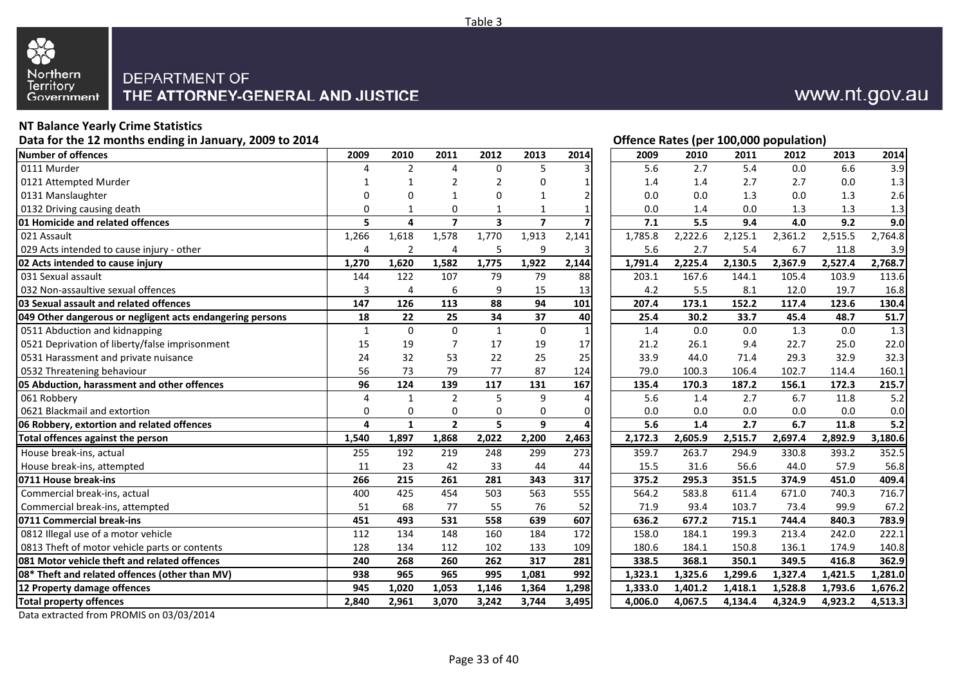

## **NT Balance Yearly Crime Statistics**

**Data for the 12 months ending in January, 2009 to 2014**

| 0111 Murder<br>6.6<br>$\overline{2}$<br>$\Omega$<br>5<br>5.6<br>2.7<br>5.4<br>0.0<br>4<br>Δ<br>0121 Attempted Murder<br>$\overline{2}$<br>$\Omega$<br>1.4<br>1.4<br>2.7<br>2.7<br>0.0<br>$\overline{2}$<br>0131 Manslaughter<br>0.0<br>0.0<br>1.3<br>0.0<br>$\Omega$<br>1.3<br>0<br>n<br>$\mathbf{1}$<br>1<br>2<br>0132 Driving causing death<br>$\mathbf 0$<br>0.0<br>0.0<br>1.3<br>1.3<br>$\Omega$<br>$\mathbf{1}$<br>1<br>1.4<br>$\overline{7}$<br>$\overline{7}$<br>01 Homicide and related offences<br>5<br>4<br>$\overline{\mathbf{3}}$<br>7.1<br>5.5<br>9.4<br>4.0<br>9.2<br>1,266<br>1,770<br>1,913<br>2,141<br>2,125.1<br>021 Assault<br>1,618<br>1,578<br>1,785.8<br>2,222.6<br>2,361.2<br>2,515.5<br>029 Acts intended to cause injury - other<br>$\overline{2}$<br>9<br>5.6<br>2.7<br>5.4<br>6.7<br>11.8<br>4<br>$\overline{4}$<br>5<br>1,775<br>1,922<br>2,527.4<br>02 Acts intended to cause injury<br>1,270<br>1,620<br>1,582<br>2,144<br>1,791.4<br>2,225.4<br>2,130.5<br>2,367.9<br>79<br>122<br>107<br>79<br>203.1<br>167.6<br>144.1<br>105.4<br>103.9<br>031 Sexual assault<br>144<br>88<br>3<br>13<br>032 Non-assaultive sexual offences<br>6<br>9<br>15<br>4.2<br>5.5<br>8.1<br>12.0<br>19.7<br>$\overline{4}$<br>88<br>94<br>03 Sexual assault and related offences<br>147<br>101<br>173.1<br>152.2<br>123.6<br>126<br>113<br>207.4<br>117.4<br>37<br>40<br>34<br>30.2<br>33.7<br>18<br>22<br>25<br>25.4<br>45.4<br>48.7<br>049 Other dangerous or negligent acts endangering persons<br>$\mathbf{1}$<br>$\Omega$<br>$\mathbf 0$<br>0511 Abduction and kidnapping<br>$\mathbf{1}$<br>$\Omega$<br>$\mathbf{1}$<br>1.3<br>0.0<br>1.4<br>0.0<br>0.0<br>0521 Deprivation of liberty/false imprisonment<br>17<br>15<br>19<br>$\overline{7}$<br>17<br>19<br>21.2<br>26.1<br>9.4<br>22.7<br>25.0<br>32<br>25<br>33.9<br>29.3<br>0531 Harassment and private nuisance<br>24<br>53<br>22<br>25<br>44.0<br>71.4<br>32.9<br>56<br>87<br>0532 Threatening behaviour<br>73<br>79<br>77<br>124<br>79.0<br>100.3<br>106.4<br>102.7<br>114.4<br>96<br>139<br>117<br>131<br>167<br>124<br>135.4<br>170.3<br>187.2<br>156.1<br>172.3<br>05 Abduction, harassment and other offences<br>$\overline{2}$<br>5<br>9<br>061 Robbery<br>4<br>5.6<br>1.4<br>2.7<br>6.7<br>11.8<br>1<br>Δ<br>0621 Blackmail and extortion<br>$\mathbf 0$<br>$\mathbf 0$<br>$\mathbf 0$<br>$\mathbf 0$<br>$\mathbf 0$<br>0.0<br>0.0<br>0.0<br>0.0<br>0.0<br>0<br>$\overline{2}$<br>5<br>9<br>2.7<br>5.6<br>1.4<br>6.7<br>11.8<br>06 Robbery, extortion and related offences<br>4<br>$\mathbf{1}$<br>Δ<br>2,605.9<br>2,515.7<br>2,892.9<br>Total offences against the person<br>1,540<br>1,897<br>2,022<br>2,200<br>2,463<br>2,172.3<br>2,697.4<br>1,868<br>House break-ins, actual<br>248<br>299<br>273<br>359.7<br>263.7<br>255<br>192<br>219<br>294.9<br>330.8<br>393.2<br>House break-ins, attempted<br>42<br>33<br>44<br>15.5<br>56.6<br>57.9<br>11<br>23<br>44<br>31.6<br>44.0<br>0711 House break-ins<br>266<br>281<br>317<br>375.2<br>295.3<br>351.5<br>374.9<br>215<br>261<br>343<br>451.0<br>563<br>583.8<br>Commercial break-ins, actual<br>400<br>425<br>454<br>503<br>555<br>564.2<br>611.4<br>671.0<br>740.3<br>77<br>55<br>76<br>52<br>Commercial break-ins, attempted<br>51<br>68<br>71.9<br>93.4<br>103.7<br>73.4<br>99.9<br>607<br>0711 Commercial break-ins<br>451<br>493<br>531<br>558<br>639<br>636.2<br>744.4<br>677.2<br>715.1<br>840.3<br>0812 Illegal use of a motor vehicle<br>112<br>134<br>148<br>160<br>184<br>172<br>184.1<br>199.3<br>158.0<br>213.4<br>242.0<br>0813 Theft of motor vehicle parts or contents<br>128<br>102<br>133<br>180.6<br>174.9<br>134<br>112<br>109<br>184.1<br>150.8<br>136.1<br>081 Motor vehicle theft and related offences<br>262<br>317<br>240<br>268<br>260<br>281<br>338.5<br>368.1<br>350.1<br>349.5<br>416.8<br>938<br>965<br>965<br>992<br>1,299.6<br>1,327.4<br>1,421.5<br>08* Theft and related offences (other than MV)<br>995<br>1,081<br>1,323.1<br>1,325.6<br>1,146<br>1,298<br>12 Property damage offences<br>945<br>1,020<br>1,053<br>1,364<br>1,333.0<br>1,401.2<br>1,418.1<br>1,528.8<br>1,793.6<br><b>Total property offences</b><br>2,961<br>3,070<br>3,242<br>3,744<br>3,495<br>4,006.0<br>4,067.5<br>4,324.9<br>4,923.2<br>2,840<br>4,134.4 | Number of offences | 2009 | 2010 | 2011 | 2012 | 2013 | 2014 | 2009 | 2010 | 2011 | 2012 | 2013 | 2014    |
|-----------------------------------------------------------------------------------------------------------------------------------------------------------------------------------------------------------------------------------------------------------------------------------------------------------------------------------------------------------------------------------------------------------------------------------------------------------------------------------------------------------------------------------------------------------------------------------------------------------------------------------------------------------------------------------------------------------------------------------------------------------------------------------------------------------------------------------------------------------------------------------------------------------------------------------------------------------------------------------------------------------------------------------------------------------------------------------------------------------------------------------------------------------------------------------------------------------------------------------------------------------------------------------------------------------------------------------------------------------------------------------------------------------------------------------------------------------------------------------------------------------------------------------------------------------------------------------------------------------------------------------------------------------------------------------------------------------------------------------------------------------------------------------------------------------------------------------------------------------------------------------------------------------------------------------------------------------------------------------------------------------------------------------------------------------------------------------------------------------------------------------------------------------------------------------------------------------------------------------------------------------------------------------------------------------------------------------------------------------------------------------------------------------------------------------------------------------------------------------------------------------------------------------------------------------------------------------------------------------------------------------------------------------------------------------------------------------------------------------------------------------------------------------------------------------------------------------------------------------------------------------------------------------------------------------------------------------------------------------------------------------------------------------------------------------------------------------------------------------------------------------------------------------------------------------------------------------------------------------------------------------------------------------------------------------------------------------------------------------------------------------------------------------------------------------------------------------------------------------------------------------------------------------------------------------------------------------------------------------------------------------------------------------------------------------------------------------------------------------------------------------------------------------------------------------------------------------------------------------------------------------------------------------------------------------------------------------------------------------------------------------------------------------------------------------------------------------------------------------------------------------------------------------------------------------------------------------------------------------------------------------------------------------------------------|--------------------|------|------|------|------|------|------|------|------|------|------|------|---------|
|                                                                                                                                                                                                                                                                                                                                                                                                                                                                                                                                                                                                                                                                                                                                                                                                                                                                                                                                                                                                                                                                                                                                                                                                                                                                                                                                                                                                                                                                                                                                                                                                                                                                                                                                                                                                                                                                                                                                                                                                                                                                                                                                                                                                                                                                                                                                                                                                                                                                                                                                                                                                                                                                                                                                                                                                                                                                                                                                                                                                                                                                                                                                                                                                                                                                                                                                                                                                                                                                                                                                                                                                                                                                                                                                                                                                                                                                                                                                                                                                                                                                                                                                                                                                                                                                                                     |                    |      |      |      |      |      |      |      |      |      |      |      | 3.9     |
|                                                                                                                                                                                                                                                                                                                                                                                                                                                                                                                                                                                                                                                                                                                                                                                                                                                                                                                                                                                                                                                                                                                                                                                                                                                                                                                                                                                                                                                                                                                                                                                                                                                                                                                                                                                                                                                                                                                                                                                                                                                                                                                                                                                                                                                                                                                                                                                                                                                                                                                                                                                                                                                                                                                                                                                                                                                                                                                                                                                                                                                                                                                                                                                                                                                                                                                                                                                                                                                                                                                                                                                                                                                                                                                                                                                                                                                                                                                                                                                                                                                                                                                                                                                                                                                                                                     |                    |      |      |      |      |      |      |      |      |      |      |      | 1.3     |
|                                                                                                                                                                                                                                                                                                                                                                                                                                                                                                                                                                                                                                                                                                                                                                                                                                                                                                                                                                                                                                                                                                                                                                                                                                                                                                                                                                                                                                                                                                                                                                                                                                                                                                                                                                                                                                                                                                                                                                                                                                                                                                                                                                                                                                                                                                                                                                                                                                                                                                                                                                                                                                                                                                                                                                                                                                                                                                                                                                                                                                                                                                                                                                                                                                                                                                                                                                                                                                                                                                                                                                                                                                                                                                                                                                                                                                                                                                                                                                                                                                                                                                                                                                                                                                                                                                     |                    |      |      |      |      |      |      |      |      |      |      |      | 2.6     |
|                                                                                                                                                                                                                                                                                                                                                                                                                                                                                                                                                                                                                                                                                                                                                                                                                                                                                                                                                                                                                                                                                                                                                                                                                                                                                                                                                                                                                                                                                                                                                                                                                                                                                                                                                                                                                                                                                                                                                                                                                                                                                                                                                                                                                                                                                                                                                                                                                                                                                                                                                                                                                                                                                                                                                                                                                                                                                                                                                                                                                                                                                                                                                                                                                                                                                                                                                                                                                                                                                                                                                                                                                                                                                                                                                                                                                                                                                                                                                                                                                                                                                                                                                                                                                                                                                                     |                    |      |      |      |      |      |      |      |      |      |      |      | 1.3     |
|                                                                                                                                                                                                                                                                                                                                                                                                                                                                                                                                                                                                                                                                                                                                                                                                                                                                                                                                                                                                                                                                                                                                                                                                                                                                                                                                                                                                                                                                                                                                                                                                                                                                                                                                                                                                                                                                                                                                                                                                                                                                                                                                                                                                                                                                                                                                                                                                                                                                                                                                                                                                                                                                                                                                                                                                                                                                                                                                                                                                                                                                                                                                                                                                                                                                                                                                                                                                                                                                                                                                                                                                                                                                                                                                                                                                                                                                                                                                                                                                                                                                                                                                                                                                                                                                                                     |                    |      |      |      |      |      |      |      |      |      |      |      | 9.0     |
|                                                                                                                                                                                                                                                                                                                                                                                                                                                                                                                                                                                                                                                                                                                                                                                                                                                                                                                                                                                                                                                                                                                                                                                                                                                                                                                                                                                                                                                                                                                                                                                                                                                                                                                                                                                                                                                                                                                                                                                                                                                                                                                                                                                                                                                                                                                                                                                                                                                                                                                                                                                                                                                                                                                                                                                                                                                                                                                                                                                                                                                                                                                                                                                                                                                                                                                                                                                                                                                                                                                                                                                                                                                                                                                                                                                                                                                                                                                                                                                                                                                                                                                                                                                                                                                                                                     |                    |      |      |      |      |      |      |      |      |      |      |      | 2,764.8 |
|                                                                                                                                                                                                                                                                                                                                                                                                                                                                                                                                                                                                                                                                                                                                                                                                                                                                                                                                                                                                                                                                                                                                                                                                                                                                                                                                                                                                                                                                                                                                                                                                                                                                                                                                                                                                                                                                                                                                                                                                                                                                                                                                                                                                                                                                                                                                                                                                                                                                                                                                                                                                                                                                                                                                                                                                                                                                                                                                                                                                                                                                                                                                                                                                                                                                                                                                                                                                                                                                                                                                                                                                                                                                                                                                                                                                                                                                                                                                                                                                                                                                                                                                                                                                                                                                                                     |                    |      |      |      |      |      |      |      |      |      |      |      | 3.9     |
|                                                                                                                                                                                                                                                                                                                                                                                                                                                                                                                                                                                                                                                                                                                                                                                                                                                                                                                                                                                                                                                                                                                                                                                                                                                                                                                                                                                                                                                                                                                                                                                                                                                                                                                                                                                                                                                                                                                                                                                                                                                                                                                                                                                                                                                                                                                                                                                                                                                                                                                                                                                                                                                                                                                                                                                                                                                                                                                                                                                                                                                                                                                                                                                                                                                                                                                                                                                                                                                                                                                                                                                                                                                                                                                                                                                                                                                                                                                                                                                                                                                                                                                                                                                                                                                                                                     |                    |      |      |      |      |      |      |      |      |      |      |      | 2,768.7 |
|                                                                                                                                                                                                                                                                                                                                                                                                                                                                                                                                                                                                                                                                                                                                                                                                                                                                                                                                                                                                                                                                                                                                                                                                                                                                                                                                                                                                                                                                                                                                                                                                                                                                                                                                                                                                                                                                                                                                                                                                                                                                                                                                                                                                                                                                                                                                                                                                                                                                                                                                                                                                                                                                                                                                                                                                                                                                                                                                                                                                                                                                                                                                                                                                                                                                                                                                                                                                                                                                                                                                                                                                                                                                                                                                                                                                                                                                                                                                                                                                                                                                                                                                                                                                                                                                                                     |                    |      |      |      |      |      |      |      |      |      |      |      | 113.6   |
|                                                                                                                                                                                                                                                                                                                                                                                                                                                                                                                                                                                                                                                                                                                                                                                                                                                                                                                                                                                                                                                                                                                                                                                                                                                                                                                                                                                                                                                                                                                                                                                                                                                                                                                                                                                                                                                                                                                                                                                                                                                                                                                                                                                                                                                                                                                                                                                                                                                                                                                                                                                                                                                                                                                                                                                                                                                                                                                                                                                                                                                                                                                                                                                                                                                                                                                                                                                                                                                                                                                                                                                                                                                                                                                                                                                                                                                                                                                                                                                                                                                                                                                                                                                                                                                                                                     |                    |      |      |      |      |      |      |      |      |      |      |      | 16.8    |
|                                                                                                                                                                                                                                                                                                                                                                                                                                                                                                                                                                                                                                                                                                                                                                                                                                                                                                                                                                                                                                                                                                                                                                                                                                                                                                                                                                                                                                                                                                                                                                                                                                                                                                                                                                                                                                                                                                                                                                                                                                                                                                                                                                                                                                                                                                                                                                                                                                                                                                                                                                                                                                                                                                                                                                                                                                                                                                                                                                                                                                                                                                                                                                                                                                                                                                                                                                                                                                                                                                                                                                                                                                                                                                                                                                                                                                                                                                                                                                                                                                                                                                                                                                                                                                                                                                     |                    |      |      |      |      |      |      |      |      |      |      |      | 130.4   |
|                                                                                                                                                                                                                                                                                                                                                                                                                                                                                                                                                                                                                                                                                                                                                                                                                                                                                                                                                                                                                                                                                                                                                                                                                                                                                                                                                                                                                                                                                                                                                                                                                                                                                                                                                                                                                                                                                                                                                                                                                                                                                                                                                                                                                                                                                                                                                                                                                                                                                                                                                                                                                                                                                                                                                                                                                                                                                                                                                                                                                                                                                                                                                                                                                                                                                                                                                                                                                                                                                                                                                                                                                                                                                                                                                                                                                                                                                                                                                                                                                                                                                                                                                                                                                                                                                                     |                    |      |      |      |      |      |      |      |      |      |      |      | 51.7    |
|                                                                                                                                                                                                                                                                                                                                                                                                                                                                                                                                                                                                                                                                                                                                                                                                                                                                                                                                                                                                                                                                                                                                                                                                                                                                                                                                                                                                                                                                                                                                                                                                                                                                                                                                                                                                                                                                                                                                                                                                                                                                                                                                                                                                                                                                                                                                                                                                                                                                                                                                                                                                                                                                                                                                                                                                                                                                                                                                                                                                                                                                                                                                                                                                                                                                                                                                                                                                                                                                                                                                                                                                                                                                                                                                                                                                                                                                                                                                                                                                                                                                                                                                                                                                                                                                                                     |                    |      |      |      |      |      |      |      |      |      |      |      | 1.3     |
|                                                                                                                                                                                                                                                                                                                                                                                                                                                                                                                                                                                                                                                                                                                                                                                                                                                                                                                                                                                                                                                                                                                                                                                                                                                                                                                                                                                                                                                                                                                                                                                                                                                                                                                                                                                                                                                                                                                                                                                                                                                                                                                                                                                                                                                                                                                                                                                                                                                                                                                                                                                                                                                                                                                                                                                                                                                                                                                                                                                                                                                                                                                                                                                                                                                                                                                                                                                                                                                                                                                                                                                                                                                                                                                                                                                                                                                                                                                                                                                                                                                                                                                                                                                                                                                                                                     |                    |      |      |      |      |      |      |      |      |      |      |      | 22.0    |
|                                                                                                                                                                                                                                                                                                                                                                                                                                                                                                                                                                                                                                                                                                                                                                                                                                                                                                                                                                                                                                                                                                                                                                                                                                                                                                                                                                                                                                                                                                                                                                                                                                                                                                                                                                                                                                                                                                                                                                                                                                                                                                                                                                                                                                                                                                                                                                                                                                                                                                                                                                                                                                                                                                                                                                                                                                                                                                                                                                                                                                                                                                                                                                                                                                                                                                                                                                                                                                                                                                                                                                                                                                                                                                                                                                                                                                                                                                                                                                                                                                                                                                                                                                                                                                                                                                     |                    |      |      |      |      |      |      |      |      |      |      |      | 32.3    |
|                                                                                                                                                                                                                                                                                                                                                                                                                                                                                                                                                                                                                                                                                                                                                                                                                                                                                                                                                                                                                                                                                                                                                                                                                                                                                                                                                                                                                                                                                                                                                                                                                                                                                                                                                                                                                                                                                                                                                                                                                                                                                                                                                                                                                                                                                                                                                                                                                                                                                                                                                                                                                                                                                                                                                                                                                                                                                                                                                                                                                                                                                                                                                                                                                                                                                                                                                                                                                                                                                                                                                                                                                                                                                                                                                                                                                                                                                                                                                                                                                                                                                                                                                                                                                                                                                                     |                    |      |      |      |      |      |      |      |      |      |      |      | 160.1   |
|                                                                                                                                                                                                                                                                                                                                                                                                                                                                                                                                                                                                                                                                                                                                                                                                                                                                                                                                                                                                                                                                                                                                                                                                                                                                                                                                                                                                                                                                                                                                                                                                                                                                                                                                                                                                                                                                                                                                                                                                                                                                                                                                                                                                                                                                                                                                                                                                                                                                                                                                                                                                                                                                                                                                                                                                                                                                                                                                                                                                                                                                                                                                                                                                                                                                                                                                                                                                                                                                                                                                                                                                                                                                                                                                                                                                                                                                                                                                                                                                                                                                                                                                                                                                                                                                                                     |                    |      |      |      |      |      |      |      |      |      |      |      | 215.7   |
|                                                                                                                                                                                                                                                                                                                                                                                                                                                                                                                                                                                                                                                                                                                                                                                                                                                                                                                                                                                                                                                                                                                                                                                                                                                                                                                                                                                                                                                                                                                                                                                                                                                                                                                                                                                                                                                                                                                                                                                                                                                                                                                                                                                                                                                                                                                                                                                                                                                                                                                                                                                                                                                                                                                                                                                                                                                                                                                                                                                                                                                                                                                                                                                                                                                                                                                                                                                                                                                                                                                                                                                                                                                                                                                                                                                                                                                                                                                                                                                                                                                                                                                                                                                                                                                                                                     |                    |      |      |      |      |      |      |      |      |      |      |      | 5.2     |
|                                                                                                                                                                                                                                                                                                                                                                                                                                                                                                                                                                                                                                                                                                                                                                                                                                                                                                                                                                                                                                                                                                                                                                                                                                                                                                                                                                                                                                                                                                                                                                                                                                                                                                                                                                                                                                                                                                                                                                                                                                                                                                                                                                                                                                                                                                                                                                                                                                                                                                                                                                                                                                                                                                                                                                                                                                                                                                                                                                                                                                                                                                                                                                                                                                                                                                                                                                                                                                                                                                                                                                                                                                                                                                                                                                                                                                                                                                                                                                                                                                                                                                                                                                                                                                                                                                     |                    |      |      |      |      |      |      |      |      |      |      |      | 0.0     |
|                                                                                                                                                                                                                                                                                                                                                                                                                                                                                                                                                                                                                                                                                                                                                                                                                                                                                                                                                                                                                                                                                                                                                                                                                                                                                                                                                                                                                                                                                                                                                                                                                                                                                                                                                                                                                                                                                                                                                                                                                                                                                                                                                                                                                                                                                                                                                                                                                                                                                                                                                                                                                                                                                                                                                                                                                                                                                                                                                                                                                                                                                                                                                                                                                                                                                                                                                                                                                                                                                                                                                                                                                                                                                                                                                                                                                                                                                                                                                                                                                                                                                                                                                                                                                                                                                                     |                    |      |      |      |      |      |      |      |      |      |      |      | 5.2     |
|                                                                                                                                                                                                                                                                                                                                                                                                                                                                                                                                                                                                                                                                                                                                                                                                                                                                                                                                                                                                                                                                                                                                                                                                                                                                                                                                                                                                                                                                                                                                                                                                                                                                                                                                                                                                                                                                                                                                                                                                                                                                                                                                                                                                                                                                                                                                                                                                                                                                                                                                                                                                                                                                                                                                                                                                                                                                                                                                                                                                                                                                                                                                                                                                                                                                                                                                                                                                                                                                                                                                                                                                                                                                                                                                                                                                                                                                                                                                                                                                                                                                                                                                                                                                                                                                                                     |                    |      |      |      |      |      |      |      |      |      |      |      | 3,180.6 |
|                                                                                                                                                                                                                                                                                                                                                                                                                                                                                                                                                                                                                                                                                                                                                                                                                                                                                                                                                                                                                                                                                                                                                                                                                                                                                                                                                                                                                                                                                                                                                                                                                                                                                                                                                                                                                                                                                                                                                                                                                                                                                                                                                                                                                                                                                                                                                                                                                                                                                                                                                                                                                                                                                                                                                                                                                                                                                                                                                                                                                                                                                                                                                                                                                                                                                                                                                                                                                                                                                                                                                                                                                                                                                                                                                                                                                                                                                                                                                                                                                                                                                                                                                                                                                                                                                                     |                    |      |      |      |      |      |      |      |      |      |      |      | 352.5   |
|                                                                                                                                                                                                                                                                                                                                                                                                                                                                                                                                                                                                                                                                                                                                                                                                                                                                                                                                                                                                                                                                                                                                                                                                                                                                                                                                                                                                                                                                                                                                                                                                                                                                                                                                                                                                                                                                                                                                                                                                                                                                                                                                                                                                                                                                                                                                                                                                                                                                                                                                                                                                                                                                                                                                                                                                                                                                                                                                                                                                                                                                                                                                                                                                                                                                                                                                                                                                                                                                                                                                                                                                                                                                                                                                                                                                                                                                                                                                                                                                                                                                                                                                                                                                                                                                                                     |                    |      |      |      |      |      |      |      |      |      |      |      | 56.8    |
|                                                                                                                                                                                                                                                                                                                                                                                                                                                                                                                                                                                                                                                                                                                                                                                                                                                                                                                                                                                                                                                                                                                                                                                                                                                                                                                                                                                                                                                                                                                                                                                                                                                                                                                                                                                                                                                                                                                                                                                                                                                                                                                                                                                                                                                                                                                                                                                                                                                                                                                                                                                                                                                                                                                                                                                                                                                                                                                                                                                                                                                                                                                                                                                                                                                                                                                                                                                                                                                                                                                                                                                                                                                                                                                                                                                                                                                                                                                                                                                                                                                                                                                                                                                                                                                                                                     |                    |      |      |      |      |      |      |      |      |      |      |      | 409.4   |
|                                                                                                                                                                                                                                                                                                                                                                                                                                                                                                                                                                                                                                                                                                                                                                                                                                                                                                                                                                                                                                                                                                                                                                                                                                                                                                                                                                                                                                                                                                                                                                                                                                                                                                                                                                                                                                                                                                                                                                                                                                                                                                                                                                                                                                                                                                                                                                                                                                                                                                                                                                                                                                                                                                                                                                                                                                                                                                                                                                                                                                                                                                                                                                                                                                                                                                                                                                                                                                                                                                                                                                                                                                                                                                                                                                                                                                                                                                                                                                                                                                                                                                                                                                                                                                                                                                     |                    |      |      |      |      |      |      |      |      |      |      |      | 716.7   |
|                                                                                                                                                                                                                                                                                                                                                                                                                                                                                                                                                                                                                                                                                                                                                                                                                                                                                                                                                                                                                                                                                                                                                                                                                                                                                                                                                                                                                                                                                                                                                                                                                                                                                                                                                                                                                                                                                                                                                                                                                                                                                                                                                                                                                                                                                                                                                                                                                                                                                                                                                                                                                                                                                                                                                                                                                                                                                                                                                                                                                                                                                                                                                                                                                                                                                                                                                                                                                                                                                                                                                                                                                                                                                                                                                                                                                                                                                                                                                                                                                                                                                                                                                                                                                                                                                                     |                    |      |      |      |      |      |      |      |      |      |      |      | 67.2    |
|                                                                                                                                                                                                                                                                                                                                                                                                                                                                                                                                                                                                                                                                                                                                                                                                                                                                                                                                                                                                                                                                                                                                                                                                                                                                                                                                                                                                                                                                                                                                                                                                                                                                                                                                                                                                                                                                                                                                                                                                                                                                                                                                                                                                                                                                                                                                                                                                                                                                                                                                                                                                                                                                                                                                                                                                                                                                                                                                                                                                                                                                                                                                                                                                                                                                                                                                                                                                                                                                                                                                                                                                                                                                                                                                                                                                                                                                                                                                                                                                                                                                                                                                                                                                                                                                                                     |                    |      |      |      |      |      |      |      |      |      |      |      | 783.9   |
|                                                                                                                                                                                                                                                                                                                                                                                                                                                                                                                                                                                                                                                                                                                                                                                                                                                                                                                                                                                                                                                                                                                                                                                                                                                                                                                                                                                                                                                                                                                                                                                                                                                                                                                                                                                                                                                                                                                                                                                                                                                                                                                                                                                                                                                                                                                                                                                                                                                                                                                                                                                                                                                                                                                                                                                                                                                                                                                                                                                                                                                                                                                                                                                                                                                                                                                                                                                                                                                                                                                                                                                                                                                                                                                                                                                                                                                                                                                                                                                                                                                                                                                                                                                                                                                                                                     |                    |      |      |      |      |      |      |      |      |      |      |      | 222.1   |
|                                                                                                                                                                                                                                                                                                                                                                                                                                                                                                                                                                                                                                                                                                                                                                                                                                                                                                                                                                                                                                                                                                                                                                                                                                                                                                                                                                                                                                                                                                                                                                                                                                                                                                                                                                                                                                                                                                                                                                                                                                                                                                                                                                                                                                                                                                                                                                                                                                                                                                                                                                                                                                                                                                                                                                                                                                                                                                                                                                                                                                                                                                                                                                                                                                                                                                                                                                                                                                                                                                                                                                                                                                                                                                                                                                                                                                                                                                                                                                                                                                                                                                                                                                                                                                                                                                     |                    |      |      |      |      |      |      |      |      |      |      |      | 140.8   |
|                                                                                                                                                                                                                                                                                                                                                                                                                                                                                                                                                                                                                                                                                                                                                                                                                                                                                                                                                                                                                                                                                                                                                                                                                                                                                                                                                                                                                                                                                                                                                                                                                                                                                                                                                                                                                                                                                                                                                                                                                                                                                                                                                                                                                                                                                                                                                                                                                                                                                                                                                                                                                                                                                                                                                                                                                                                                                                                                                                                                                                                                                                                                                                                                                                                                                                                                                                                                                                                                                                                                                                                                                                                                                                                                                                                                                                                                                                                                                                                                                                                                                                                                                                                                                                                                                                     |                    |      |      |      |      |      |      |      |      |      |      |      | 362.9   |
|                                                                                                                                                                                                                                                                                                                                                                                                                                                                                                                                                                                                                                                                                                                                                                                                                                                                                                                                                                                                                                                                                                                                                                                                                                                                                                                                                                                                                                                                                                                                                                                                                                                                                                                                                                                                                                                                                                                                                                                                                                                                                                                                                                                                                                                                                                                                                                                                                                                                                                                                                                                                                                                                                                                                                                                                                                                                                                                                                                                                                                                                                                                                                                                                                                                                                                                                                                                                                                                                                                                                                                                                                                                                                                                                                                                                                                                                                                                                                                                                                                                                                                                                                                                                                                                                                                     |                    |      |      |      |      |      |      |      |      |      |      |      | 1,281.0 |
|                                                                                                                                                                                                                                                                                                                                                                                                                                                                                                                                                                                                                                                                                                                                                                                                                                                                                                                                                                                                                                                                                                                                                                                                                                                                                                                                                                                                                                                                                                                                                                                                                                                                                                                                                                                                                                                                                                                                                                                                                                                                                                                                                                                                                                                                                                                                                                                                                                                                                                                                                                                                                                                                                                                                                                                                                                                                                                                                                                                                                                                                                                                                                                                                                                                                                                                                                                                                                                                                                                                                                                                                                                                                                                                                                                                                                                                                                                                                                                                                                                                                                                                                                                                                                                                                                                     |                    |      |      |      |      |      |      |      |      |      |      |      | 1,676.2 |
|                                                                                                                                                                                                                                                                                                                                                                                                                                                                                                                                                                                                                                                                                                                                                                                                                                                                                                                                                                                                                                                                                                                                                                                                                                                                                                                                                                                                                                                                                                                                                                                                                                                                                                                                                                                                                                                                                                                                                                                                                                                                                                                                                                                                                                                                                                                                                                                                                                                                                                                                                                                                                                                                                                                                                                                                                                                                                                                                                                                                                                                                                                                                                                                                                                                                                                                                                                                                                                                                                                                                                                                                                                                                                                                                                                                                                                                                                                                                                                                                                                                                                                                                                                                                                                                                                                     |                    |      |      |      |      |      |      |      |      |      |      |      | 4,513.3 |

**Offence Rates (per 100,000 population)**

www.nt.gov.au

| 9                       | 2010           | 2011                    | 2012         | 2013           | 2014  | 2009    | 2010    | 2011    | 2012    | 2013    | 2014    |
|-------------------------|----------------|-------------------------|--------------|----------------|-------|---------|---------|---------|---------|---------|---------|
| 4                       | $\overline{2}$ | 4                       | $\Omega$     | 5              | 3     | 5.6     | 2.7     | 5.4     | 0.0     | 6.6     | 3.9     |
| 1                       | 1              | 2                       | 2            | 0              |       | 1.4     | 1.4     | 2.7     | 2.7     | 0.0     | 1.3     |
| 0                       | 0              | 1                       | 0            | 1              |       | 0.0     | 0.0     | 1.3     | 0.0     | 1.3     | 2.6     |
| 0                       | 1              | 0                       | 1            | 1              |       | 0.0     | 1.4     | 0.0     | 1.3     | 1.3     | 1.3     |
| $\frac{5}{6}$           | 4              | $\overline{\mathbf{z}}$ | 3            | $\overline{7}$ |       | 7.1     | 5.5     | 9.4     | 4.0     | 9.2     | 9.0     |
|                         | 1,618          | 1,578                   | 1,770        | 1,913          | 2,141 | 1,785.8 | 2,222.6 | 2,125.1 | 2,361.2 | 2,515.5 | 2,764.8 |
| 4                       | $\overline{2}$ | 4                       | 5            | 9              | 3     | 5.6     | 2.7     | 5.4     | 6.7     | 11.8    | 3.9     |
| 0                       | 1,620          | 1,582                   | 1,775        | 1,922          | 2,144 | 1,791.4 | 2,225.4 | 2,130.5 | 2,367.9 | 2,527.4 | 2,768.7 |
| 4                       | 122            | 107                     | 79           | 79             | 88    | 203.1   | 167.6   | 144.1   | 105.4   | 103.9   | 113.6   |
| 3                       | 4              | 6                       | 9            | 15             | 13    | 4.2     | 5.5     | 8.1     | 12.0    | 19.7    | 16.8    |
| $\overline{\mathbf{z}}$ | 126            | 113                     | 88           | 94             | 101   | 207.4   | 173.1   | 152.2   | 117.4   | 123.6   | 130.4   |
| 8                       | 22             | 25                      | 34           | 37             | 40    | 25.4    | 30.2    | 33.7    | 45.4    | 48.7    | 51.7    |
| 1                       | $\pmb{0}$      | $\boldsymbol{0}$        | $\mathbf{1}$ | $\mathbf 0$    | 1     | 1.4     | $0.0\,$ | 0.0     | 1.3     | 0.0     | 1.3     |
| 5                       | 19             | 7                       | 17           | 19             | 17    | 21.2    | 26.1    | 9.4     | 22.7    | 25.0    | 22.0    |
| 4                       | 32             | 53                      | 22           | 25             | 25    | 33.9    | 44.0    | 71.4    | 29.3    | 32.9    | 32.3    |
| 6                       | 73             | 79                      | 77           | 87             | 124   | 79.0    | 100.3   | 106.4   | 102.7   | 114.4   | 160.1   |
| 6                       | 124            | 139                     | 117          | 131            | 167   | 135.4   | 170.3   | 187.2   | 156.1   | 172.3   | 215.7   |
| 4                       | $\mathbf{1}$   | $\overline{2}$          | 5            | 9              | 4     | 5.6     | 1.4     | 2.7     | 6.7     | 11.8    | 5.2     |
| 0                       | 0              | 0                       | 0            | 0              | 0     | 0.0     | 0.0     | 0.0     | 0.0     | 0.0     | 0.0     |
| 4                       | 1              | $\overline{2}$          | 5            | 9              |       | 5.6     | 1.4     | 2.7     | 6.7     | 11.8    | 5.2     |
| O                       | 1,897          | 1,868                   | 2,022        | 2,200          | 2,463 | 2,172.3 | 2,605.9 | 2,515.7 | 2,697.4 | 2,892.9 | 3,180.6 |
| 5                       | 192            | 219                     | 248          | 299            | 273   | 359.7   | 263.7   | 294.9   | 330.8   | 393.2   | 352.5   |
| 1                       | 23             | 42                      | 33           | 44             | 44    | 15.5    | 31.6    | 56.6    | 44.0    | 57.9    | 56.8    |
| 6                       | 215            | 261                     | 281          | 343            | 317   | 375.2   | 295.3   | 351.5   | 374.9   | 451.0   | 409.4   |
| 0                       | 425            | 454                     | 503          | 563            | 555   | 564.2   | 583.8   | 611.4   | 671.0   | 740.3   | 716.7   |
| 1                       | 68             | 77                      | 55           | 76             | 52    | 71.9    | 93.4    | 103.7   | 73.4    | 99.9    | 67.2    |
| 1                       | 493            | 531                     | 558          | 639            | 607   | 636.2   | 677.2   | 715.1   | 744.4   | 840.3   | 783.9   |
| $\overline{2}$          | 134            | 148                     | 160          | 184            | 172   | 158.0   | 184.1   | 199.3   | 213.4   | 242.0   | 222.1   |
| 8                       | 134            | 112                     | 102          | 133            | 109   | 180.6   | 184.1   | 150.8   | 136.1   | 174.9   | 140.8   |
| 0                       | 268            | 260                     | 262          | 317            | 281   | 338.5   | 368.1   | 350.1   | 349.5   | 416.8   | 362.9   |
| 8                       | 965            | 965                     | 995          | 1,081          | 992   | 1,323.1 | 1,325.6 | 1,299.6 | 1,327.4 | 1,421.5 | 1,281.0 |
| 5                       | 1,020          | 1,053                   | 1,146        | 1,364          | 1,298 | 1,333.0 | 1,401.2 | 1,418.1 | 1,528.8 | 1,793.6 | 1,676.2 |
| U                       | 2.961          | 3.070                   | 3.242        | 3.744          | 3.495 | 4.006.0 | 4.067.5 | 4.134.4 | 4.324.9 | 4.923.2 | 4.513.3 |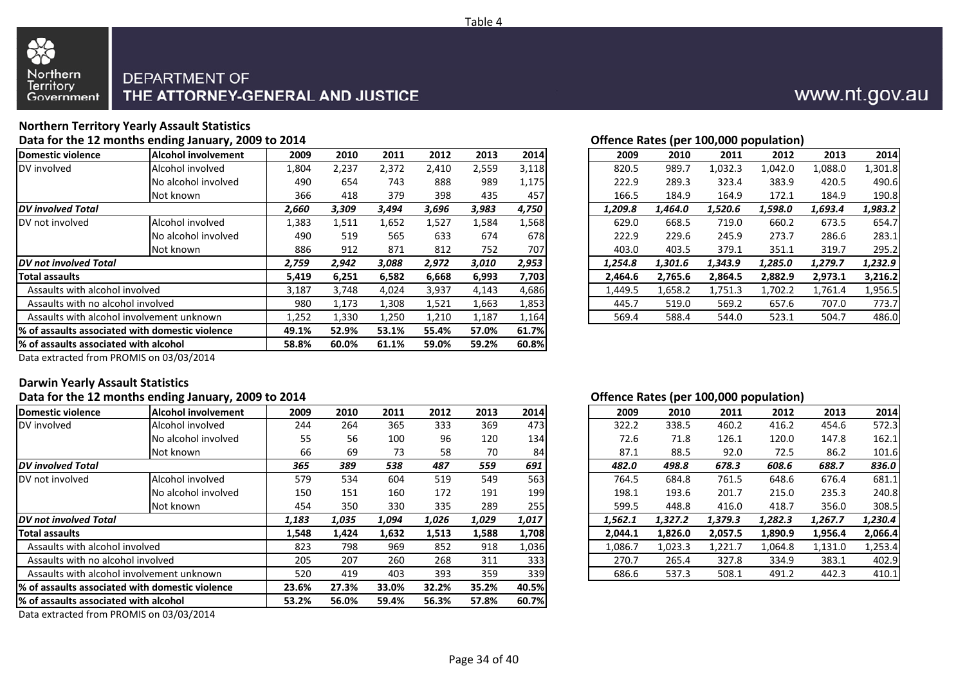

#### Northern<br>Territory **DEPARTMENT OF** THE ATTORNEY-GENERAL AND JUSTICE Government

### **Northern Territory Yearly Assault StatisticsData for the 12 months ending January, 2009 to 2014**

88

|                                        |                                                  |       |       |       |       |       |       |         |         |         | onenee nates (per zoojooo population) |                                                          |         |
|----------------------------------------|--------------------------------------------------|-------|-------|-------|-------|-------|-------|---------|---------|---------|---------------------------------------|----------------------------------------------------------|---------|
| Domestic violence                      | <b>Alcohol involvement</b>                       | 2009  | 2010  | 2011  | 2012  | 2013  | 2014  | 2009    | 2010    | 2011    | 2012                                  | 2013                                                     | 2014    |
| DV involved                            | Alcohol involved                                 | 1,804 | 2,237 | 2,372 | 2,410 | 2,559 | 3,118 | 820.5   | 989.7   | 1,032.3 | 1,042.0                               | 1,088.0                                                  | 1,301.8 |
|                                        | No alcohol involved                              | 490   | 654   | 743   | 888   | 989   | 1,175 | 222.9   | 289.3   | 323.4   | 383.9                                 | 420.5                                                    | 490.6   |
|                                        | Not known                                        | 366   | 418   | 379   | 398   | 435   | 457   | 166.5   | 184.9   | 164.9   | 172.1                                 | 184.9                                                    | 190.8   |
| <b>IDV</b> involved Total              |                                                  | 2,660 | 3,309 | 3,494 | 3,696 | 3,983 | 4,750 | 1,209.8 | 1,464.0 | 1,520.6 | 1,598.0                               | 1,693.4<br>673.5<br>286.6<br>319.7<br>1,279.7<br>2,973.1 | 1,983.2 |
| DV not involved                        | Alcohol involved                                 | 1,383 | 1,511 | 1,652 | 1,527 | 1,584 | 1,568 | 629.0   | 668.5   | 719.0   | 660.2                                 |                                                          | 654.7   |
|                                        | No alcohol involved                              | 490   | 519   | 565   | 633   | 674   | 678   | 222.9   | 229.6   | 245.9   | 273.7                                 |                                                          | 283.1   |
|                                        | Not known                                        | 886   | 912   | 871   | 812   | 752   | 707   | 403.0   | 403.5   | 379.1   | 351.1                                 |                                                          | 295.2   |
| <b>IDV</b> not involved Total          |                                                  | 2,759 | 2,942 | 3,088 | 2,972 | 3,010 | 2,953 | 1,254.8 | 1,301.6 | 1,343.9 | 1,285.0                               |                                                          | 1,232.9 |
| Total assaults                         |                                                  | 5,419 | 6,251 | 6,582 | 6,668 | 6,993 | 7,703 | 2,464.6 | 2,765.6 | 2,864.5 | 2,882.9                               |                                                          | 3,216.2 |
| Assaults with alcohol involved         |                                                  | 3,187 | 3,748 | 4,024 | 3,937 | 4,143 | 4,686 | 1,449.5 | 1,658.2 | 1,751.3 | 1,702.2                               | 1,761.4                                                  | 1,956.5 |
| Assaults with no alcohol involved      |                                                  | 980   | 1,173 | 1,308 | 1,521 | 1,663 | 1,853 | 445.7   | 519.0   | 569.2   | 657.6                                 | 707.0                                                    | 773.7   |
|                                        | Assaults with alcohol involvement unknown        | 1,252 | 1,330 | 1,250 | 1,210 | 1,187 | 1,164 | 569.4   | 588.4   | 544.0   | 523.1                                 | 504.7                                                    | 486.0   |
|                                        | 1% of assaults associated with domestic violence | 49.1% | 52.9% | 53.1% | 55.4% | 57.0% | 61.7% |         |         |         |                                       |                                                          |         |
| 1% of assaults associated with alcohol |                                                  | 58.8% | 60.0% | 61.1% | 59.0% | 59.2% | 60.8% |         |         |         |                                       |                                                          |         |
|                                        |                                                  |       |       |       |       |       |       |         |         |         |                                       |                                                          |         |

### **Offence Rates (per 100,000 population)**

|    |       |       |       |       |       |       |         |         | . .     |         |         |         |
|----|-------|-------|-------|-------|-------|-------|---------|---------|---------|---------|---------|---------|
| nt | 2009  | 2010  | 2011  | 2012  | 2013  | 2014  | 2009    | 2010    | 2011    | 2012    | 2013    | 2014    |
|    | 1,804 | 2,237 | 2,372 | 2,410 | 2,559 | 3,118 | 820.5   | 989.7   | 1,032.3 | 1,042.0 | 1,088.0 | 1,301.8 |
| d  | 490   | 654   | 743   | 888   | 989   | 1,175 | 222.9   | 289.3   | 323.4   | 383.9   | 420.5   | 490.6   |
|    | 366   | 418   | 379   | 398   | 435   | 457   | 166.5   | 184.9   | 164.9   | 172.1   | 184.9   | 190.8   |
|    | 2,660 | 3,309 | 3,494 | 3,696 | 3,983 | 4,750 | 1,209.8 | 1,464.0 | 1,520.6 | 1,598.0 | 1,693.4 | 1,983.2 |
|    | 1,383 | 1,511 | 1,652 | 1,527 | 1,584 | 1,568 | 629.0   | 668.5   | 719.0   | 660.2   | 673.5   | 654.7   |
| ď  | 490   | 519   | 565   | 633   | 674   | 678   | 222.9   | 229.6   | 245.9   | 273.7   | 286.6   | 283.1   |
|    | 886   | 912   | 871   | 812   | 752   | 707   | 403.0   | 403.5   | 379.1   | 351.1   | 319.7   | 295.2   |
|    | 2,759 | 2,942 | 3,088 | 2,972 | 3,010 | 2,953 | 1,254.8 | 1,301.6 | 1,343.9 | 1,285.0 | 1,279.7 | 1,232.9 |
|    | 5,419 | 6,251 | 6,582 | 6,668 | 6,993 | 7,703 | 2.464.6 | 2,765.6 | 2,864.5 | 2,882.9 | 2,973.1 | 3,216.2 |
|    | 3,187 | 3,748 | 4,024 | 3,937 | 4,143 | 4,686 | 1,449.5 | 1,658.2 | 1,751.3 | 1,702.2 | 1,761.4 | 1,956.5 |
|    | 980   | 1,173 | 1,308 | 1,521 | 1,663 | 1,853 | 445.7   | 519.0   | 569.2   | 657.6   | 707.0   | 773.7   |
|    | 1,252 | 1,330 | 1,250 | 1,210 | 1,187 | 1,164 | 569.4   | 588.4   | 544.0   | 523.1   | 504.7   | 486.0   |
|    |       |       |       |       |       |       |         |         |         |         |         |         |

Data extracted from PROMIS on 03/03/2014

### **Darwin Yearly Assault Statistics**

### **Data for the 12 months ending January, 2009 to 2014**

| Domestic violence                      | Alcohol involvement                              | 2009  | 2010  | 2011  | 2012  | 2013  | 2014  | 2009    | 2010    | 2011    | 2012    | 2013    | 2014    |
|----------------------------------------|--------------------------------------------------|-------|-------|-------|-------|-------|-------|---------|---------|---------|---------|---------|---------|
| DV involved                            | Alcohol involved                                 | 244   | 264   | 365   | 333   | 369   | 473   | 322.2   | 338.5   | 460.2   | 416.2   | 454.6   | 572.3   |
|                                        | No alcohol involved                              | 55    | 56    | 100   | 96    | 120   | 134   | 72.6    | 71.8    | 126.1   | 120.0   | 147.8   | 162.1   |
|                                        | Not known                                        | 66    | 69    | 73    | 58    | 70    | 84    | 87.1    | 88.5    | 92.0    | 72.5    | 86.2    | 101.6   |
| <b>DV</b> involved Total               |                                                  | 365   | 389   | 538   | 487   | 559   | 691   | 482.0   | 498.8   | 678.3   | 608.6   | 688.7   | 836.0   |
| DV not involved                        | Alcohol involved                                 | 579   | 534   | 604   | 519   | 549   | 563   | 764.5   | 684.8   | 761.5   | 648.6   | 676.4   | 681.1   |
|                                        | No alcohol involved                              | 150   | 151   | 160   | 172   | 191   | 199   | 198.1   | 193.6   | 201.7   | 215.0   | 235.3   | 240.8   |
|                                        | Not known                                        | 454   | 350   | 330   | 335   | 289   | 255   | 599.5   | 448.8   | 416.0   | 418.7   | 356.0   | 308.5   |
| <b>IDV</b> not involved Total          |                                                  | 1,183 | 1,035 | 1,094 | 1,026 | 1,029 | 1,017 | 1,562.1 | 1,327.2 | 1,379.3 | 1,282.3 | 1,267.7 | 1,230.4 |
| <b>Total assaults</b>                  |                                                  | 1,548 | 1,424 | 1,632 | 1,513 | 1,588 | 1,708 | 2,044.1 | 1,826.0 | 2,057.5 | 1,890.9 | 1,956.4 | 2,066.4 |
| Assaults with alcohol involved         |                                                  | 823   | 798   | 969   | 852   | 918   | 1,036 | 1,086.7 | 1,023.3 | 1,221.7 | 1,064.8 | 1,131.0 | 1,253.4 |
| Assaults with no alcohol involved      |                                                  | 205   | 207   | 260   | 268   | 311   | 333   | 270.7   | 265.4   | 327.8   | 334.9   | 383.1   | 402.9   |
|                                        | Assaults with alcohol involvement unknown        | 520   | 419   | 403   | 393   | 359   | 339   | 686.6   | 537.3   | 508.1   | 491.2   | 442.3   | 410.1   |
|                                        | 1% of assaults associated with domestic violence | 23.6% | 27.3% | 33.0% | 32.2% | 35.2% | 40.5% |         |         |         |         |         |         |
| 1% of assaults associated with alcohol |                                                  | 53.2% | 56.0% | 59.4% | 56.3% | 57.8% | 60.7% |         |         |         |         |         |         |
|                                        |                                                  |       |       |       |       |       |       |         |         |         |         |         |         |

Data extracted from PROMIS on 03/03/2014

### **Offence Rates (per 100,000 population)**

| nt | 2009  | 2010  | 2011  | 2012  | 2013  | 2014  | 2009    | 2010    | 2011    | 2012    | 2013    | 2014    |
|----|-------|-------|-------|-------|-------|-------|---------|---------|---------|---------|---------|---------|
|    | 244   | 264   | 365   | 333   | 369   | 473   | 322.2   | 338.5   | 460.2   | 416.2   | 454.6   | 572.3   |
| d  | 55    | 56    | 100   | 96    | 120   | 134   | 72.6    | 71.8    | 126.1   | 120.0   | 147.8   | 162.1   |
|    | 66    | 69    | 73    | 58    | 70    | 84    | 87.1    | 88.5    | 92.0    | 72.5    | 86.2    | 101.6   |
|    | 365   | 389   | 538   | 487   | 559   | 691   | 482.0   | 498.8   | 678.3   | 608.6   | 688.7   | 836.0   |
|    | 579   | 534   | 604   | 519   | 549   | 563   | 764.5   | 684.8   | 761.5   | 648.6   | 676.4   | 681.1   |
| d  | 150   | 151   | 160   | 172   | 191   | 199   | 198.1   | 193.6   | 201.7   | 215.0   | 235.3   | 240.8   |
|    | 454   | 350   | 330   | 335   | 289   | 255   | 599.5   | 448.8   | 416.0   | 418.7   | 356.0   | 308.5   |
|    | 1,183 | 1,035 | 1,094 | 1,026 | 1,029 | 1,017 | 1.562.1 | 1.327.2 | 1,379.3 | 1,282.3 | 1,267.7 | 1,230.4 |
|    | 1,548 | 1.424 | 1,632 | 1,513 | 1,588 | 1,708 | 2.044.1 | 1,826.0 | 2.057.5 | 1,890.9 | 1,956.4 | 2,066.4 |
|    | 823   | 798   | 969   | 852   | 918   | 1,036 | 1,086.7 | 1,023.3 | 1,221.7 | 1,064.8 | 1,131.0 | 1,253.4 |
|    | 205   | 207   | 260   | 268   | 311   | 333   | 270.7   | 265.4   | 327.8   | 334.9   | 383.1   | 402.9   |
|    | 520   | 419   | 403   | 393   | 359   | 339   | 686.6   | 537.3   | 508.1   | 491.2   | 442.3   | 410.1   |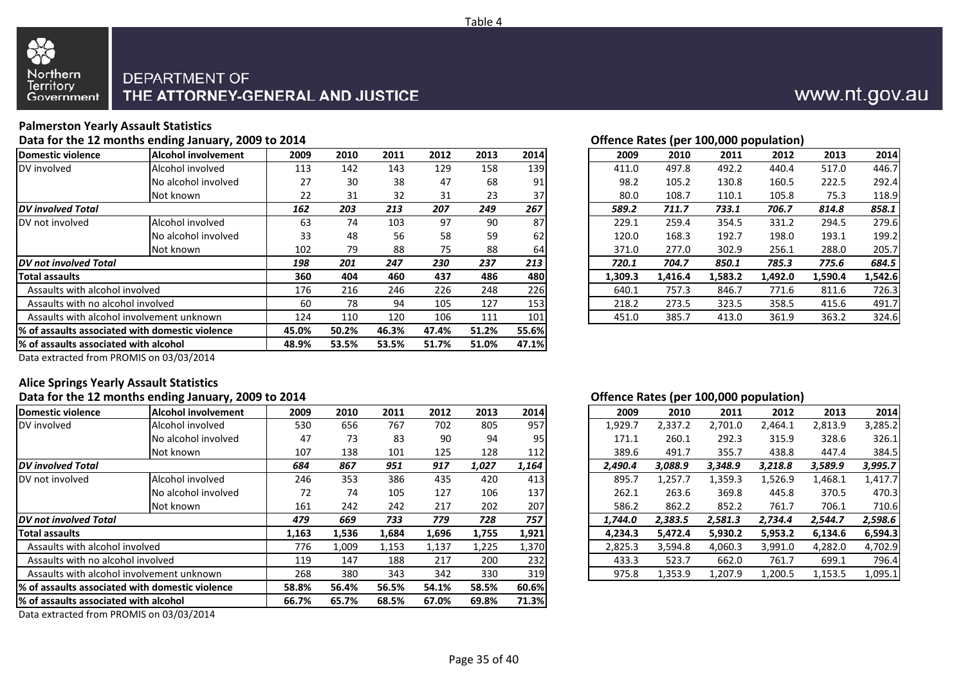



## **Palmerston Yearly Assault Statistics**

**Data for the 12 months ending January, 2009 to 2014**

| Domestic violence                         | Alcohol involvement                              | 2009  | 2010  | 2011  | 2012  | 2013  | 2014  | 2009    | 2010    | 2011    | 2012    | 2013    | 2014    |
|-------------------------------------------|--------------------------------------------------|-------|-------|-------|-------|-------|-------|---------|---------|---------|---------|---------|---------|
| DV involved                               | Alcohol involved                                 | 113   | 142   | 143   | 129   | 158   | 139   | 411.0   | 497.8   | 492.2   | 440.4   | 517.0   | 446.7   |
|                                           | No alcohol involved                              | 27    | 30    | 38    | 47    | 68    | 91    | 98.2    | 105.2   | 130.8   | 160.5   | 222.5   | 292.4   |
|                                           | Not known                                        | 22    | 31    | 32    | 31    | 23    | 37    | 80.0    | 108.7   | 110.1   | 105.8   | 75.3    | 118.9   |
| <b>DV</b> involved Total                  |                                                  | 162   | 203   | 213   | 207   | 249   | 267   | 589.2   | 711.7   | 733.1   | 706.7   | 814.8   | 858.1   |
| DV not involved                           | Alcohol involved                                 | 63    | 74    | 103   | 97    | 90    | 87    | 229.1   | 259.4   | 354.5   | 331.2   | 294.5   | 279.6   |
|                                           | No alcohol involved                              | 33    | 48    | 56    | 58    | 59    | 62    | 120.0   | 168.3   | 192.7   | 198.0   | 193.1   | 199.2   |
|                                           | Not known                                        | 102   | 79    | 88    | 75    | 88    | 64    | 371.0   | 277.0   | 302.9   | 256.1   | 288.0   | 205.7   |
| DV not involved Total                     |                                                  | 198   | 201   | 247   | 230   | 237   | 213   | 720.1   | 704.7   | 850.1   | 785.3   | 775.6   | 684.5   |
| <b>Total assaults</b>                     |                                                  | 360   | 404   | 460   | 437   | 486   | 480   | 1.309.3 | 1,416.4 | 1,583.2 | 1,492.0 | 1,590.4 | 1,542.6 |
| Assaults with alcohol involved            |                                                  | 176   | 216   | 246   | 226   | 248   | 226   | 640.1   | 757.3   | 846.7   | 771.6   | 811.6   | 726.3   |
| Assaults with no alcohol involved         |                                                  | 60    | 78    | 94    | 105   | 127   | 153   | 218.2   | 273.5   | 323.5   | 358.5   | 415.6   | 491.7   |
| Assaults with alcohol involvement unknown | 124                                              | 110   | 120   | 106   | 111   | 101   | 451.0 | 385.7   | 413.0   | 361.9   | 363.2   | 324.6   |         |
|                                           | 1% of assaults associated with domestic violence | 45.0% | 50.2% | 46.3% | 47.4% | 51.2% | 55.6% |         |         |         |         |         |         |
|                                           | % of assaults associated with alcohol            |       |       | 53.5% | 51.7% | 51.0% | 47.1% |         |         |         |         |         |         |
|                                           | $- - - - - - - -$                                |       |       |       |       |       |       |         |         |         |         |         |         |

| Offence Rates (per 100,000 population) |  |
|----------------------------------------|--|
|                                        |  |

|     |      |      |      |      |      |      |         |         | . .     |         |         |         |
|-----|------|------|------|------|------|------|---------|---------|---------|---------|---------|---------|
| 'nt | 2009 | 2010 | 2011 | 2012 | 2013 | 2014 | 2009    | 2010    | 2011    | 2012    | 2013    | 2014    |
|     | 113  | 142  | 143  | 129  | 158  | 139  | 411.0   | 497.8   | 492.2   | 440.4   | 517.0   | 446.7   |
| d   | 27   | 30   | 38   | 47   | 68   | 91   | 98.2    | 105.2   | 130.8   | 160.5   | 222.5   | 292.4   |
|     | 22   | 31   | 32   | 31   | 23   | 37   | 80.0    | 108.7   | 110.1   | 105.8   | 75.3    | 118.9   |
|     | 162  | 203  | 213  | 207  | 249  | 267  | 589.2   | 711.7   | 733.1   | 706.7   | 814.8   | 858.1   |
|     | 63   | 74   | 103  | 97   | 90   | 87   | 229.1   | 259.4   | 354.5   | 331.2   | 294.5   | 279.6   |
| d   | 33   | 48   | 56   | 58   | 59   | 62   | 120.0   | 168.3   | 192.7   | 198.0   | 193.1   | 199.2   |
|     | 102  | 79   | 88   | 75   | 88   | 64   | 371.0   | 277.0   | 302.9   | 256.1   | 288.0   | 205.7   |
|     | 198  | 201  | 247  | 230  | 237  | 213  | 720.1   | 704.7   | 850.1   | 785.3   | 775.6   | 684.5   |
|     | 360  | 404  | 460  | 437  | 486  | 480  | 1.309.3 | 1,416.4 | 1,583.2 | 1,492.0 | 1,590.4 | 1,542.6 |
|     | 176  | 216  | 246  | 226  | 248  | 226  | 640.1   | 757.3   | 846.7   | 771.6   | 811.6   | 726.3   |
|     | 60   | 78   | 94   | 105  | 127  | 153  | 218.2   | 273.5   | 323.5   | 358.5   | 415.6   | 491.7   |
|     | 124  | 110  | 120  | 106  | 111  | 101  | 451.0   | 385.7   | 413.0   | 361.9   | 363.2   | 324.6   |
|     |      |      |      |      |      |      |         |         |         |         |         |         |

Data extracted from PROMIS on 03/03/2014

## **Alice Springs Yearly Assault Statistics**

### **Data for the 12 months ending January, 2009 to 2014**

| Domestic violence                         | <b>Alcohol involvement</b>                       | 2009  | 2010  | 2011  | 2012  | 2013  | 2014            | 2009    | 2010    | 2011    | 2012    | 2013    | 2014    |
|-------------------------------------------|--------------------------------------------------|-------|-------|-------|-------|-------|-----------------|---------|---------|---------|---------|---------|---------|
| DV involved                               | Alcohol involved                                 | 530   | 656   | 767   | 702   | 805   | 957             | 1,929.7 | 2,337.2 | 2,701.0 | 2,464.1 | 2,813.9 | 3,285.2 |
|                                           | No alcohol involved                              | 47    | 73    | 83    | 90    | 94    | 95 <sub>1</sub> | 171.1   | 260.1   | 292.3   | 315.9   | 328.6   | 326.1   |
|                                           | Not known                                        | 107   | 138   | 101   | 125   | 128   | 112             | 389.6   | 491.7   | 355.7   | 438.8   | 447.4   | 384.5   |
| <b>DV</b> involved Total                  |                                                  | 684   | 867   | 951   | 917   | 1,027 | 1,164           | 2,490.4 | 3,088.9 | 3,348.9 | 3,218.8 | 3,589.9 | 3,995.7 |
| DV not involved                           | Alcohol involved                                 | 246   | 353   | 386   | 435   | 420   | 413             | 895.7   | 1,257.7 | 1,359.3 | L,526.9 | 1,468.1 | 1,417.7 |
|                                           | No alcohol involved                              | 72    | 74    | 105   | 127   | 106   | 137             | 262.1   | 263.6   | 369.8   | 445.8   | 370.5   | 470.3   |
|                                           | Not known                                        | 161   | 242   | 242   | 217   | 202   | 207             | 586.2   | 862.2   | 852.2   | 761.7   | 706.1   | 710.6   |
| <b>DV</b> not involved Total              |                                                  | 479   | 669   | 733   | 779   | 728   | 757             | 1,744.0 | 2,383.5 | 2,581.3 | 2,734.4 | 2,544.7 | 2,598.6 |
| <b>Total assaults</b>                     |                                                  | 1,163 | 1,536 | 1,684 | 1,696 | 1,755 | 1,921           | 4,234.3 | 5,472.4 | 5,930.2 | 5,953.2 | 6,134.6 | 6,594.3 |
| Assaults with alcohol involved            |                                                  | 776   | 1,009 | 1,153 | 1,137 | 1,225 | 1,370           | 2,825.3 | 3,594.8 | 4,060.3 | 3,991.0 | 4,282.0 | 4,702.9 |
| Assaults with no alcohol involved         |                                                  | 119   | 147   | 188   | 217   | 200   | 232             | 433.3   | 523.7   | 662.0   | 761.7   | 699.1   | 796.4   |
| Assaults with alcohol involvement unknown | 268                                              | 380   | 343   | 342   | 330   | 319   | 975.8           | 1,353.9 | 1,207.9 | 1,200.5 | 1,153.5 | 1,095.1 |         |
|                                           | l% of assaults associated with domestic violence |       | 56.4% | 56.5% | 54.1% | 58.5% | 60.6%           |         |         |         |         |         |         |
|                                           | 1% of assaults associated with alcohol           |       |       | 68.5% | 67.0% | 69.8% | 71.3%           |         |         |         |         |         |         |
|                                           |                                                  |       |       |       |       |       |                 |         |         |         |         |         |         |

Data extracted from PROMIS on 03/03/2014

### **Offence Rates (per 100,000 population)**

| 'nt | 2009  | 2010  | 2011  | 2012  | 2013  | 2014        | 2009    | 2010    | 2011    | 2012    | 2013    | 2014    |
|-----|-------|-------|-------|-------|-------|-------------|---------|---------|---------|---------|---------|---------|
|     | 530   | 656   | 767   | 702   | 805   | 957         | 1,929.7 | 2,337.2 | 2,701.0 | 2,464.1 | 2,813.9 | 3,285.2 |
| d   | 47    | 73    | 83    | 90    | 94    | 95          | 171.1   | 260.1   | 292.3   | 315.9   | 328.6   | 326.1   |
|     | 107   | 138   | 101   | 125   | 128   | <b>1121</b> | 389.6   | 491.7   | 355.7   | 438.8   | 447.4   | 384.5   |
|     | 684   | 867   | 951   | 917   | 1,027 | 1,164       | 2.490.4 | 3,088.9 | 3,348.9 | 3,218.8 | 3,589.9 | 3,995.7 |
|     | 246   | 353   | 386   | 435   | 420   | 413         | 895.7   | 1,257.7 | 1,359.3 | 1,526.9 | 1,468.1 | 1,417.7 |
| d   | 72    | 74    | 105   | 127   | 106   | 137         | 262.1   | 263.6   | 369.8   | 445.8   | 370.5   | 470.3   |
|     | 161   | 242   | 242   | 217   | 202   | 207         | 586.2   | 862.2   | 852.2   | 761.7   | 706.1   | 710.6   |
|     | 479   | 669   | 733   | 779   | 728   | 757         | 1,744.0 | 2,383.5 | 2,581.3 | 2,734.4 | 2,544.7 | 2,598.6 |
|     | 1,163 | 1,536 | 1,684 | 1,696 | 1,755 | 1,921       | 4.234.3 | 5,472.4 | 5,930.2 | 5,953.2 | 6,134.6 | 6,594.3 |
|     | 776   | 1,009 | 1,153 | 1,137 | 1,225 | 1,370       | 2,825.3 | 3,594.8 | 4,060.3 | 3,991.0 | 4,282.0 | 4,702.9 |
|     | 119   | 147   | 188   | 217   | 200   | 2321        | 433.3   | 523.7   | 662.0   | 761.7   | 699.1   | 796.4   |
|     | 268   | 380   | 343   | 342   | 330   | 319         | 975.8   | 1,353.9 | 1,207.9 | 1,200.5 | 1,153.5 | 1,095.1 |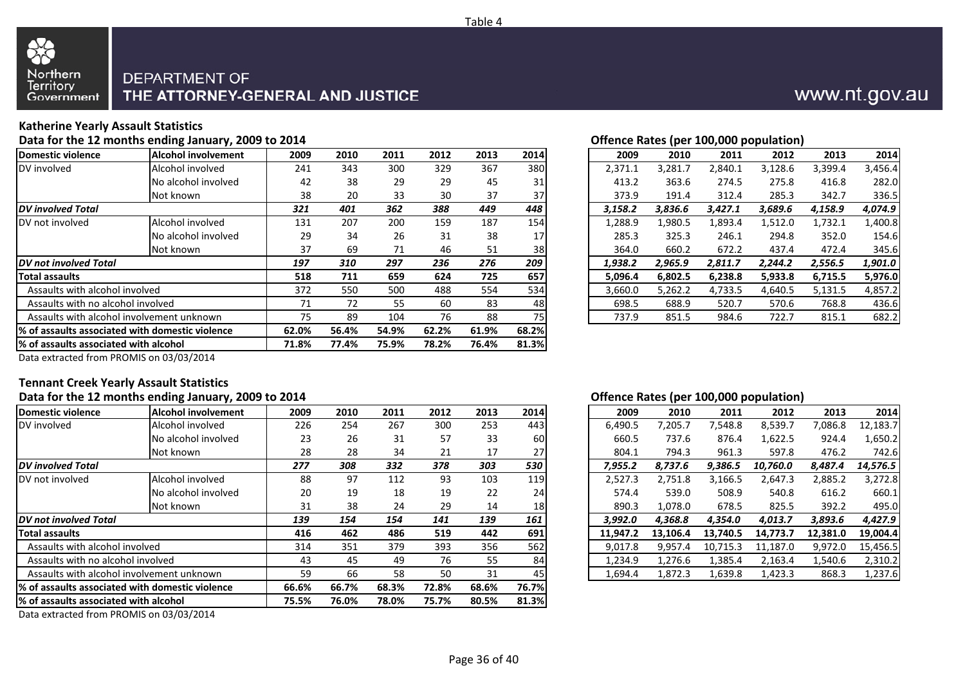

#### Northern<br>Territory **DEPARTMENT OF** THE ATTORNEY-GENERAL AND JUSTICE Government

## **Katherine Yearly Assault Statistics**

88

**Data for the 12 months ending January, 2009 to 2014**

| Domestic violence                                | <b>Alcohol involvement</b>             | 2009  | 2010  | 2011  | 2012  | 2013  | 2014  | 2009    | 2010    | 2011    | 2012    | 2013    | 2014    |
|--------------------------------------------------|----------------------------------------|-------|-------|-------|-------|-------|-------|---------|---------|---------|---------|---------|---------|
| DV involved                                      | Alcohol involved                       | 241   | 343   | 300   | 329   | 367   | 380   | 2,371.1 | 3,281.7 | 2,840.1 | 3,128.6 | 3,399.4 | 3,456.4 |
|                                                  | No alcohol involved                    | 42    | 38    | 29    | 29    | 45    | 31    | 413.2   | 363.6   | 274.5   | 275.8   | 416.8   | 282.0   |
|                                                  | Not known                              | 38    | 20    | 33    | 30    | 37    | 37    | 373.9   | 191.4   | 312.4   | 285.3   | 342.7   | 336.5   |
| <b>DV</b> involved Total                         |                                        | 321   | 401   | 362   | 388   | 449   | 448   | 3,158.2 | 3,836.6 | 3,427.1 | 3,689.6 | 4,158.9 | 4,074.9 |
| DV not involved                                  | Alcohol involved                       | 131   | 207   | 200   | 159   | 187   | 154   | 1,288.9 | 1,980.5 | 1,893.4 | 1,512.0 | 1,732.1 | 1,400.8 |
|                                                  | No alcohol involved                    | 29    | 34    | 26    | 31    | 38    | 17    | 285.3   | 325.3   | 246.1   | 294.8   | 352.0   | 154.6   |
|                                                  | Not known                              | 37    | 69    | 71    | 46    | 51    | 38    | 364.0   | 660.2   | 672.2   | 437.4   | 472.4   | 345.6   |
| <b>DV</b> not involved Total                     |                                        | 197   | 310   | 297   | 236   | 276   | 209   | 1,938.2 | 2,965.9 | 2,811.7 | 2,244.2 | 2,556.5 | 1,901.0 |
| Total assaults                                   |                                        | 518   | 711   | 659   | 624   | 725   | 657   | 5.096.4 | 6,802.5 | 6,238.8 | 5,933.8 | 6,715.5 | 5,976.0 |
| Assaults with alcohol involved                   |                                        | 372   | 550   | 500   | 488   | 554   | 534   | 3,660.0 | 5,262.2 | 4,733.5 | 4,640.5 | 5,131.5 | 4,857.2 |
| Assaults with no alcohol involved                |                                        | 71    | 72    | 55    | 60    | 83    | 48    | 698.5   | 688.9   | 520.7   | 570.6   | 768.8   | 436.6   |
| Assaults with alcohol involvement unknown        | 75                                     | 89    | 104   | 76    | 88    | 75    | 737.9 | 851.5   | 984.6   | 722.7   | 815.1   | 682.2   |         |
| 1% of assaults associated with domestic violence |                                        | 62.0% | 56.4% | 54.9% | 62.2% | 61.9% | 68.2% |         |         |         |         |         |         |
|                                                  | 1% of assaults associated with alcohol |       |       | 75.9% | 78.2% | 76.4% | 81.3% |         |         |         |         |         |         |
|                                                  |                                        |       |       |       |       |       |       |         |         |         |         |         |         |

| Offence Rates (per 100,000 population) |
|----------------------------------------|
|                                        |

| nt | 2009 | 2010 | 2011 | 2012 | 2013 | 2014 | 2009    | 2010    | 2011    | 2012    | 2013    | 2014    |
|----|------|------|------|------|------|------|---------|---------|---------|---------|---------|---------|
|    | 241  | 343  | 300  | 329  | 367  | 380  | 2,371.1 | 3,281.7 | 2,840.1 | 3,128.6 | 3,399.4 | 3,456.4 |
| d  | 42   | 38   | 29   | 29   | 45   | 31   | 413.2   | 363.6   | 274.5   | 275.8   | 416.8   | 282.0   |
|    | 38   | 20   | 33   | 30   | 37   | 37   | 373.9   | 191.4   | 312.4   | 285.3   | 342.7   | 336.5   |
|    | 321  | 401  | 362  | 388  | 449  | 448  | 3,158.2 | 3,836.6 | 3,427.1 | 3,689.6 | 4,158.9 | 4,074.9 |
|    | 131  | 207  | 200  | 159  | 187  | 154  | 1,288.9 | 1,980.5 | 1,893.4 | 1,512.0 | 1,732.1 | 1,400.8 |
| d  | 29   | 34   | 26   | 31   | 38   | 17   | 285.3   | 325.3   | 246.1   | 294.8   | 352.0   | 154.6   |
|    | 37   | 69   | 71   | 46   | 51   | 38   | 364.0   | 660.2   | 672.2   | 437.4   | 472.4   | 345.6   |
|    | 197  | 310  | 297  | 236  | 276  | 209  | 1,938.2 | 2,965.9 | 2,811.7 | 2,244.2 | 2,556.5 | 1,901.0 |
|    | 518  | 711  | 659  | 624  | 725  | 657  | 5.096.4 | 6,802.5 | 6,238.8 | 5,933.8 | 6,715.5 | 5,976.0 |
|    | 372  | 550  | 500  | 488  | 554  | 534  | 3,660.0 | 5,262.2 | 4,733.5 | 4,640.5 | 5,131.5 | 4,857.2 |
|    | 71   | 72   | 55   | 60   | 83   | 48   | 698.5   | 688.9   | 520.7   | 570.6   | 768.8   | 436.6   |
|    | 75   | 89   | 104  | 76   | 88   | 75   | 737.9   | 851.5   | 984.6   | 722.7   | 815.1   | 682.2   |
|    |      |      |      |      |      |      |         |         |         |         |         |         |

Data extracted from PROMIS on 03/03/2014

## **Tennant Creek Yearly Assault Statistics**

### **Data for the 12 months ending January, 2009 to 2014**

| Domestic violence                         | Alcohol involvement                             | 2009  | 2010  | 2011  | 2012  | 2013  | 2014            | 2009     | 2010     | 2011     | 2012     | 2013     | 2014     |
|-------------------------------------------|-------------------------------------------------|-------|-------|-------|-------|-------|-----------------|----------|----------|----------|----------|----------|----------|
| DV involved                               | Alcohol involved                                | 226   | 254   | 267   | 300   | 253   | 443             | 6,490.5  | 7,205.7  | 7,548.8  | 8,539.7  | 7,086.8  | 12,183.7 |
|                                           | No alcohol involved                             | 23    | 26    | 31    | 57    | 33    | 60              | 660.5    | 737.6    | 876.4    | L,622.5  | 924.4    | 1,650.2  |
|                                           | Not known                                       | 28    | 28    | 34    | 21    | 17    | 27              | 804.1    | 794.3    | 961.3    | 597.8    | 476.2    | 742.6    |
| <b>DV</b> involved Total                  |                                                 | 277   | 308   | 332   | 378   | 303   | 530             | 7,955.2  | 8,737.6  | 9,386.5  | 10.760.0 | 8,487.4  | 14,576.5 |
| DV not involved                           | Alcohol involved                                | 88    | 97    | 112   | 93    | 103   | 119             | 2,527.3  | 2,751.8  | 3,166.5  | 2,647.3  | 2,885.2  | 3,272.8  |
|                                           | No alcohol involved                             | 20    | 19    | 18    | 19    | 22    | 24              | 574.4    | 539.0    | 508.9    | 540.8    | 616.2    | 660.1    |
|                                           | Not known                                       | 31    | 38    | 24    | 29    | 14    | 18 <sub>l</sub> | 890.3    | 1.078.0  | 678.5    | 825.5    | 392.2    | 495.0    |
| <b>DV</b> not involved Total              |                                                 | 139   | 154   | 154   | 141   | 139   | 161             | 3,992.0  | 4,368.8  | 4,354.0  | 4,013.7  | 3,893.6  | 4,427.9  |
| Total assaults                            |                                                 | 416   | 462   | 486   | 519   | 442   | 691             | 11,947.2 | 13,106.4 | 13,740.5 | 14,773.7 | 12,381.0 | 19,004.4 |
| Assaults with alcohol involved            |                                                 | 314   | 351   | 379   | 393   | 356   | 562             | 9,017.8  | 9,957.4  | 10,715.3 | 11,187.0 | 9,972.0  | 15,456.5 |
| Assaults with no alcohol involved         |                                                 | 43    | 45    | 49    | 76    | 55    | 84              | 1,234.9  | 1,276.6  | 1,385.4  | 2,163.4  | 1,540.6  | 2,310.2  |
| Assaults with alcohol involvement unknown | 59                                              | 66    | 58    | 50    | 31    | 45    | 1,694.4         | 1,872.3  | 1,639.8  | 1,423.3  | 868.3    | 1,237.6  |          |
|                                           | % of assaults associated with domestic violence | 66.6% | 66.7% | 68.3% | 72.8% | 68.6% | 76.7%           |          |          |          |          |          |          |
|                                           | 1% of assaults associated with alcohol          |       | 76.0% | 78.0% | 75.7% | 80.5% | 81.3%           |          |          |          |          |          |          |
|                                           | $\frac{1}{2}$<br>an lon long                    |       |       |       |       |       |                 |          |          |          |          |          |          |

#### Data extracted from PROMIS on 03/03/2014

### **Offence Rates (per 100,000 population)**

| nt | 2009 | 2010 | 2011 | 2012 | 2013 | 2014 | 2009     | 2010     | 2011     | 2012     | 2013     | 2014     |
|----|------|------|------|------|------|------|----------|----------|----------|----------|----------|----------|
|    | 226  | 254  | 267  | 300  | 253  | 443  | 6,490.5  | 7,205.7  | 7,548.8  | 8,539.7  | 7,086.8  | 12,183.7 |
| d  | 23   | 26   | 31   | 57   | 33   | 60   | 660.5    | 737.6    | 876.4    | 1,622.5  | 924.4    | 1,650.2  |
|    | 28   | 28   | 34   | 21   | 17   | 27   | 804.1    | 794.3    | 961.3    | 597.8    | 476.2    | 742.6    |
|    | 277  | 308  | 332  | 378  | 303  | 530  | 7,955.2  | 8,737.6  | 9,386.5  | 10,760.0 | 8,487.4  | 14,576.5 |
|    | 88   | 97   | 112  | 93   | 103  | 119  | 2,527.3  | 2,751.8  | 3,166.5  | 2,647.3  | 2,885.2  | 3,272.8  |
| d  | 20   | 19   | 18   | 19   | 22   | 24   | 574.4    | 539.0    | 508.9    | 540.8    | 616.2    | 660.1    |
|    | 31   | 38   | 24   | 29   | 14   | 18   | 890.3    | 1,078.0  | 678.5    | 825.5    | 392.2    | 495.0    |
|    | 139  | 154  | 154  | 141  | 139  | 161  | 3.992.0  | 4.368.8  | 4,354.0  | 4,013.7  | 3,893.6  | 4,427.9  |
|    | 416  | 462  | 486  | 519  | 442  | 691  | 11,947.2 | 13.106.4 | 13.740.5 | 14,773.7 | 12,381.0 | 19,004.4 |
|    | 314  | 351  | 379  | 393  | 356  | 562  | 9.017.8  | 9,957.4  | 10.715.3 | 11,187.0 | 9,972.0  | 15,456.5 |
|    | 43   | 45   | 49   | 76   | 55   | 84   | 1.234.9  | 1.276.6  | 1.385.4  | 2,163.4  | 1,540.6  | 2,310.2  |
|    | 59   | 66   | 58   | 50   | 31   | 45   | 1.694.4  | 1.872.3  | 1,639.8  | 1,423.3  | 868.3    | 1,237.6  |

# www.nt.gov.au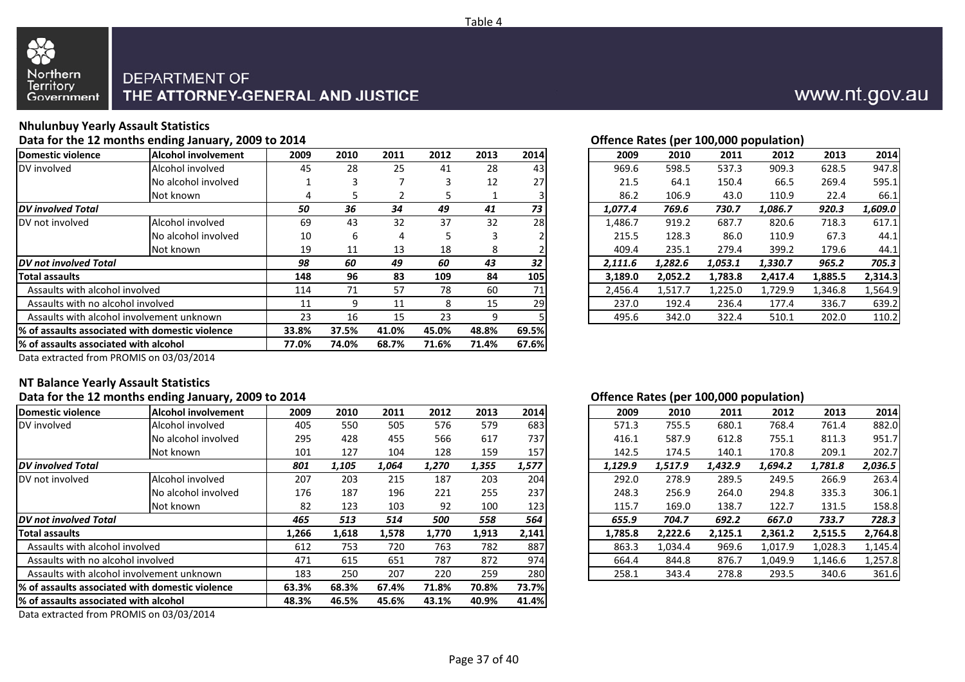



## **Nhulunbuy Yearly Assault Statistics**

**Data for the 12 months ending January, 2009 to 2014**

| Domestic violence                                | <b>Alcohol involvement</b>             | 2009  | 2010  | 2011  | 2012  | 2013  | 2014  | 2009    | 2010    | 2011    | 2012    | 2013    | 2014    |
|--------------------------------------------------|----------------------------------------|-------|-------|-------|-------|-------|-------|---------|---------|---------|---------|---------|---------|
| DV involved                                      | Alcohol involved                       | 45    | 28    | 25    | 41    | 28    | 43    | 969.6   | 598.5   | 537.3   | 909.3   | 628.5   | 947.8   |
|                                                  | No alcohol involved                    |       |       |       | 3     | 12    | 27    | 21.5    | 64.1    | 150.4   | 66.5    | 269.4   | 595.1   |
|                                                  | Not known                              |       |       |       |       |       |       | 86.2    | 106.9   | 43.0    | 110.9   | 22.4    | 66.1    |
| <b>DV</b> involved Total                         |                                        | 50    | 36    | 34    | 49    | 41    | 73    | 1,077.4 | 769.6   | 730.7   | 1,086.7 | 920.3   | 1,609.0 |
| DV not involved                                  | Alcohol involved                       | 69    | 43    | 32    | 37    | 32    | 28    | 1,486.7 | 919.2   | 687.7   | 820.6   | 718.3   | 617.1   |
|                                                  | No alcohol involved                    | 10    | b     | 4     | 5     | 3     |       | 215.5   | 128.3   | 86.0    | 110.9   | 67.3    | 44.1    |
|                                                  | Not known                              | 19    | 11    | 13    | 18    | 8     |       | 409.4   | 235.1   | 279.4   | 399.2   | 179.6   | 44.1    |
| <b>DV</b> not involved Total                     |                                        | 98    | 60    | 49    | 60    | 43    | 32    | 2,111.6 | 1,282.6 | 1,053.1 | 1,330.7 | 965.2   | 705.3   |
| Total assaults                                   |                                        | 148   | 96    | 83    | 109   | 84    | 105   | 3.189.0 | 2,052.2 | 1,783.8 | 2,417.4 | 1,885.5 | 2,314.3 |
| Assaults with alcohol involved                   |                                        | 114   | 71    | 57    | 78    | 60    | 71    | 2,456.4 | 1,517.7 | 1,225.0 | 1,729.9 | 1,346.8 | 1,564.9 |
| Assaults with no alcohol involved                |                                        | 11    | q     | 11    | 8     | 15    | 29    | 237.0   | 192.4   | 236.4   | 177.4   | 336.7   | 639.2   |
| Assaults with alcohol involvement unknown        | 23                                     | 16    | 15    | 23    | 9     |       | 495.6 | 342.0   | 322.4   | 510.1   | 202.0   | 110.2   |         |
| 1% of assaults associated with domestic violence |                                        | 33.8% | 37.5% | 41.0% | 45.0% | 48.8% | 69.5% |         |         |         |         |         |         |
|                                                  | 1% of assaults associated with alcohol |       |       | 68.7% | 71.6% | 71.4% | 67.6% |         |         |         |         |         |         |
|                                                  |                                        |       |       |       |       |       |       |         |         |         |         |         |         |

### **Offence Rates (per 100,000 population)**

|     |      |      |      |      |      |      |         |         | . .     |         |         |         |
|-----|------|------|------|------|------|------|---------|---------|---------|---------|---------|---------|
| 'nt | 2009 | 2010 | 2011 | 2012 | 2013 | 2014 | 2009    | 2010    | 2011    | 2012    | 2013    | 2014    |
|     | 45   | 28   | 25   | 41   | 28   | 43   | 969.6   | 598.5   | 537.3   | 909.3   | 628.5   | 947.8   |
| d   |      | 3    |      | 3    | 12   | 27   | 21.5    | 64.1    | 150.4   | 66.5    | 269.4   | 595.1   |
|     | 4    | 5    |      |      |      |      | 86.2    | 106.9   | 43.0    | 110.9   | 22.4    | 66.1    |
|     | 50   | 36   | 34   | 49   | 41   | 73   | 1,077.4 | 769.6   | 730.7   | 1,086.7 | 920.3   | 1,609.0 |
|     | 69   | 43   | 32   | 37   | 32   | 28   | 1,486.7 | 919.2   | 687.7   | 820.6   | 718.3   | 617.1   |
| ď   | 10   | 6    | 4    | 5.   |      |      | 215.5   | 128.3   | 86.0    | 110.9   | 67.3    | 44.1    |
|     | 19   | 11   | 13   | 18   | 8    |      | 409.4   | 235.1   | 279.4   | 399.2   | 179.6   | 44.1    |
|     | 98   | 60   | 49   | 60   | 43   | 32   | 2,111.6 | 1,282.6 | 1,053.1 | 1,330.7 | 965.2   | 705.3   |
|     | 148  | 96   | 83   | 109  | 84   | 105  | 3,189.0 | 2,052.2 | 1,783.8 | 2.417.4 | 1,885.5 | 2,314.3 |
|     | 114  | 71   | 57   | 78   | 60   | 71   | 2,456.4 | 1,517.7 | 1,225.0 | 1,729.9 | 1,346.8 | 1,564.9 |
|     | 11   | 9    | 11   | 8    | 15   | 29   | 237.0   | 192.4   | 236.4   | 177.4   | 336.7   | 639.2   |
|     | 23   | 16   | 15   | 23   | 9    |      | 495.6   | 342.0   | 322.4   | 510.1   | 202.0   | 110.2   |
|     |      |      |      |      |      |      |         |         |         |         |         |         |

Data extracted from PROMIS on 03/03/2014

### **NT Balance Yearly Assault Statistics**

### **Data for the 12 months ending January, 2009 to 2014**

| Domestic violence                                | <b>Alcohol involvement</b> | 2009  | 2010  | 2011  | 2012  | 2013  | 2014  | 2009    | 2010    | 2011    | 2012    | 2013    | 2014    |
|--------------------------------------------------|----------------------------|-------|-------|-------|-------|-------|-------|---------|---------|---------|---------|---------|---------|
| DV involved                                      | Alcohol involved           | 405   | 550   | 505   | 576   | 579   | 683   | 571.3   | 755.5   | 680.1   | 768.4   | 761.4   | 882.0   |
|                                                  | No alcohol involved        | 295   | 428   | 455   | 566   | 617   | 737   | 416.1   | 587.9   | 612.8   | 755.1   | 811.3   | 951.7   |
|                                                  | Not known                  | 101   | 127   | 104   | 128   | 159   | 157   | 142.5   | 174.5   | 140.1   | 170.8   | 209.1   | 202.7   |
| <b>DV</b> involved Total                         |                            | 801   | 1,105 | 1,064 | 1,270 | 1,355 | 1,577 | 1,129.9 | 1,517.9 | 1,432.9 | 1,694.2 | 1,781.8 | 2,036.5 |
| DV not involved                                  | Alcohol involved           | 207   | 203   | 215   | 187   | 203   | 204   | 292.0   | 278.9   | 289.5   | 249.5   | 266.9   | 263.4   |
|                                                  | No alcohol involved        | 176   | 187   | 196   | 221   | 255   | 237   | 248.3   | 256.9   | 264.0   | 294.8   | 335.3   | 306.1   |
|                                                  | Not known                  | 82    | 123   | 103   | 92    | 100   | 123   | 115.7   | 169.0   | 138.7   | 122.7   | 131.5   | 158.8   |
| <b>DV</b> not involved Total                     |                            | 465   | 513   | 514   | 500   | 558   | 564   | 655.9   | 704.7   | 692.2   | 667.0   | 733.7   | 728.3   |
| <b>Total assaults</b>                            |                            | 1,266 | 1,618 | 1,578 | 1,770 | 1,913 | 2,141 | 1,785.8 | 2,222.6 | 2,125.1 | 2,361.2 | 2,515.5 | 2,764.8 |
| Assaults with alcohol involved                   |                            | 612   | 753   | 720   | 763   | 782   | 887   | 863.3   | 1,034.4 | 969.6   | 1,017.9 | 1,028.3 | 1,145.4 |
| Assaults with no alcohol involved                |                            | 471   | 615   | 651   | 787   | 872   | 974   | 664.4   | 844.8   | 876.7   | 1,049.9 | 1,146.6 | 1,257.8 |
| Assaults with alcohol involvement unknown        | 183                        | 250   | 207   | 220   | 259   | 280   | 258.1 | 343.4   | 278.8   | 293.5   | 340.6   | 361.6   |         |
| l% of assaults associated with domestic violence | 63.3%                      | 68.3% | 67.4% | 71.8% | 70.8% | 73.7% |       |         |         |         |         |         |         |
| 1% of assaults associated with alcohol           | 48.3%                      | 46.5% | 45.6% | 43.1% | 40.9% | 41.4% |       |         |         |         |         |         |         |
|                                                  |                            |       |       |       |       |       |       |         |         |         |         |         |         |

Data extracted from PROMIS on 03/03/2014

### **Offence Rates (per 100,000 population)**

| 19             | 2010  | 2011  | 2012  | 2013  | 2014  | 2009    | 2010    | 2011    | 2012    | 2013    | 2014    |
|----------------|-------|-------|-------|-------|-------|---------|---------|---------|---------|---------|---------|
| )5             | 550   | 505   | 576   | 579   | 683   | 571.3   | 755.5   | 680.1   | 768.4   | 761.4   | 882.0   |
| 15             | 428   | 455   | 566   | 617   | 737   | 416.1   | 587.9   | 612.8   | 755.1   | 811.3   | 951.7   |
| )1             | 127   | 104   | 128   | 159   | 157   | 142.5   | 174.5   | 140.1   | 170.8   | 209.1   | 202.7   |
| 1              | 1,105 | 1.064 | 1.270 | 1,355 | 1,577 | 1.129.9 | 1.517.9 | 1.432.9 | 1.694.2 | 1.781.8 | 2,036.5 |
| 17             | 203   | 215   | 187   | 203   | 204   | 292.0   | 278.9   | 289.5   | 249.5   | 266.9   | 263.4   |
| 76             | 187   | 196   | 221   | 255   | 237   | 248.3   | 256.9   | 264.0   | 294.8   | 335.3   | 306.1   |
| 32             | 123   | 103   | 92    | 100   | 123   | 115.7   | 169.0   | 138.7   | 122.7   | 131.5   | 158.8   |
| 5              | 513   | 514   | 500   | 558   | 564   | 655.9   | 704.7   | 692.2   | 667.0   | 733.7   | 728.3   |
| òć             | 1,618 | 1,578 | 1,770 | 1,913 | 2,141 | 1.785.8 | 2.222.6 | 2,125.1 | 2.361.2 | 2.515.5 | 2,764.8 |
| $\overline{2}$ | 753   | 720   | 763   | 782   | 887   | 863.3   | 1,034.4 | 969.6   | 1.017.9 | 1,028.3 | 1,145.4 |
|                | 615   | 651   | 787   | 872   | 974   | 664.4   | 844.8   | 876.7   | 1,049.9 | 1,146.6 | 1,257.8 |
| 33             | 250   | 207   | 220   | 259   | 280   | 258.1   | 343.4   | 278.8   | 293.5   | 340.6   | 361.6   |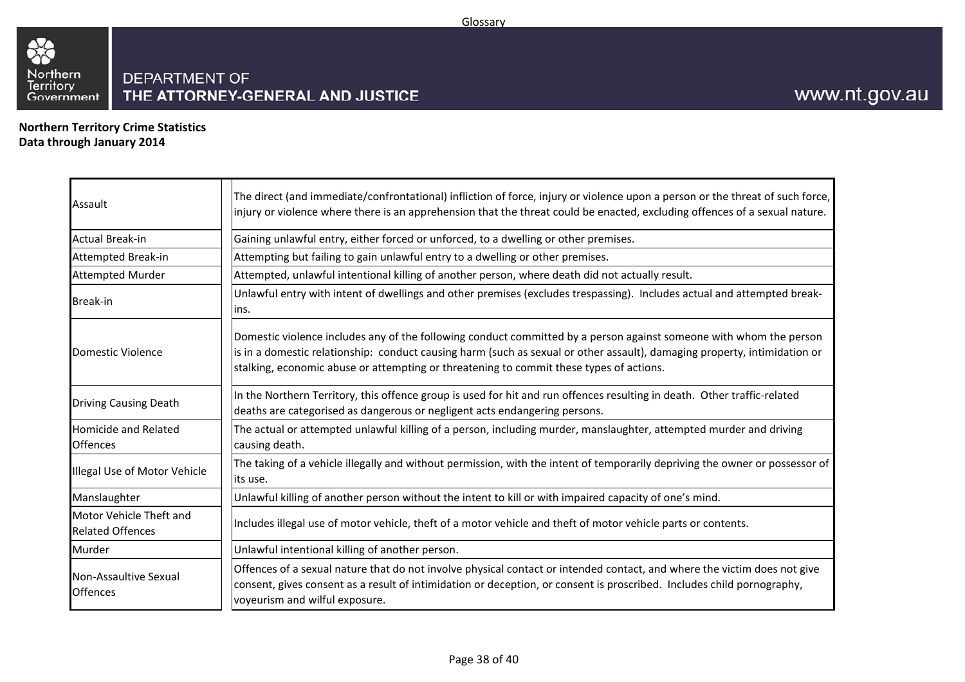

**Northern Territory Crime StatisticsData through January 2014**

33

| Assault                                            | The direct (and immediate/confrontational) infliction of force, injury or violence upon a person or the threat of such force,<br>injury or violence where there is an apprehension that the threat could be enacted, excluding offences of a sexual nature.                                                                                |
|----------------------------------------------------|--------------------------------------------------------------------------------------------------------------------------------------------------------------------------------------------------------------------------------------------------------------------------------------------------------------------------------------------|
| Actual Break-in                                    | Gaining unlawful entry, either forced or unforced, to a dwelling or other premises.                                                                                                                                                                                                                                                        |
| Attempted Break-in                                 | Attempting but failing to gain unlawful entry to a dwelling or other premises.                                                                                                                                                                                                                                                             |
| <b>Attempted Murder</b>                            | Attempted, unlawful intentional killing of another person, where death did not actually result.                                                                                                                                                                                                                                            |
| Break-in                                           | Unlawful entry with intent of dwellings and other premises (excludes trespassing). Includes actual and attempted break-<br>lins.                                                                                                                                                                                                           |
| Domestic Violence                                  | Domestic violence includes any of the following conduct committed by a person against someone with whom the person<br>is in a domestic relationship: conduct causing harm (such as sexual or other assault), damaging property, intimidation or<br>stalking, economic abuse or attempting or threatening to commit these types of actions. |
| <b>Driving Causing Death</b>                       | In the Northern Territory, this offence group is used for hit and run offences resulting in death. Other traffic-related<br>deaths are categorised as dangerous or negligent acts endangering persons.                                                                                                                                     |
| <b>Homicide and Related</b><br><b>Offences</b>     | The actual or attempted unlawful killing of a person, including murder, manslaughter, attempted murder and driving<br>causing death.                                                                                                                                                                                                       |
| Illegal Use of Motor Vehicle                       | The taking of a vehicle illegally and without permission, with the intent of temporarily depriving the owner or possessor of<br>its use.                                                                                                                                                                                                   |
| Manslaughter                                       | Unlawful killing of another person without the intent to kill or with impaired capacity of one's mind.                                                                                                                                                                                                                                     |
| Motor Vehicle Theft and<br><b>Related Offences</b> | Includes illegal use of motor vehicle, theft of a motor vehicle and theft of motor vehicle parts or contents.                                                                                                                                                                                                                              |
| Murder                                             | Unlawful intentional killing of another person.                                                                                                                                                                                                                                                                                            |
| Non-Assaultive Sexual<br><b>Offences</b>           | Offences of a sexual nature that do not involve physical contact or intended contact, and where the victim does not give<br>consent, gives consent as a result of intimidation or deception, or consent is proscribed. Includes child pornography,<br>voyeurism and wilful exposure.                                                       |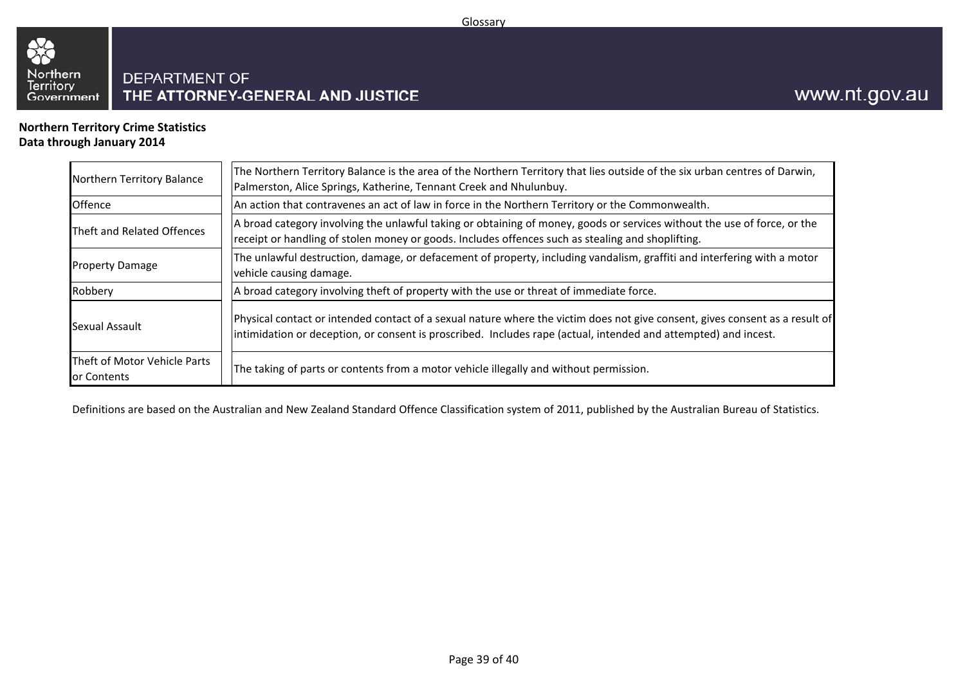

## **Northern Territory Crime StatisticsData through January 2014**

33

| Northern Territory Balance                  | The Northern Territory Balance is the area of the Northern Territory that lies outside of the six urban centres of Darwin,<br>Palmerston, Alice Springs, Katherine, Tennant Creek and Nhulunbuy.                                                |
|---------------------------------------------|-------------------------------------------------------------------------------------------------------------------------------------------------------------------------------------------------------------------------------------------------|
| Offence                                     | An action that contravenes an act of law in force in the Northern Territory or the Commonwealth.                                                                                                                                                |
| Theft and Related Offences                  | A broad category involving the unlawful taking or obtaining of money, goods or services without the use of force, or the<br>receipt or handling of stolen money or goods. Includes offences such as stealing and shoplifting.                   |
| <b>Property Damage</b>                      | The unlawful destruction, damage, or defacement of property, including vandalism, graffiti and interfering with a motor<br>vehicle causing damage.                                                                                              |
| Robbery                                     | A broad category involving theft of property with the use or threat of immediate force.                                                                                                                                                         |
| Sexual Assault                              | Physical contact or intended contact of a sexual nature where the victim does not give consent, gives consent as a result of<br>intimidation or deception, or consent is proscribed. Includes rape (actual, intended and attempted) and incest. |
| Theft of Motor Vehicle Parts<br>or Contents | The taking of parts or contents from a motor vehicle illegally and without permission.                                                                                                                                                          |

Definitions are based on the Australian and New Zealand Standard Offence Classification system of 2011, published by the Australian Bureau of Statistics.